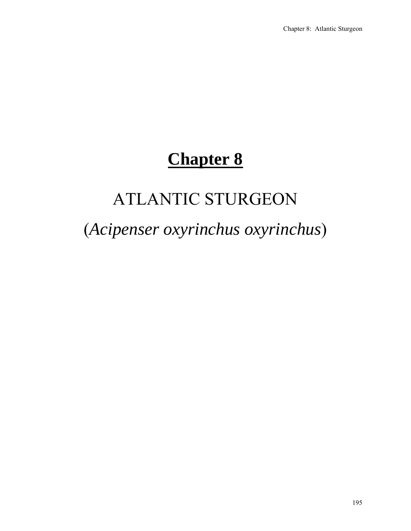# **Chapter 8**

# ATLANTIC STURGEON

# (*Acipenser oxyrinchus oxyrinchus*)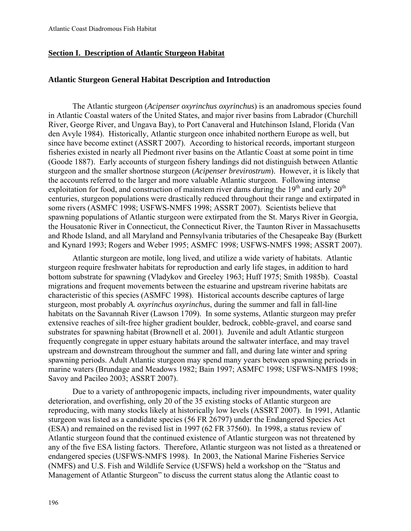# **Section I. Description of Atlantic Sturgeon Habitat**

## **Atlantic Sturgeon General Habitat Description and Introduction**

The Atlantic sturgeon (*Acipenser oxyrinchus oxyrinchus*) is an anadromous species found in Atlantic Coastal waters of the United States, and major river basins from Labrador (Churchill River, George River, and Ungava Bay), to Port Canaveral and Hutchinson Island, Florida (Van den Avyle 1984). Historically, Atlantic sturgeon once inhabited northern Europe as well, but since have become extinct (ASSRT 2007). According to historical records, important sturgeon fisheries existed in nearly all Piedmont river basins on the Atlantic Coast at some point in time (Goode 1887). Early accounts of sturgeon fishery landings did not distinguish between Atlantic sturgeon and the smaller shortnose sturgeon (*Acipenser brevirostrum*). However, it is likely that the accounts referred to the larger and more valuable Atlantic sturgeon. Following intense exploitation for food, and construction of mainstem river dams during the  $19<sup>th</sup>$  and early  $20<sup>th</sup>$ centuries, sturgeon populations were drastically reduced throughout their range and extirpated in some rivers (ASMFC 1998; USFWS-NMFS 1998; ASSRT 2007). Scientists believe that spawning populations of Atlantic sturgeon were extirpated from the St. Marys River in Georgia, the Housatonic River in Connecticut, the Connecticut River, the Taunton River in Massachusetts and Rhode Island, and all Maryland and Pennsylvania tributaries of the Chesapeake Bay (Burkett and Kynard 1993; Rogers and Weber 1995; ASMFC 1998; USFWS-NMFS 1998; ASSRT 2007).

Atlantic sturgeon are motile, long lived, and utilize a wide variety of habitats. Atlantic sturgeon require freshwater habitats for reproduction and early life stages, in addition to hard bottom substrate for spawning (Vladykov and Greeley 1963; Huff 1975; Smith 1985b). Coastal migrations and frequent movements between the estuarine and upstream riverine habitats are characteristic of this species (ASMFC 1998). Historical accounts describe captures of large sturgeon, most probably *A. oxyrinchus oxyrinchus*, during the summer and fall in fall-line habitats on the Savannah River (Lawson 1709). In some systems, Atlantic sturgeon may prefer extensive reaches of silt-free higher gradient boulder, bedrock, cobble-gravel, and coarse sand substrates for spawning habitat (Brownell et al. 2001). Juvenile and adult Atlantic sturgeon frequently congregate in upper estuary habitats around the saltwater interface, and may travel upstream and downstream throughout the summer and fall, and during late winter and spring spawning periods. Adult Atlantic sturgeon may spend many years between spawning periods in marine waters (Brundage and Meadows 1982; Bain 1997; ASMFC 1998; USFWS-NMFS 1998; Savoy and Pacileo 2003; ASSRT 2007).

Due to a variety of anthropogenic impacts, including river impoundments, water quality deterioration, and overfishing, only 20 of the 35 existing stocks of Atlantic sturgeon are reproducing, with many stocks likely at historically low levels (ASSRT 2007). In 1991, Atlantic sturgeon was listed as a candidate species (56 FR 26797) under the Endangered Species Act (ESA) and remained on the revised list in 1997 (62 FR 37560). In 1998, a status review of Atlantic sturgeon found that the continued existence of Atlantic sturgeon was not threatened by any of the five ESA listing factors. Therefore, Atlantic sturgeon was not listed as a threatened or endangered species (USFWS-NMFS 1998). In 2003, the National Marine Fisheries Service (NMFS) and U.S. Fish and Wildlife Service (USFWS) held a workshop on the "Status and Management of Atlantic Sturgeon" to discuss the current status along the Atlantic coast to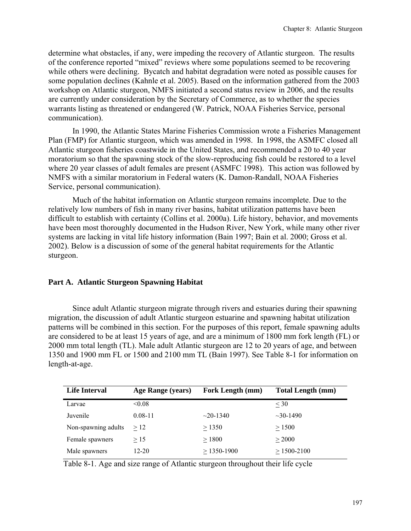determine what obstacles, if any, were impeding the recovery of Atlantic sturgeon. The results of the conference reported "mixed" reviews where some populations seemed to be recovering while others were declining. Bycatch and habitat degradation were noted as possible causes for some population declines (Kahnle et al. 2005). Based on the information gathered from the 2003 workshop on Atlantic sturgeon, NMFS initiated a second status review in 2006, and the results are currently under consideration by the Secretary of Commerce, as to whether the species warrants listing as threatened or endangered (W. Patrick, NOAA Fisheries Service, personal communication).

In 1990, the Atlantic States Marine Fisheries Commission wrote a Fisheries Management Plan (FMP) for Atlantic sturgeon, which was amended in 1998. In 1998, the ASMFC closed all Atlantic sturgeon fisheries coastwide in the United States, and recommended a 20 to 40 year moratorium so that the spawning stock of the slow-reproducing fish could be restored to a level where 20 year classes of adult females are present (ASMFC 1998). This action was followed by NMFS with a similar moratorium in Federal waters (K. Damon-Randall, NOAA Fisheries Service, personal communication).

Much of the habitat information on Atlantic sturgeon remains incomplete. Due to the relatively low numbers of fish in many river basins, habitat utilization patterns have been difficult to establish with certainty (Collins et al. 2000a). Life history, behavior, and movements have been most thoroughly documented in the Hudson River, New York, while many other river systems are lacking in vital life history information (Bain 1997; Bain et al. 2000; Gross et al. 2002). Below is a discussion of some of the general habitat requirements for the Atlantic sturgeon.

## **Part A. Atlantic Sturgeon Spawning Habitat**

Since adult Atlantic sturgeon migrate through rivers and estuaries during their spawning migration, the discussion of adult Atlantic sturgeon estuarine and spawning habitat utilization patterns will be combined in this section. For the purposes of this report, female spawning adults are considered to be at least 15 years of age, and are a minimum of 1800 mm fork length (FL) or 2000 mm total length (TL). Male adult Atlantic sturgeon are 12 to 20 years of age, and between 1350 and 1900 mm FL or 1500 and 2100 mm TL (Bain 1997). See Table 8-1 for information on length-at-age.

| <b>Life Interval</b> | Age Range (years) | Fork Length (mm) | <b>Total Length (mm)</b> |
|----------------------|-------------------|------------------|--------------------------|
| Larvae               | &0.08             |                  | $<$ 30                   |
| Juvenile             | $0.08 - 11$       | $\sim$ 20-1340   | $\sim$ 30-1490           |
| Non-spawning adults  | >12               | > 1350           | > 1500                   |
| Female spawners      | $\geq$ 15         | > 1800           | > 2000                   |
| Male spawners        | $12 - 20$         | $>$ 1350-1900    | $> 1500 - 2100$          |

Table 8-1. Age and size range of Atlantic sturgeon throughout their life cycle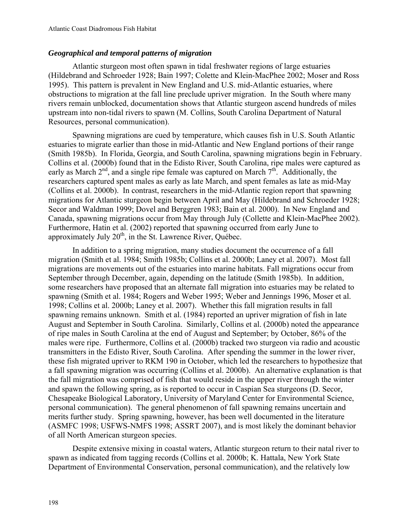# *Geographical and temporal patterns of migration*

Atlantic sturgeon most often spawn in tidal freshwater regions of large estuaries (Hildebrand and Schroeder 1928; Bain 1997; Colette and Klein-MacPhee 2002; Moser and Ross 1995). This pattern is prevalent in New England and U.S. mid-Atlantic estuaries, where obstructions to migration at the fall line preclude upriver migration. In the South where many rivers remain unblocked, documentation shows that Atlantic sturgeon ascend hundreds of miles upstream into non-tidal rivers to spawn (M. Collins, South Carolina Department of Natural Resources, personal communication).

Spawning migrations are cued by temperature, which causes fish in U.S. South Atlantic estuaries to migrate earlier than those in mid-Atlantic and New England portions of their range (Smith 1985b). In Florida, Georgia, and South Carolina, spawning migrations begin in February. Collins et al. (2000b) found that in the Edisto River, South Carolina, ripe males were captured as early as March  $2<sup>nd</sup>$ , and a single ripe female was captured on March  $7<sup>th</sup>$ . Additionally, the researchers captured spent males as early as late March, and spent females as late as mid-May (Collins et al. 2000b). In contrast, researchers in the mid-Atlantic region report that spawning migrations for Atlantic sturgeon begin between April and May (Hildebrand and Schroeder 1928; Secor and Waldman 1999; Dovel and Berggren 1983; Bain et al. 2000). In New England and Canada, spawning migrations occur from May through July (Collette and Klein-MacPhee 2002). Furthermore, Hatin et al. (2002) reported that spawning occurred from early June to approximately July  $20<sup>th</sup>$ , in the St. Lawrence River, Ouébec.

In addition to a spring migration, many studies document the occurrence of a fall migration (Smith et al. 1984; Smith 1985b; Collins et al. 2000b; Laney et al. 2007). Most fall migrations are movements out of the estuaries into marine habitats. Fall migrations occur from September through December, again, depending on the latitude (Smith 1985b). In addition, some researchers have proposed that an alternate fall migration into estuaries may be related to spawning (Smith et al. 1984; Rogers and Weber 1995; Weber and Jennings 1996, Moser et al. 1998; Collins et al. 2000b; Laney et al. 2007). Whether this fall migration results in fall spawning remains unknown. Smith et al. (1984) reported an upriver migration of fish in late August and September in South Carolina. Similarly, Collins et al. (2000b) noted the appearance of ripe males in South Carolina at the end of August and September; by October, 86% of the males were ripe. Furthermore, Collins et al. (2000b) tracked two sturgeon via radio and acoustic transmitters in the Edisto River, South Carolina. After spending the summer in the lower river, these fish migrated upriver to RKM 190 in October, which led the researchers to hypothesize that a fall spawning migration was occurring (Collins et al. 2000b). An alternative explanation is that the fall migration was comprised of fish that would reside in the upper river through the winter and spawn the following spring, as is reported to occur in Caspian Sea sturgeons (D. Secor, Chesapeake Biological Laboratory, University of Maryland Center for Environmental Science, personal communication). The general phenomenon of fall spawning remains uncertain and merits further study. Spring spawning, however, has been well documented in the literature (ASMFC 1998; USFWS-NMFS 1998; ASSRT 2007), and is most likely the dominant behavior of all North American sturgeon species.

Despite extensive mixing in coastal waters, Atlantic sturgeon return to their natal river to spawn as indicated from tagging records (Collins et al. 2000b; K. Hattala, New York State Department of Environmental Conservation, personal communication), and the relatively low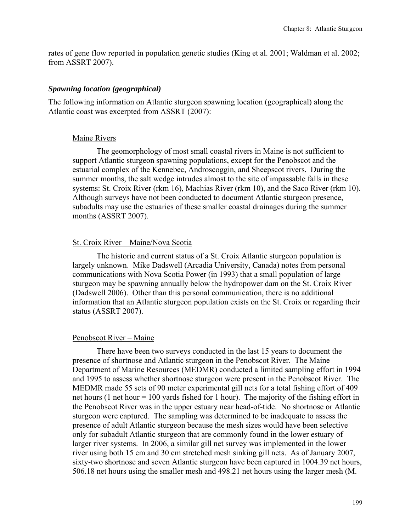rates of gene flow reported in population genetic studies (King et al. 2001; Waldman et al. 2002; from ASSRT 2007).

## *Spawning location (geographical)*

The following information on Atlantic sturgeon spawning location (geographical) along the Atlantic coast was excerpted from ASSRT (2007):

## Maine Rivers

The geomorphology of most small coastal rivers in Maine is not sufficient to support Atlantic sturgeon spawning populations, except for the Penobscot and the estuarial complex of the Kennebec, Androscoggin, and Sheepscot rivers. During the summer months, the salt wedge intrudes almost to the site of impassable falls in these systems: St. Croix River (rkm 16), Machias River (rkm 10), and the Saco River (rkm 10). Although surveys have not been conducted to document Atlantic sturgeon presence, subadults may use the estuaries of these smaller coastal drainages during the summer months (ASSRT 2007).

## St. Croix River – Maine/Nova Scotia

The historic and current status of a St. Croix Atlantic sturgeon population is largely unknown. Mike Dadswell (Arcadia University, Canada) notes from personal communications with Nova Scotia Power (in 1993) that a small population of large sturgeon may be spawning annually below the hydropower dam on the St. Croix River (Dadswell 2006). Other than this personal communication, there is no additional information that an Atlantic sturgeon population exists on the St. Croix or regarding their status (ASSRT 2007).

#### Penobscot River – Maine

There have been two surveys conducted in the last 15 years to document the presence of shortnose and Atlantic sturgeon in the Penobscot River. The Maine Department of Marine Resources (MEDMR) conducted a limited sampling effort in 1994 and 1995 to assess whether shortnose sturgeon were present in the Penobscot River. The MEDMR made 55 sets of 90 meter experimental gill nets for a total fishing effort of 409 net hours (1 net hour = 100 yards fished for 1 hour). The majority of the fishing effort in the Penobscot River was in the upper estuary near head-of-tide. No shortnose or Atlantic sturgeon were captured. The sampling was determined to be inadequate to assess the presence of adult Atlantic sturgeon because the mesh sizes would have been selective only for subadult Atlantic sturgeon that are commonly found in the lower estuary of larger river systems. In 2006, a similar gill net survey was implemented in the lower river using both 15 cm and 30 cm stretched mesh sinking gill nets. As of January 2007, sixty-two shortnose and seven Atlantic sturgeon have been captured in 1004.39 net hours, 506.18 net hours using the smaller mesh and 498.21 net hours using the larger mesh (M.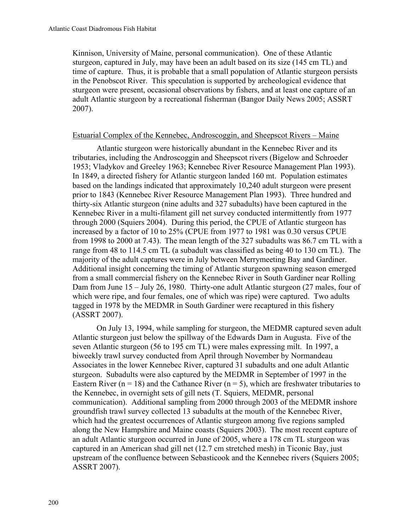Kinnison, University of Maine, personal communication). One of these Atlantic sturgeon, captured in July, may have been an adult based on its size (145 cm TL) and time of capture. Thus, it is probable that a small population of Atlantic sturgeon persists in the Penobscot River. This speculation is supported by archeological evidence that sturgeon were present, occasional observations by fishers, and at least one capture of an adult Atlantic sturgeon by a recreational fisherman (Bangor Daily News 2005; ASSRT 2007).

## Estuarial Complex of the Kennebec, Androscoggin, and Sheepscot Rivers – Maine

Atlantic sturgeon were historically abundant in the Kennebec River and its tributaries, including the Androscoggin and Sheepscot rivers (Bigelow and Schroeder 1953; Vladykov and Greeley 1963; Kennebec River Resource Management Plan 1993). In 1849, a directed fishery for Atlantic sturgeon landed 160 mt. Population estimates based on the landings indicated that approximately 10,240 adult sturgeon were present prior to 1843 (Kennebec River Resource Management Plan 1993). Three hundred and thirty-six Atlantic sturgeon (nine adults and 327 subadults) have been captured in the Kennebec River in a multi-filament gill net survey conducted intermittently from 1977 through 2000 (Squiers 2004). During this period, the CPUE of Atlantic sturgeon has increased by a factor of 10 to 25% (CPUE from 1977 to 1981 was 0.30 versus CPUE from 1998 to 2000 at 7.43). The mean length of the 327 subadults was 86.7 cm TL with a range from 48 to 114.5 cm TL (a subadult was classified as being 40 to 130 cm TL). The majority of the adult captures were in July between Merrymeeting Bay and Gardiner. Additional insight concerning the timing of Atlantic sturgeon spawning season emerged from a small commercial fishery on the Kennebec River in South Gardiner near Rolling Dam from June 15 – July 26, 1980. Thirty-one adult Atlantic sturgeon (27 males, four of which were ripe, and four females, one of which was ripe) were captured. Two adults tagged in 1978 by the MEDMR in South Gardiner were recaptured in this fishery (ASSRT 2007).

On July 13, 1994, while sampling for sturgeon, the MEDMR captured seven adult Atlantic sturgeon just below the spillway of the Edwards Dam in Augusta. Five of the seven Atlantic sturgeon (56 to 195 cm TL) were males expressing milt. In 1997, a biweekly trawl survey conducted from April through November by Normandeau Associates in the lower Kennebec River, captured 31 subadults and one adult Atlantic sturgeon. Subadults were also captured by the MEDMR in September of 1997 in the Eastern River ( $n = 18$ ) and the Cathance River ( $n = 5$ ), which are freshwater tributaries to the Kennebec, in overnight sets of gill nets (T. Squiers, MEDMR, personal communication). Additional sampling from 2000 through 2003 of the MEDMR inshore groundfish trawl survey collected 13 subadults at the mouth of the Kennebec River, which had the greatest occurrences of Atlantic sturgeon among five regions sampled along the New Hampshire and Maine coasts (Squiers 2003). The most recent capture of an adult Atlantic sturgeon occurred in June of 2005, where a 178 cm TL sturgeon was captured in an American shad gill net (12.7 cm stretched mesh) in Ticonic Bay, just upstream of the confluence between Sebasticook and the Kennebec rivers (Squiers 2005; ASSRT 2007).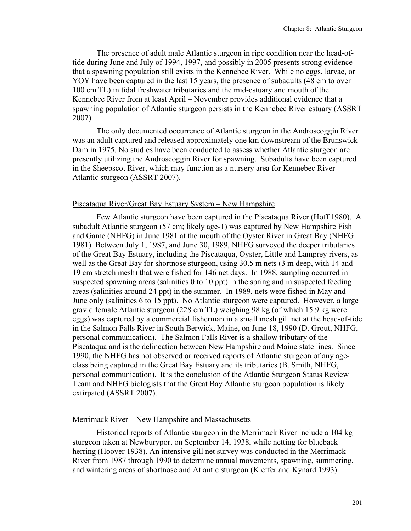The presence of adult male Atlantic sturgeon in ripe condition near the head-oftide during June and July of 1994, 1997, and possibly in 2005 presents strong evidence that a spawning population still exists in the Kennebec River. While no eggs, larvae, or YOY have been captured in the last 15 years, the presence of subadults (48 cm to over 100 cm TL) in tidal freshwater tributaries and the mid-estuary and mouth of the Kennebec River from at least April – November provides additional evidence that a spawning population of Atlantic sturgeon persists in the Kennebec River estuary (ASSRT 2007).

The only documented occurrence of Atlantic sturgeon in the Androscoggin River was an adult captured and released approximately one km downstream of the Brunswick Dam in 1975. No studies have been conducted to assess whether Atlantic sturgeon are presently utilizing the Androscoggin River for spawning. Subadults have been captured in the Sheepscot River, which may function as a nursery area for Kennebec River Atlantic sturgeon (ASSRT 2007).

## Piscataqua River/Great Bay Estuary System – New Hampshire

Few Atlantic sturgeon have been captured in the Piscataqua River (Hoff 1980). A subadult Atlantic sturgeon (57 cm; likely age-1) was captured by New Hampshire Fish and Game (NHFG) in June 1981 at the mouth of the Oyster River in Great Bay (NHFG 1981). Between July 1, 1987, and June 30, 1989, NHFG surveyed the deeper tributaries of the Great Bay Estuary, including the Piscataqua, Oyster, Little and Lamprey rivers, as well as the Great Bay for shortnose sturgeon, using 30.5 m nets (3 m deep, with 14 and 19 cm stretch mesh) that were fished for 146 net days. In 1988, sampling occurred in suspected spawning areas (salinities 0 to 10 ppt) in the spring and in suspected feeding areas (salinities around 24 ppt) in the summer. In 1989, nets were fished in May and June only (salinities 6 to 15 ppt). No Atlantic sturgeon were captured. However, a large gravid female Atlantic sturgeon (228 cm TL) weighing 98 kg (of which 15.9 kg were eggs) was captured by a commercial fisherman in a small mesh gill net at the head-of-tide in the Salmon Falls River in South Berwick, Maine, on June 18, 1990 (D. Grout, NHFG, personal communication). The Salmon Falls River is a shallow tributary of the Piscataqua and is the delineation between New Hampshire and Maine state lines. Since 1990, the NHFG has not observed or received reports of Atlantic sturgeon of any ageclass being captured in the Great Bay Estuary and its tributaries (B. Smith, NHFG, personal communication). It is the conclusion of the Atlantic Sturgeon Status Review Team and NHFG biologists that the Great Bay Atlantic sturgeon population is likely extirpated (ASSRT 2007).

## Merrimack River – New Hampshire and Massachusetts

Historical reports of Atlantic sturgeon in the Merrimack River include a 104 kg sturgeon taken at Newburyport on September 14, 1938, while netting for blueback herring (Hoover 1938). An intensive gill net survey was conducted in the Merrimack River from 1987 through 1990 to determine annual movements, spawning, summering, and wintering areas of shortnose and Atlantic sturgeon (Kieffer and Kynard 1993).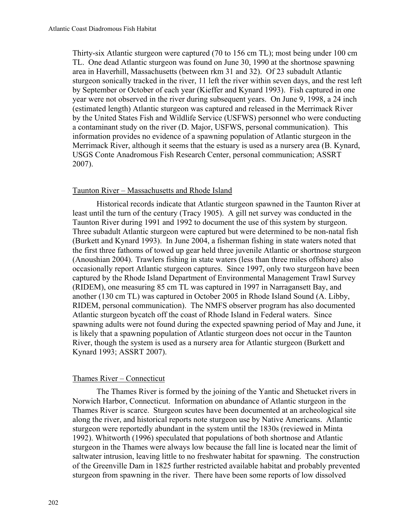Thirty-six Atlantic sturgeon were captured (70 to 156 cm TL); most being under 100 cm TL. One dead Atlantic sturgeon was found on June 30, 1990 at the shortnose spawning area in Haverhill, Massachusetts (between rkm 31 and 32). Of 23 subadult Atlantic sturgeon sonically tracked in the river, 11 left the river within seven days, and the rest left by September or October of each year (Kieffer and Kynard 1993). Fish captured in one year were not observed in the river during subsequent years. On June 9, 1998, a 24 inch (estimated length) Atlantic sturgeon was captured and released in the Merrimack River by the United States Fish and Wildlife Service (USFWS) personnel who were conducting a contaminant study on the river (D. Major, USFWS, personal communication). This information provides no evidence of a spawning population of Atlantic sturgeon in the Merrimack River, although it seems that the estuary is used as a nursery area (B. Kynard, USGS Conte Anadromous Fish Research Center, personal communication; ASSRT 2007).

## Taunton River – Massachusetts and Rhode Island

Historical records indicate that Atlantic sturgeon spawned in the Taunton River at least until the turn of the century (Tracy 1905). A gill net survey was conducted in the Taunton River during 1991 and 1992 to document the use of this system by sturgeon. Three subadult Atlantic sturgeon were captured but were determined to be non-natal fish (Burkett and Kynard 1993). In June 2004, a fisherman fishing in state waters noted that the first three fathoms of towed up gear held three juvenile Atlantic or shortnose sturgeon (Anoushian 2004). Trawlers fishing in state waters (less than three miles offshore) also occasionally report Atlantic sturgeon captures. Since 1997, only two sturgeon have been captured by the Rhode Island Department of Environmental Management Trawl Survey (RIDEM), one measuring 85 cm TL was captured in 1997 in Narragansett Bay, and another (130 cm TL) was captured in October 2005 in Rhode Island Sound (A. Libby, RIDEM, personal communication). The NMFS observer program has also documented Atlantic sturgeon bycatch off the coast of Rhode Island in Federal waters. Since spawning adults were not found during the expected spawning period of May and June, it is likely that a spawning population of Atlantic sturgeon does not occur in the Taunton River, though the system is used as a nursery area for Atlantic sturgeon (Burkett and Kynard 1993; ASSRT 2007).

## Thames River – Connecticut

The Thames River is formed by the joining of the Yantic and Shetucket rivers in Norwich Harbor, Connecticut. Information on abundance of Atlantic sturgeon in the Thames River is scarce. Sturgeon scutes have been documented at an archeological site along the river, and historical reports note sturgeon use by Native Americans. Atlantic sturgeon were reportedly abundant in the system until the 1830s (reviewed in Minta 1992). Whitworth (1996) speculated that populations of both shortnose and Atlantic sturgeon in the Thames were always low because the fall line is located near the limit of saltwater intrusion, leaving little to no freshwater habitat for spawning. The construction of the Greenville Dam in 1825 further restricted available habitat and probably prevented sturgeon from spawning in the river. There have been some reports of low dissolved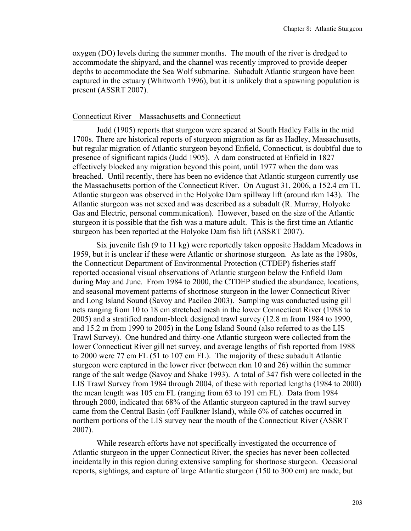oxygen (DO) levels during the summer months. The mouth of the river is dredged to accommodate the shipyard, and the channel was recently improved to provide deeper depths to accommodate the Sea Wolf submarine. Subadult Atlantic sturgeon have been captured in the estuary (Whitworth 1996), but it is unlikely that a spawning population is present (ASSRT 2007).

#### Connecticut River – Massachusetts and Connecticut

Judd (1905) reports that sturgeon were speared at South Hadley Falls in the mid 1700s. There are historical reports of sturgeon migration as far as Hadley, Massachusetts, but regular migration of Atlantic sturgeon beyond Enfield, Connecticut, is doubtful due to presence of significant rapids (Judd 1905). A dam constructed at Enfield in 1827 effectively blocked any migration beyond this point, until 1977 when the dam was breached. Until recently, there has been no evidence that Atlantic sturgeon currently use the Massachusetts portion of the Connecticut River. On August 31, 2006, a 152.4 cm TL Atlantic sturgeon was observed in the Holyoke Dam spillway lift (around rkm 143). The Atlantic sturgeon was not sexed and was described as a subadult (R. Murray, Holyoke Gas and Electric, personal communication). However, based on the size of the Atlantic sturgeon it is possible that the fish was a mature adult. This is the first time an Atlantic sturgeon has been reported at the Holyoke Dam fish lift (ASSRT 2007).

Six juvenile fish (9 to 11 kg) were reportedly taken opposite Haddam Meadows in 1959, but it is unclear if these were Atlantic or shortnose sturgeon. As late as the 1980s, the Connecticut Department of Environmental Protection (CTDEP) fisheries staff reported occasional visual observations of Atlantic sturgeon below the Enfield Dam during May and June. From 1984 to 2000, the CTDEP studied the abundance, locations, and seasonal movement patterns of shortnose sturgeon in the lower Connecticut River and Long Island Sound (Savoy and Pacileo 2003). Sampling was conducted using gill nets ranging from 10 to 18 cm stretched mesh in the lower Connecticut River (1988 to 2005) and a stratified random-block designed trawl survey (12.8 m from 1984 to 1990, and 15.2 m from 1990 to 2005) in the Long Island Sound (also referred to as the LIS Trawl Survey). One hundred and thirty-one Atlantic sturgeon were collected from the lower Connecticut River gill net survey, and average lengths of fish reported from 1988 to 2000 were 77 cm FL (51 to 107 cm FL). The majority of these subadult Atlantic sturgeon were captured in the lower river (between rkm 10 and 26) within the summer range of the salt wedge (Savoy and Shake 1993). A total of 347 fish were collected in the LIS Trawl Survey from 1984 through 2004, of these with reported lengths (1984 to 2000) the mean length was 105 cm FL (ranging from 63 to 191 cm FL). Data from 1984 through 2000, indicated that 68% of the Atlantic sturgeon captured in the trawl survey came from the Central Basin (off Faulkner Island), while 6% of catches occurred in northern portions of the LIS survey near the mouth of the Connecticut River (ASSRT 2007).

While research efforts have not specifically investigated the occurrence of Atlantic sturgeon in the upper Connecticut River, the species has never been collected incidentally in this region during extensive sampling for shortnose sturgeon. Occasional reports, sightings, and capture of large Atlantic sturgeon (150 to 300 cm) are made, but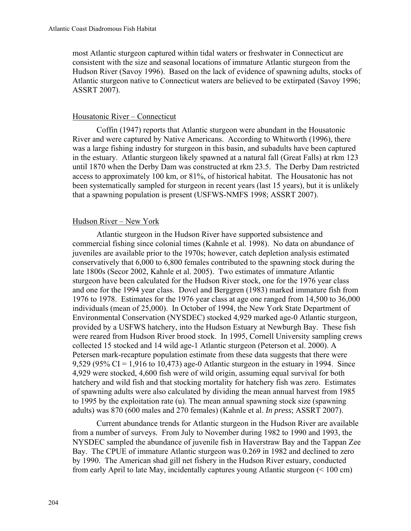most Atlantic sturgeon captured within tidal waters or freshwater in Connecticut are consistent with the size and seasonal locations of immature Atlantic sturgeon from the Hudson River (Savoy 1996). Based on the lack of evidence of spawning adults, stocks of Atlantic sturgeon native to Connecticut waters are believed to be extirpated (Savoy 1996; ASSRT 2007).

## Housatonic River – Connecticut

Coffin (1947) reports that Atlantic sturgeon were abundant in the Housatonic River and were captured by Native Americans. According to Whitworth (1996), there was a large fishing industry for sturgeon in this basin, and subadults have been captured in the estuary. Atlantic sturgeon likely spawned at a natural fall (Great Falls) at rkm 123 until 1870 when the Derby Dam was constructed at rkm 23.5. The Derby Dam restricted access to approximately 100 km, or 81%, of historical habitat. The Housatonic has not been systematically sampled for sturgeon in recent years (last 15 years), but it is unlikely that a spawning population is present (USFWS-NMFS 1998; ASSRT 2007).

# Hudson River - New York

Atlantic sturgeon in the Hudson River have supported subsistence and commercial fishing since colonial times (Kahnle et al. 1998). No data on abundance of juveniles are available prior to the 1970s; however, catch depletion analysis estimated conservatively that 6,000 to 6,800 females contributed to the spawning stock during the late 1800s (Secor 2002, Kahnle et al. 2005). Two estimates of immature Atlantic sturgeon have been calculated for the Hudson River stock, one for the 1976 year class and one for the 1994 year class. Dovel and Berggren (1983) marked immature fish from 1976 to 1978. Estimates for the 1976 year class at age one ranged from 14,500 to 36,000 individuals (mean of 25,000). In October of 1994, the New York State Department of Environmental Conservation (NYSDEC) stocked 4,929 marked age-0 Atlantic sturgeon, provided by a USFWS hatchery, into the Hudson Estuary at Newburgh Bay. These fish were reared from Hudson River brood stock. In 1995, Cornell University sampling crews collected 15 stocked and 14 wild age-1 Atlantic sturgeon (Peterson et al. 2000). A Petersen mark-recapture population estimate from these data suggests that there were 9,529 (95% CI = 1,916 to 10,473) age-0 Atlantic sturgeon in the estuary in 1994. Since 4,929 were stocked, 4,600 fish were of wild origin, assuming equal survival for both hatchery and wild fish and that stocking mortality for hatchery fish was zero. Estimates of spawning adults were also calculated by dividing the mean annual harvest from 1985 to 1995 by the exploitation rate (u). The mean annual spawning stock size (spawning adults) was 870 (600 males and 270 females) (Kahnle et al. *In press*; ASSRT 2007).

Current abundance trends for Atlantic sturgeon in the Hudson River are available from a number of surveys. From July to November during 1982 to 1990 and 1993, the NYSDEC sampled the abundance of juvenile fish in Haverstraw Bay and the Tappan Zee Bay. The CPUE of immature Atlantic sturgeon was 0.269 in 1982 and declined to zero by 1990. The American shad gill net fishery in the Hudson River estuary, conducted from early April to late May, incidentally captures young Atlantic sturgeon (< 100 cm)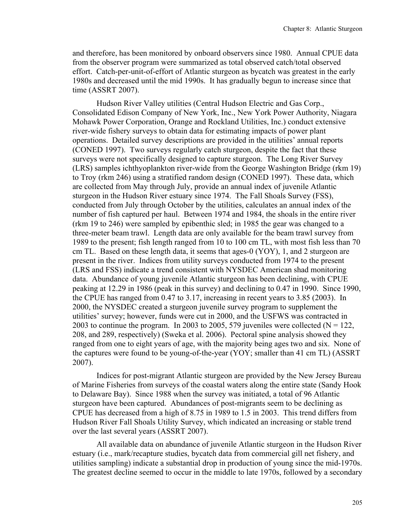and therefore, has been monitored by onboard observers since 1980. Annual CPUE data from the observer program were summarized as total observed catch/total observed effort. Catch-per-unit-of-effort of Atlantic sturgeon as bycatch was greatest in the early 1980s and decreased until the mid 1990s. It has gradually begun to increase since that time (ASSRT 2007).

Hudson River Valley utilities (Central Hudson Electric and Gas Corp., Consolidated Edison Company of New York, Inc., New York Power Authority, Niagara Mohawk Power Corporation, Orange and Rockland Utilities, Inc.) conduct extensive river-wide fishery surveys to obtain data for estimating impacts of power plant operations. Detailed survey descriptions are provided in the utilities' annual reports (CONED 1997). Two surveys regularly catch sturgeon, despite the fact that these surveys were not specifically designed to capture sturgeon. The Long River Survey (LRS) samples ichthyoplankton river-wide from the George Washington Bridge (rkm 19) to Troy (rkm 246) using a stratified random design (CONED 1997). These data, which are collected from May through July, provide an annual index of juvenile Atlantic sturgeon in the Hudson River estuary since 1974. The Fall Shoals Survey (FSS), conducted from July through October by the utilities, calculates an annual index of the number of fish captured per haul. Between 1974 and 1984, the shoals in the entire river (rkm 19 to 246) were sampled by epibenthic sled; in 1985 the gear was changed to a three-meter beam trawl. Length data are only available for the beam trawl survey from 1989 to the present; fish length ranged from 10 to 100 cm TL, with most fish less than 70 cm TL. Based on these length data, it seems that ages-0 (YOY), 1, and 2 sturgeon are present in the river. Indices from utility surveys conducted from 1974 to the present (LRS and FSS) indicate a trend consistent with NYSDEC American shad monitoring data. Abundance of young juvenile Atlantic sturgeon has been declining, with CPUE peaking at 12.29 in 1986 (peak in this survey) and declining to 0.47 in 1990. Since 1990, the CPUE has ranged from 0.47 to 3.17, increasing in recent years to 3.85 (2003). In 2000, the NYSDEC created a sturgeon juvenile survey program to supplement the utilities' survey; however, funds were cut in 2000, and the USFWS was contracted in 2003 to continue the program. In 2003 to 2005, 579 juveniles were collected  $(N = 122)$ , 208, and 289, respectively) (Sweka et al. 2006). Pectoral spine analysis showed they ranged from one to eight years of age, with the majority being ages two and six. None of the captures were found to be young-of-the-year (YOY; smaller than 41 cm TL) (ASSRT 2007).

Indices for post-migrant Atlantic sturgeon are provided by the New Jersey Bureau of Marine Fisheries from surveys of the coastal waters along the entire state (Sandy Hook to Delaware Bay). Since 1988 when the survey was initiated, a total of 96 Atlantic sturgeon have been captured. Abundances of post-migrants seem to be declining as CPUE has decreased from a high of 8.75 in 1989 to 1.5 in 2003. This trend differs from Hudson River Fall Shoals Utility Survey, which indicated an increasing or stable trend over the last several years (ASSRT 2007).

All available data on abundance of juvenile Atlantic sturgeon in the Hudson River estuary (i.e., mark/recapture studies, bycatch data from commercial gill net fishery, and utilities sampling) indicate a substantial drop in production of young since the mid-1970s. The greatest decline seemed to occur in the middle to late 1970s, followed by a secondary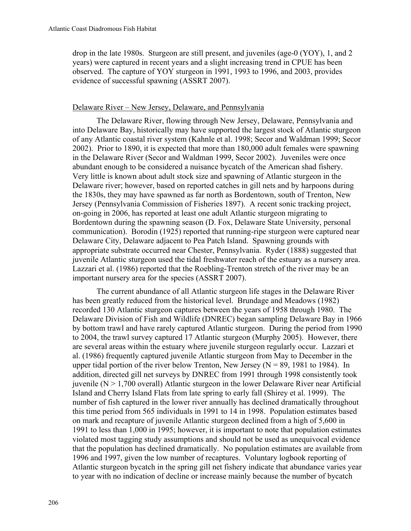drop in the late 1980s. Sturgeon are still present, and juveniles (age-0 (YOY), 1, and 2 years) were captured in recent years and a slight increasing trend in CPUE has been observed. The capture of YOY sturgeon in 1991, 1993 to 1996, and 2003, provides evidence of successful spawning (ASSRT 2007).

## Delaware River – New Jersey, Delaware, and Pennsylvania

The Delaware River, flowing through New Jersey, Delaware, Pennsylvania and into Delaware Bay, historically may have supported the largest stock of Atlantic sturgeon of any Atlantic coastal river system (Kahnle et al. 1998; Secor and Waldman 1999; Secor 2002). Prior to 1890, it is expected that more than 180,000 adult females were spawning in the Delaware River (Secor and Waldman 1999, Secor 2002). Juveniles were once abundant enough to be considered a nuisance bycatch of the American shad fishery. Very little is known about adult stock size and spawning of Atlantic sturgeon in the Delaware river; however, based on reported catches in gill nets and by harpoons during the 1830s, they may have spawned as far north as Bordentown, south of Trenton, New Jersey (Pennsylvania Commission of Fisheries 1897). A recent sonic tracking project, on-going in 2006, has reported at least one adult Atlantic sturgeon migrating to Bordentown during the spawning season (D. Fox, Delaware State University, personal communication). Borodin (1925) reported that running-ripe sturgeon were captured near Delaware City, Delaware adjacent to Pea Patch Island. Spawning grounds with appropriate substrate occurred near Chester, Pennsylvania. Ryder (1888) suggested that juvenile Atlantic sturgeon used the tidal freshwater reach of the estuary as a nursery area. Lazzari et al. (1986) reported that the Roebling-Trenton stretch of the river may be an important nursery area for the species (ASSRT 2007).

The current abundance of all Atlantic sturgeon life stages in the Delaware River has been greatly reduced from the historical level. Brundage and Meadows (1982) recorded 130 Atlantic sturgeon captures between the years of 1958 through 1980. The Delaware Division of Fish and Wildlife (DNREC) began sampling Delaware Bay in 1966 by bottom trawl and have rarely captured Atlantic sturgeon. During the period from 1990 to 2004, the trawl survey captured 17 Atlantic sturgeon (Murphy 2005). However, there are several areas within the estuary where juvenile sturgeon regularly occur. Lazzari et al. (1986) frequently captured juvenile Atlantic sturgeon from May to December in the upper tidal portion of the river below Trenton, New Jersey ( $N = 89$ , 1981 to 1984). In addition, directed gill net surveys by DNREC from 1991 through 1998 consistently took juvenile ( $N > 1,700$  overall) Atlantic sturgeon in the lower Delaware River near Artificial Island and Cherry Island Flats from late spring to early fall (Shirey et al. 1999). The number of fish captured in the lower river annually has declined dramatically throughout this time period from 565 individuals in 1991 to 14 in 1998. Population estimates based on mark and recapture of juvenile Atlantic sturgeon declined from a high of 5,600 in 1991 to less than 1,000 in 1995; however, it is important to note that population estimates violated most tagging study assumptions and should not be used as unequivocal evidence that the population has declined dramatically. No population estimates are available from 1996 and 1997, given the low number of recaptures. Voluntary logbook reporting of Atlantic sturgeon bycatch in the spring gill net fishery indicate that abundance varies year to year with no indication of decline or increase mainly because the number of bycatch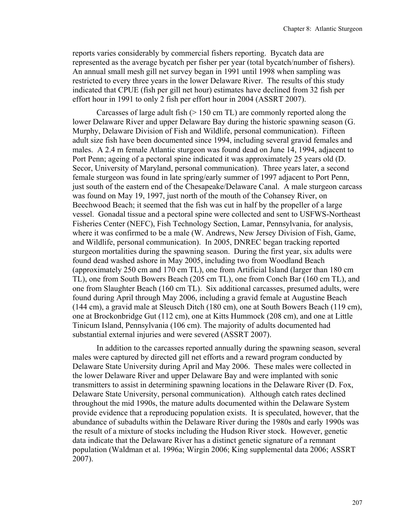reports varies considerably by commercial fishers reporting. Bycatch data are represented as the average bycatch per fisher per year (total bycatch/number of fishers). An annual small mesh gill net survey began in 1991 until 1998 when sampling was restricted to every three years in the lower Delaware River. The results of this study indicated that CPUE (fish per gill net hour) estimates have declined from 32 fish per effort hour in 1991 to only 2 fish per effort hour in 2004 (ASSRT 2007).

Carcasses of large adult fish  $(> 150 \text{ cm} \text{ TL})$  are commonly reported along the lower Delaware River and upper Delaware Bay during the historic spawning season (G. Murphy, Delaware Division of Fish and Wildlife, personal communication). Fifteen adult size fish have been documented since 1994, including several gravid females and males. A 2.4 m female Atlantic sturgeon was found dead on June 14, 1994, adjacent to Port Penn; ageing of a pectoral spine indicated it was approximately 25 years old (D. Secor, University of Maryland, personal communication). Three years later, a second female sturgeon was found in late spring/early summer of 1997 adjacent to Port Penn, just south of the eastern end of the Chesapeake/Delaware Canal. A male sturgeon carcass was found on May 19, 1997, just north of the mouth of the Cohansey River, on Beechwood Beach; it seemed that the fish was cut in half by the propeller of a large vessel. Gonadal tissue and a pectoral spine were collected and sent to USFWS-Northeast Fisheries Center (NEFC), Fish Technology Section, Lamar, Pennsylvania, for analysis, where it was confirmed to be a male (W. Andrews, New Jersey Division of Fish, Game, and Wildlife, personal communication). In 2005, DNREC began tracking reported sturgeon mortalities during the spawning season. During the first year, six adults were found dead washed ashore in May 2005, including two from Woodland Beach (approximately 250 cm and 170 cm TL), one from Artificial Island (larger than 180 cm TL), one from South Bowers Beach (205 cm TL), one from Conch Bar (160 cm TL), and one from Slaughter Beach (160 cm TL). Six additional carcasses, presumed adults, were found during April through May 2006, including a gravid female at Augustine Beach (144 cm), a gravid male at Sleusch Ditch (180 cm), one at South Bowers Beach (119 cm), one at Brockonbridge Gut (112 cm), one at Kitts Hummock (208 cm), and one at Little Tinicum Island, Pennsylvania (106 cm). The majority of adults documented had substantial external injuries and were severed (ASSRT 2007).

In addition to the carcasses reported annually during the spawning season, several males were captured by directed gill net efforts and a reward program conducted by Delaware State University during April and May 2006. These males were collected in the lower Delaware River and upper Delaware Bay and were implanted with sonic transmitters to assist in determining spawning locations in the Delaware River (D. Fox, Delaware State University, personal communication). Although catch rates declined throughout the mid 1990s, the mature adults documented within the Delaware System provide evidence that a reproducing population exists. It is speculated, however, that the abundance of subadults within the Delaware River during the 1980s and early 1990s was the result of a mixture of stocks including the Hudson River stock. However, genetic data indicate that the Delaware River has a distinct genetic signature of a remnant population (Waldman et al. 1996a; Wirgin 2006; King supplemental data 2006; ASSRT 2007).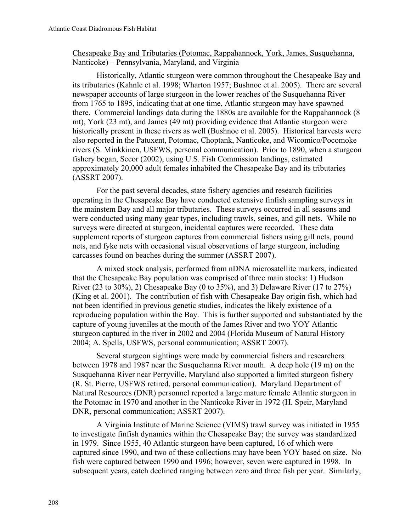# Chesapeake Bay and Tributaries (Potomac, Rappahannock, York, James, Susquehanna, Nanticoke) – Pennsylvania, Maryland, and Virginia

Historically, Atlantic sturgeon were common throughout the Chesapeake Bay and its tributaries (Kahnle et al. 1998; Wharton 1957; Bushnoe et al. 2005). There are several newspaper accounts of large sturgeon in the lower reaches of the Susquehanna River from 1765 to 1895, indicating that at one time, Atlantic sturgeon may have spawned there. Commercial landings data during the 1880s are available for the Rappahannock (8 mt), York (23 mt), and James (49 mt) providing evidence that Atlantic sturgeon were historically present in these rivers as well (Bushnoe et al. 2005). Historical harvests were also reported in the Patuxent, Potomac, Choptank, Nanticoke, and Wicomico/Pocomoke rivers (S. Minkkinen, USFWS, personal communication). Prior to 1890, when a sturgeon fishery began, Secor (2002), using U.S. Fish Commission landings, estimated approximately 20,000 adult females inhabited the Chesapeake Bay and its tributaries (ASSRT 2007).

For the past several decades, state fishery agencies and research facilities operating in the Chesapeake Bay have conducted extensive finfish sampling surveys in the mainstem Bay and all major tributaries. These surveys occurred in all seasons and were conducted using many gear types, including trawls, seines, and gill nets. While no surveys were directed at sturgeon, incidental captures were recorded. These data supplement reports of sturgeon captures from commercial fishers using gill nets, pound nets, and fyke nets with occasional visual observations of large sturgeon, including carcasses found on beaches during the summer (ASSRT 2007).

A mixed stock analysis, performed from nDNA microsatellite markers, indicated that the Chesapeake Bay population was comprised of three main stocks: 1) Hudson River (23 to 30%), 2) Chesapeake Bay (0 to 35%), and 3) Delaware River (17 to 27%) (King et al. 2001). The contribution of fish with Chesapeake Bay origin fish, which had not been identified in previous genetic studies, indicates the likely existence of a reproducing population within the Bay. This is further supported and substantiated by the capture of young juveniles at the mouth of the James River and two YOY Atlantic sturgeon captured in the river in 2002 and 2004 (Florida Museum of Natural History 2004; A. Spells, USFWS, personal communication; ASSRT 2007).

Several sturgeon sightings were made by commercial fishers and researchers between 1978 and 1987 near the Susquehanna River mouth. A deep hole (19 m) on the Susquehanna River near Perryville, Maryland also supported a limited sturgeon fishery (R. St. Pierre, USFWS retired, personal communication). Maryland Department of Natural Resources (DNR) personnel reported a large mature female Atlantic sturgeon in the Potomac in 1970 and another in the Nanticoke River in 1972 (H. Speir, Maryland DNR, personal communication; ASSRT 2007).

A Virginia Institute of Marine Science (VIMS) trawl survey was initiated in 1955 to investigate finfish dynamics within the Chesapeake Bay; the survey was standardized in 1979. Since 1955, 40 Atlantic sturgeon have been captured, 16 of which were captured since 1990, and two of these collections may have been YOY based on size. No fish were captured between 1990 and 1996; however, seven were captured in 1998. In subsequent years, catch declined ranging between zero and three fish per year. Similarly,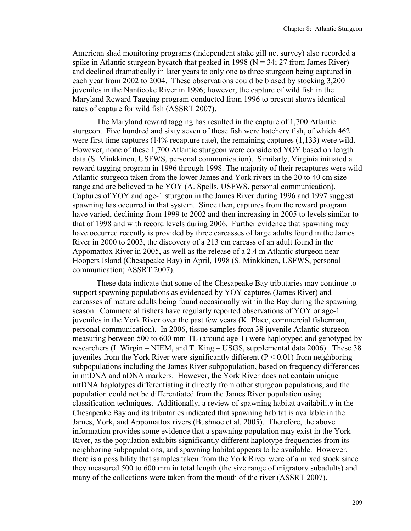American shad monitoring programs (independent stake gill net survey) also recorded a spike in Atlantic sturgeon bycatch that peaked in 1998 ( $N = 34$ ; 27 from James River) and declined dramatically in later years to only one to three sturgeon being captured in each year from 2002 to 2004. These observations could be biased by stocking 3,200 juveniles in the Nanticoke River in 1996; however, the capture of wild fish in the Maryland Reward Tagging program conducted from 1996 to present shows identical rates of capture for wild fish (ASSRT 2007).

The Maryland reward tagging has resulted in the capture of 1,700 Atlantic sturgeon. Five hundred and sixty seven of these fish were hatchery fish, of which 462 were first time captures (14% recapture rate), the remaining captures (1,133) were wild. However, none of these 1,700 Atlantic sturgeon were considered YOY based on length data (S. Minkkinen, USFWS, personal communication). Similarly, Virginia initiated a reward tagging program in 1996 through 1998. The majority of their recaptures were wild Atlantic sturgeon taken from the lower James and York rivers in the 20 to 40 cm size range and are believed to be YOY (A. Spells, USFWS, personal communication). Captures of YOY and age-1 sturgeon in the James River during 1996 and 1997 suggest spawning has occurred in that system. Since then, captures from the reward program have varied, declining from 1999 to 2002 and then increasing in 2005 to levels similar to that of 1998 and with record levels during 2006. Further evidence that spawning may have occurred recently is provided by three carcasses of large adults found in the James River in 2000 to 2003, the discovery of a 213 cm carcass of an adult found in the Appomattox River in 2005, as well as the release of a 2.4 m Atlantic sturgeon near Hoopers Island (Chesapeake Bay) in April, 1998 (S. Minkkinen, USFWS, personal communication; ASSRT 2007).

These data indicate that some of the Chesapeake Bay tributaries may continue to support spawning populations as evidenced by YOY captures (James River) and carcasses of mature adults being found occasionally within the Bay during the spawning season. Commercial fishers have regularly reported observations of YOY or age-1 juveniles in the York River over the past few years (K. Place, commercial fisherman, personal communication). In 2006, tissue samples from 38 juvenile Atlantic sturgeon measuring between 500 to 600 mm TL (around age-1) were haplotyped and genotyped by researchers (I. Wirgin – NIEM, and T. King – USGS, supplemental data 2006). These 38 juveniles from the York River were significantly different  $(P < 0.01)$  from neighboring subpopulations including the James River subpopulation, based on frequency differences in mtDNA and nDNA markers. However, the York River does not contain unique mtDNA haplotypes differentiating it directly from other sturgeon populations, and the population could not be differentiated from the James River population using classification techniques. Additionally, a review of spawning habitat availability in the Chesapeake Bay and its tributaries indicated that spawning habitat is available in the James, York, and Appomattox rivers (Bushnoe et al. 2005). Therefore, the above information provides some evidence that a spawning population may exist in the York River, as the population exhibits significantly different haplotype frequencies from its neighboring subpopulations, and spawning habitat appears to be available. However, there is a possibility that samples taken from the York River were of a mixed stock since they measured 500 to 600 mm in total length (the size range of migratory subadults) and many of the collections were taken from the mouth of the river (ASSRT 2007).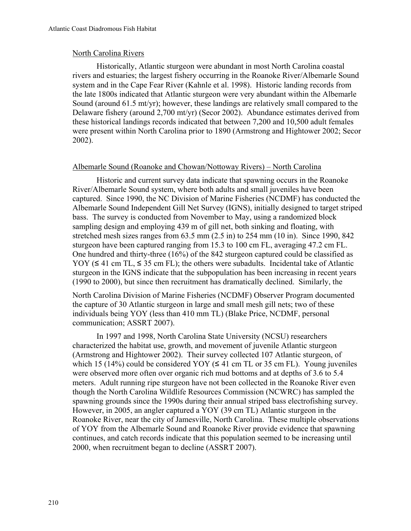# North Carolina Rivers

Historically, Atlantic sturgeon were abundant in most North Carolina coastal rivers and estuaries; the largest fishery occurring in the Roanoke River/Albemarle Sound system and in the Cape Fear River (Kahnle et al. 1998). Historic landing records from the late 1800s indicated that Atlantic sturgeon were very abundant within the Albemarle Sound (around 61.5 mt/yr); however, these landings are relatively small compared to the Delaware fishery (around 2,700 mt/yr) (Secor 2002). Abundance estimates derived from these historical landings records indicated that between 7,200 and 10,500 adult females were present within North Carolina prior to 1890 (Armstrong and Hightower 2002; Secor 2002).

# Albemarle Sound (Roanoke and Chowan/Nottoway Rivers) – North Carolina

Historic and current survey data indicate that spawning occurs in the Roanoke River/Albemarle Sound system, where both adults and small juveniles have been captured. Since 1990, the NC Division of Marine Fisheries (NCDMF) has conducted the Albemarle Sound Independent Gill Net Survey (IGNS), initially designed to target striped bass. The survey is conducted from November to May, using a randomized block sampling design and employing 439 m of gill net, both sinking and floating, with stretched mesh sizes ranges from 63.5 mm (2.5 in) to 254 mm (10 in). Since 1990, 842 sturgeon have been captured ranging from 15.3 to 100 cm FL, averaging 47.2 cm FL. One hundred and thirty-three (16%) of the 842 sturgeon captured could be classified as YOY ( $\leq 41$  cm TL,  $\leq 35$  cm FL); the others were subadults. Incidental take of Atlantic sturgeon in the IGNS indicate that the subpopulation has been increasing in recent years (1990 to 2000), but since then recruitment has dramatically declined. Similarly, the

North Carolina Division of Marine Fisheries (NCDMF) Observer Program documented the capture of 30 Atlantic sturgeon in large and small mesh gill nets; two of these individuals being YOY (less than 410 mm TL) (Blake Price, NCDMF, personal communication; ASSRT 2007).

In 1997 and 1998, North Carolina State University (NCSU) researchers characterized the habitat use, growth, and movement of juvenile Atlantic sturgeon (Armstrong and Hightower 2002). Their survey collected 107 Atlantic sturgeon, of which 15 (14%) could be considered YOY ( $\leq$  41 cm TL or 35 cm FL). Young juveniles were observed more often over organic rich mud bottoms and at depths of 3.6 to 5.4 meters. Adult running ripe sturgeon have not been collected in the Roanoke River even though the North Carolina Wildlife Resources Commission (NCWRC) has sampled the spawning grounds since the 1990s during their annual striped bass electrofishing survey. However, in 2005, an angler captured a YOY (39 cm TL) Atlantic sturgeon in the Roanoke River, near the city of Jamesville, North Carolina. These multiple observations of YOY from the Albemarle Sound and Roanoke River provide evidence that spawning continues, and catch records indicate that this population seemed to be increasing until 2000, when recruitment began to decline (ASSRT 2007).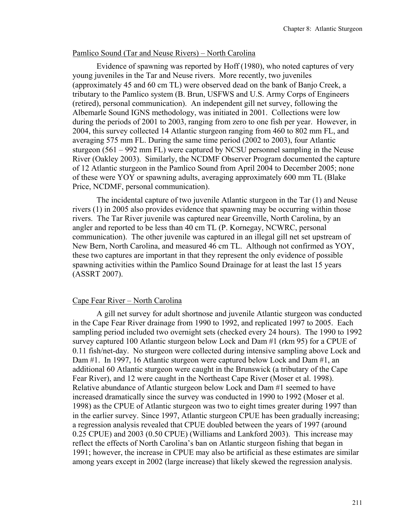# Pamlico Sound (Tar and Neuse Rivers) – North Carolina

Evidence of spawning was reported by Hoff (1980), who noted captures of very young juveniles in the Tar and Neuse rivers. More recently, two juveniles (approximately 45 and 60 cm TL) were observed dead on the bank of Banjo Creek, a tributary to the Pamlico system (B. Brun, USFWS and U.S. Army Corps of Engineers (retired), personal communication). An independent gill net survey, following the Albemarle Sound IGNS methodology, was initiated in 2001. Collections were low during the periods of 2001 to 2003, ranging from zero to one fish per year. However, in 2004, this survey collected 14 Atlantic sturgeon ranging from 460 to 802 mm FL, and averaging 575 mm FL. During the same time period (2002 to 2003), four Atlantic sturgeon (561 – 992 mm FL) were captured by NCSU personnel sampling in the Neuse River (Oakley 2003). Similarly, the NCDMF Observer Program documented the capture of 12 Atlantic sturgeon in the Pamlico Sound from April 2004 to December 2005; none of these were YOY or spawning adults, averaging approximately 600 mm TL (Blake Price, NCDMF, personal communication).

The incidental capture of two juvenile Atlantic sturgeon in the Tar (1) and Neuse rivers (1) in 2005 also provides evidence that spawning may be occurring within those rivers. The Tar River juvenile was captured near Greenville, North Carolina, by an angler and reported to be less than 40 cm TL (P. Kornegay, NCWRC, personal communication). The other juvenile was captured in an illegal gill net set upstream of New Bern, North Carolina, and measured 46 cm TL. Although not confirmed as YOY, these two captures are important in that they represent the only evidence of possible spawning activities within the Pamlico Sound Drainage for at least the last 15 years (ASSRT 2007).

# Cape Fear River – North Carolina

A gill net survey for adult shortnose and juvenile Atlantic sturgeon was conducted in the Cape Fear River drainage from 1990 to 1992, and replicated 1997 to 2005. Each sampling period included two overnight sets (checked every 24 hours). The 1990 to 1992 survey captured 100 Atlantic sturgeon below Lock and Dam #1 (rkm 95) for a CPUE of 0.11 fish/net-day. No sturgeon were collected during intensive sampling above Lock and Dam #1. In 1997, 16 Atlantic sturgeon were captured below Lock and Dam #1, an additional 60 Atlantic sturgeon were caught in the Brunswick (a tributary of the Cape Fear River), and 12 were caught in the Northeast Cape River (Moser et al. 1998). Relative abundance of Atlantic sturgeon below Lock and Dam #1 seemed to have increased dramatically since the survey was conducted in 1990 to 1992 (Moser et al. 1998) as the CPUE of Atlantic sturgeon was two to eight times greater during 1997 than in the earlier survey. Since 1997, Atlantic sturgeon CPUE has been gradually increasing; a regression analysis revealed that CPUE doubled between the years of 1997 (around 0.25 CPUE) and 2003 (0.50 CPUE) (Williams and Lankford 2003). This increase may reflect the effects of North Carolina's ban on Atlantic sturgeon fishing that began in 1991; however, the increase in CPUE may also be artificial as these estimates are similar among years except in 2002 (large increase) that likely skewed the regression analysis.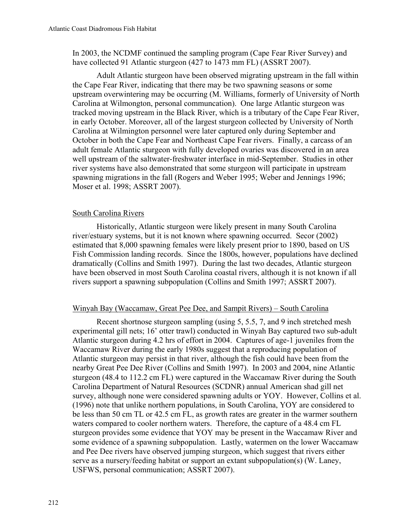In 2003, the NCDMF continued the sampling program (Cape Fear River Survey) and have collected 91 Atlantic sturgeon (427 to 1473 mm FL) (ASSRT 2007).

Adult Atlantic sturgeon have been observed migrating upstream in the fall within the Cape Fear River, indicating that there may be two spawning seasons or some upstream overwintering may be occurring (M. Williams, formerly of University of North Carolina at Wilmongton, personal communcation). One large Atlantic sturgeon was tracked moving upstream in the Black River, which is a tributary of the Cape Fear River, in early October. Moreover, all of the largest sturgeon collected by University of North Carolina at Wilmington personnel were later captured only during September and October in both the Cape Fear and Northeast Cape Fear rivers. Finally, a carcass of an adult female Atlantic sturgeon with fully developed ovaries was discovered in an area well upstream of the saltwater-freshwater interface in mid-September. Studies in other river systems have also demonstrated that some sturgeon will participate in upstream spawning migrations in the fall (Rogers and Weber 1995; Weber and Jennings 1996; Moser et al. 1998; ASSRT 2007).

# South Carolina Rivers

Historically, Atlantic sturgeon were likely present in many South Carolina river/estuary systems, but it is not known where spawning occurred. Secor (2002) estimated that 8,000 spawning females were likely present prior to 1890, based on US Fish Commission landing records. Since the 1800s, however, populations have declined dramatically (Collins and Smith 1997). During the last two decades, Atlantic sturgeon have been observed in most South Carolina coastal rivers, although it is not known if all rivers support a spawning subpopulation (Collins and Smith 1997; ASSRT 2007).

# Winyah Bay (Waccamaw, Great Pee Dee, and Sampit Rivers) – South Carolina

Recent shortnose sturgeon sampling (using 5, 5.5, 7, and 9 inch stretched mesh experimental gill nets; 16' otter trawl) conducted in Winyah Bay captured two sub-adult Atlantic sturgeon during 4.2 hrs of effort in 2004. Captures of age-1 juveniles from the Waccamaw River during the early 1980s suggest that a reproducing population of Atlantic sturgeon may persist in that river, although the fish could have been from the nearby Great Pee Dee River (Collins and Smith 1997). In 2003 and 2004, nine Atlantic sturgeon (48.4 to 112.2 cm FL) were captured in the Waccamaw River during the South Carolina Department of Natural Resources (SCDNR) annual American shad gill net survey, although none were considered spawning adults or YOY. However, Collins et al. (1996) note that unlike northern populations, in South Carolina, YOY are considered to be less than 50 cm TL or 42.5 cm FL, as growth rates are greater in the warmer southern waters compared to cooler northern waters. Therefore, the capture of a 48.4 cm FL sturgeon provides some evidence that YOY may be present in the Waccamaw River and some evidence of a spawning subpopulation. Lastly, watermen on the lower Waccamaw and Pee Dee rivers have observed jumping sturgeon, which suggest that rivers either serve as a nursery/feeding habitat or support an extant subpopulation(s) (W. Laney, USFWS, personal communication; ASSRT 2007).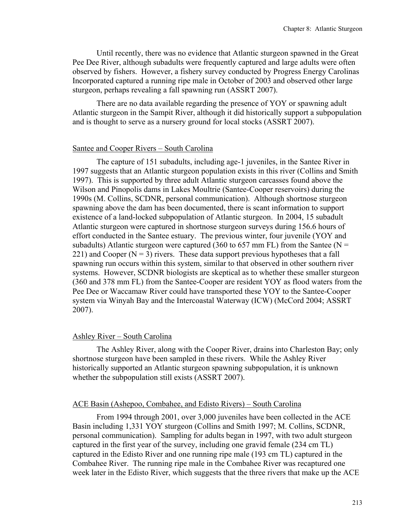Until recently, there was no evidence that Atlantic sturgeon spawned in the Great Pee Dee River, although subadults were frequently captured and large adults were often observed by fishers. However, a fishery survey conducted by Progress Energy Carolinas Incorporated captured a running ripe male in October of 2003 and observed other large sturgeon, perhaps revealing a fall spawning run (ASSRT 2007).

There are no data available regarding the presence of YOY or spawning adult Atlantic sturgeon in the Sampit River, although it did historically support a subpopulation and is thought to serve as a nursery ground for local stocks (ASSRT 2007).

## Santee and Cooper Rivers – South Carolina

The capture of 151 subadults, including age-1 juveniles, in the Santee River in 1997 suggests that an Atlantic sturgeon population exists in this river (Collins and Smith 1997). This is supported by three adult Atlantic sturgeon carcasses found above the Wilson and Pinopolis dams in Lakes Moultrie (Santee-Cooper reservoirs) during the 1990s (M. Collins, SCDNR, personal communication). Although shortnose sturgeon spawning above the dam has been documented, there is scant information to support existence of a land-locked subpopulation of Atlantic sturgeon. In 2004, 15 subadult Atlantic sturgeon were captured in shortnose sturgeon surveys during 156.6 hours of effort conducted in the Santee estuary. The previous winter, four juvenile (YOY and subadults) Atlantic sturgeon were captured (360 to 657 mm FL) from the Santee ( $N =$ 221) and Cooper  $(N = 3)$  rivers. These data support previous hypotheses that a fall spawning run occurs within this system, similar to that observed in other southern river systems. However, SCDNR biologists are skeptical as to whether these smaller sturgeon (360 and 378 mm FL) from the Santee-Cooper are resident YOY as flood waters from the Pee Dee or Waccamaw River could have transported these YOY to the Santee-Cooper system via Winyah Bay and the Intercoastal Waterway (ICW) (McCord 2004; ASSRT 2007).

## Ashley River – South Carolina

The Ashley River, along with the Cooper River, drains into Charleston Bay; only shortnose sturgeon have been sampled in these rivers. While the Ashley River historically supported an Atlantic sturgeon spawning subpopulation, it is unknown whether the subpopulation still exists (ASSRT 2007).

## ACE Basin (Ashepoo, Combahee, and Edisto Rivers) – South Carolina

From 1994 through 2001, over 3,000 juveniles have been collected in the ACE Basin including 1,331 YOY sturgeon (Collins and Smith 1997; M. Collins, SCDNR, personal communication). Sampling for adults began in 1997, with two adult sturgeon captured in the first year of the survey, including one gravid female (234 cm TL) captured in the Edisto River and one running ripe male (193 cm TL) captured in the Combahee River. The running ripe male in the Combahee River was recaptured one week later in the Edisto River, which suggests that the three rivers that make up the ACE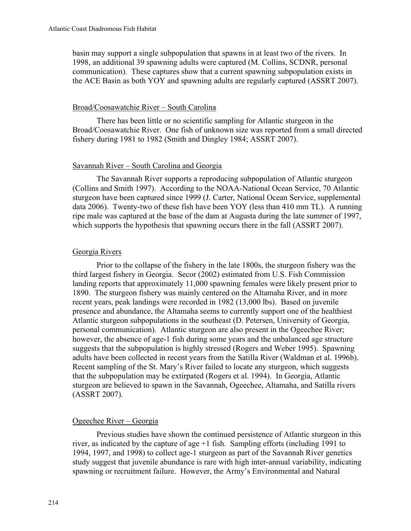basin may support a single subpopulation that spawns in at least two of the rivers. In 1998, an additional 39 spawning adults were captured (M. Collins, SCDNR, personal communication). These captures show that a current spawning subpopulation exists in the ACE Basin as both YOY and spawning adults are regularly captured (ASSRT 2007).

## Broad/Coosawatchie River – South Carolina

There has been little or no scientific sampling for Atlantic sturgeon in the Broad/Coosawatchie River. One fish of unknown size was reported from a small directed fishery during 1981 to 1982 (Smith and Dingley 1984; ASSRT 2007).

## Savannah River – South Carolina and Georgia

The Savannah River supports a reproducing subpopulation of Atlantic sturgeon (Collins and Smith 1997). According to the NOAA-National Ocean Service, 70 Atlantic sturgeon have been captured since 1999 (J. Carter, National Ocean Service, supplemental data 2006). Twenty-two of these fish have been YOY (less than 410 mm TL). A running ripe male was captured at the base of the dam at Augusta during the late summer of 1997, which supports the hypothesis that spawning occurs there in the fall (ASSRT 2007).

## Georgia Rivers

Prior to the collapse of the fishery in the late 1800s, the sturgeon fishery was the third largest fishery in Georgia. Secor (2002) estimated from U.S. Fish Commission landing reports that approximately 11,000 spawning females were likely present prior to 1890. The sturgeon fishery was mainly centered on the Altamaha River, and in more recent years, peak landings were recorded in 1982 (13,000 lbs). Based on juvenile presence and abundance, the Altamaha seems to currently support one of the healthiest Atlantic sturgeon subpopulations in the southeast (D. Petersen, University of Georgia, personal communication). Atlantic sturgeon are also present in the Ogeechee River; however, the absence of age-1 fish during some years and the unbalanced age structure suggests that the subpopulation is highly stressed (Rogers and Weber 1995). Spawning adults have been collected in recent years from the Satilla River (Waldman et al. 1996b). Recent sampling of the St. Mary's River failed to locate any sturgeon, which suggests that the subpopulation may be extirpated (Rogers et al. 1994). In Georgia, Atlantic sturgeon are believed to spawn in the Savannah, Ogeechee, Altamaha, and Satilla rivers (ASSRT 2007).

#### Ogeechee River – Georgia

Previous studies have shown the continued persistence of Atlantic sturgeon in this river, as indicated by the capture of age +1 fish. Sampling efforts (including 1991 to 1994, 1997, and 1998) to collect age-1 sturgeon as part of the Savannah River genetics study suggest that juvenile abundance is rare with high inter-annual variability, indicating spawning or recruitment failure. However, the Army's Environmental and Natural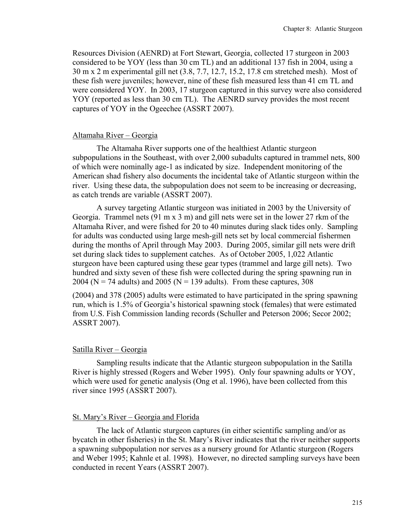Resources Division (AENRD) at Fort Stewart, Georgia, collected 17 sturgeon in 2003 considered to be YOY (less than 30 cm TL) and an additional 137 fish in 2004, using a 30 m x 2 m experimental gill net (3.8, 7.7, 12.7, 15.2, 17.8 cm stretched mesh). Most of these fish were juveniles; however, nine of these fish measured less than 41 cm TL and were considered YOY. In 2003, 17 sturgeon captured in this survey were also considered YOY (reported as less than 30 cm TL). The AENRD survey provides the most recent captures of YOY in the Ogeechee (ASSRT 2007).

## Altamaha River – Georgia

The Altamaha River supports one of the healthiest Atlantic sturgeon subpopulations in the Southeast, with over 2,000 subadults captured in trammel nets, 800 of which were nominally age-1 as indicated by size. Independent monitoring of the American shad fishery also documents the incidental take of Atlantic sturgeon within the river. Using these data, the subpopulation does not seem to be increasing or decreasing, as catch trends are variable (ASSRT 2007).

A survey targeting Atlantic sturgeon was initiated in 2003 by the University of Georgia. Trammel nets (91 m x 3 m) and gill nets were set in the lower 27 rkm of the Altamaha River, and were fished for 20 to 40 minutes during slack tides only. Sampling for adults was conducted using large mesh-gill nets set by local commercial fishermen during the months of April through May 2003. During 2005, similar gill nets were drift set during slack tides to supplement catches. As of October 2005, 1,022 Atlantic sturgeon have been captured using these gear types (trammel and large gill nets). Two hundred and sixty seven of these fish were collected during the spring spawning run in 2004 ( $N = 74$  adults) and 2005 ( $N = 139$  adults). From these captures, 308

(2004) and 378 (2005) adults were estimated to have participated in the spring spawning run, which is 1.5% of Georgia's historical spawning stock (females) that were estimated from U.S. Fish Commission landing records (Schuller and Peterson 2006; Secor 2002; ASSRT 2007).

## Satilla River – Georgia

Sampling results indicate that the Atlantic sturgeon subpopulation in the Satilla River is highly stressed (Rogers and Weber 1995). Only four spawning adults or YOY, which were used for genetic analysis (Ong et al. 1996), have been collected from this river since 1995 (ASSRT 2007).

## St. Mary's River – Georgia and Florida

The lack of Atlantic sturgeon captures (in either scientific sampling and/or as bycatch in other fisheries) in the St. Mary's River indicates that the river neither supports a spawning subpopulation nor serves as a nursery ground for Atlantic sturgeon (Rogers and Weber 1995; Kahnle et al. 1998). However, no directed sampling surveys have been conducted in recent Years (ASSRT 2007).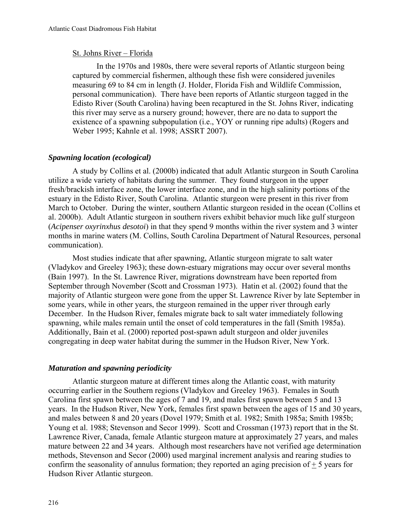## St. Johns River – Florida

In the 1970s and 1980s, there were several reports of Atlantic sturgeon being captured by commercial fishermen, although these fish were considered juveniles measuring 69 to 84 cm in length (J. Holder, Florida Fish and Wildlife Commission, personal communication). There have been reports of Atlantic sturgeon tagged in the Edisto River (South Carolina) having been recaptured in the St. Johns River, indicating this river may serve as a nursery ground; however, there are no data to support the existence of a spawning subpopulation (i.e., YOY or running ripe adults) (Rogers and Weber 1995; Kahnle et al. 1998; ASSRT 2007).

## *Spawning location (ecological)*

A study by Collins et al. (2000b) indicated that adult Atlantic sturgeon in South Carolina utilize a wide variety of habitats during the summer. They found sturgeon in the upper fresh/brackish interface zone, the lower interface zone, and in the high salinity portions of the estuary in the Edisto River, South Carolina. Atlantic sturgeon were present in this river from March to October. During the winter, southern Atlantic sturgeon resided in the ocean (Collins et al. 2000b). Adult Atlantic sturgeon in southern rivers exhibit behavior much like gulf sturgeon (*Acipenser oxyrinxhus desotoi*) in that they spend 9 months within the river system and 3 winter months in marine waters (M. Collins, South Carolina Department of Natural Resources, personal communication).

Most studies indicate that after spawning, Atlantic sturgeon migrate to salt water (Vladykov and Greeley 1963); these down-estuary migrations may occur over several months (Bain 1997). In the St. Lawrence River, migrations downstream have been reported from September through November (Scott and Crossman 1973). Hatin et al. (2002) found that the majority of Atlantic sturgeon were gone from the upper St. Lawrence River by late September in some years, while in other years, the sturgeon remained in the upper river through early December. In the Hudson River, females migrate back to salt water immediately following spawning, while males remain until the onset of cold temperatures in the fall (Smith 1985a). Additionally, Bain et al. (2000) reported post-spawn adult sturgeon and older juveniles congregating in deep water habitat during the summer in the Hudson River, New York.

## *Maturation and spawning periodicity*

Atlantic sturgeon mature at different times along the Atlantic coast, with maturity occurring earlier in the Southern regions (Vladykov and Greeley 1963). Females in South Carolina first spawn between the ages of 7 and 19, and males first spawn between 5 and 13 years. In the Hudson River, New York, females first spawn between the ages of 15 and 30 years, and males between 8 and 20 years (Dovel 1979; Smith et al. 1982; Smith 1985a; Smith 1985b; Young et al. 1988; Stevenson and Secor 1999). Scott and Crossman (1973) report that in the St. Lawrence River, Canada, female Atlantic sturgeon mature at approximately 27 years, and males mature between 22 and 34 years. Although most researchers have not verified age determination methods, Stevenson and Secor (2000) used marginal increment analysis and rearing studies to confirm the seasonality of annulus formation; they reported an aging precision of  $\pm$  5 years for Hudson River Atlantic sturgeon.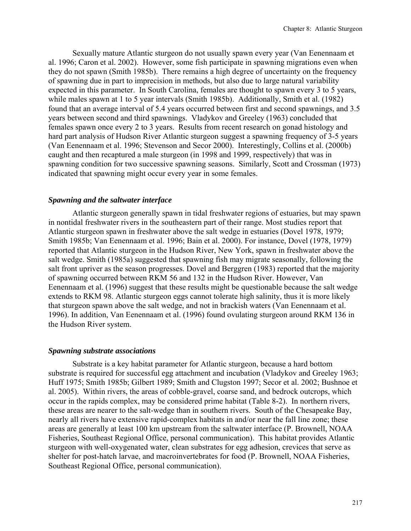Sexually mature Atlantic sturgeon do not usually spawn every year (Van Eenennaam et al. 1996; Caron et al. 2002). However, some fish participate in spawning migrations even when they do not spawn (Smith 1985b). There remains a high degree of uncertainty on the frequency of spawning due in part to imprecision in methods, but also due to large natural variability expected in this parameter. In South Carolina, females are thought to spawn every 3 to 5 years, while males spawn at 1 to 5 year intervals (Smith 1985b). Additionally, Smith et al. (1982) found that an average interval of 5.4 years occurred between first and second spawnings, and 3.5 years between second and third spawnings. Vladykov and Greeley (1963) concluded that females spawn once every 2 to 3 years. Results from recent research on gonad histology and hard part analysis of Hudson River Atlantic sturgeon suggest a spawning frequency of 3-5 years (Van Eenennaam et al. 1996; Stevenson and Secor 2000). Interestingly, Collins et al. (2000b) caught and then recaptured a male sturgeon (in 1998 and 1999, respectively) that was in spawning condition for two successive spawning seasons. Similarly, Scott and Crossman (1973) indicated that spawning might occur every year in some females.

## *Spawning and the saltwater interface*

Atlantic sturgeon generally spawn in tidal freshwater regions of estuaries, but may spawn in nontidal freshwater rivers in the southeastern part of their range. Most studies report that Atlantic sturgeon spawn in freshwater above the salt wedge in estuaries (Dovel 1978, 1979; Smith 1985b; Van Eenennaam et al. 1996; Bain et al. 2000). For instance, Dovel (1978, 1979) reported that Atlantic sturgeon in the Hudson River, New York, spawn in freshwater above the salt wedge. Smith (1985a) suggested that spawning fish may migrate seasonally, following the salt front upriver as the season progresses. Dovel and Berggren (1983) reported that the majority of spawning occurred between RKM 56 and 132 in the Hudson River. However, Van Eenennaam et al. (1996) suggest that these results might be questionable because the salt wedge extends to RKM 98. Atlantic sturgeon eggs cannot tolerate high salinity, thus it is more likely that sturgeon spawn above the salt wedge, and not in brackish waters (Van Eenennaam et al. 1996). In addition, Van Eenennaam et al. (1996) found ovulating sturgeon around RKM 136 in the Hudson River system.

#### *Spawning substrate associations*

Substrate is a key habitat parameter for Atlantic sturgeon, because a hard bottom substrate is required for successful egg attachment and incubation (Vladykov and Greeley 1963; Huff 1975; Smith 1985b; Gilbert 1989; Smith and Clugston 1997; Secor et al. 2002; Bushnoe et al. 2005). Within rivers, the areas of cobble-gravel, coarse sand, and bedrock outcrops, which occur in the rapids complex, may be considered prime habitat (Table 8-2). In northern rivers, these areas are nearer to the salt-wedge than in southern rivers. South of the Chesapeake Bay, nearly all rivers have extensive rapid-complex habitats in and/or near the fall line zone; these areas are generally at least 100 km upstream from the saltwater interface (P. Brownell, NOAA Fisheries, Southeast Regional Office, personal communication). This habitat provides Atlantic sturgeon with well-oxygenated water, clean substrates for egg adhesion, crevices that serve as shelter for post-hatch larvae, and macroinvertebrates for food (P. Brownell, NOAA Fisheries, Southeast Regional Office, personal communication).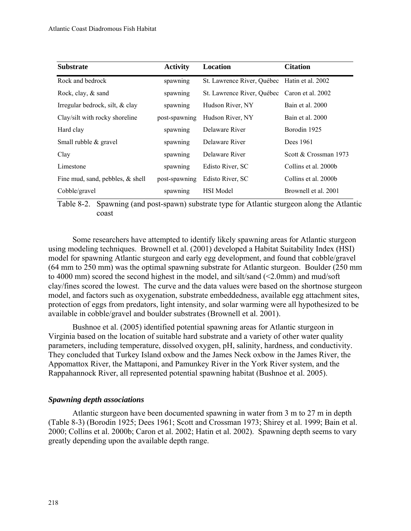| <b>Substrate</b>                    | <b>Activity</b> | Location                                     | <b>Citation</b>       |
|-------------------------------------|-----------------|----------------------------------------------|-----------------------|
| Rock and bedrock                    | spawning        | St. Lawrence River, Québec Hatin et al. 2002 |                       |
| Rock, clay, & sand                  | spawning        | St. Lawrence River, Québec Caron et al. 2002 |                       |
| Irregular bedrock, silt, & clay     | spawning        | Hudson River, NY                             | Bain et al. 2000      |
| Clay/silt with rocky shoreline      | post-spawning   | Hudson River, NY                             | Bain et al. 2000      |
| Hard clay                           | spawning        | Delaware River                               | Borodin 1925          |
| Small rubble & gravel               | spawning        | Delaware River                               | Dees 1961             |
| Clay                                | spawning        | Delaware River                               | Scott & Crossman 1973 |
| Limestone                           | spawning        | Edisto River, SC                             | Collins et al. 2000b  |
| Fine mud, sand, pebbles, $\&$ shell | post-spawning   | Edisto River, SC                             | Collins et al. 2000b  |
| Cobble/gravel                       | spawning        | <b>HSI</b> Model                             | Brownell et al. 2001  |

Table 8-2. Spawning (and post-spawn) substrate type for Atlantic sturgeon along the Atlantic coast

Some researchers have attempted to identify likely spawning areas for Atlantic sturgeon using modeling techniques. Brownell et al. (2001) developed a Habitat Suitability Index (HSI) model for spawning Atlantic sturgeon and early egg development, and found that cobble/gravel (64 mm to 250 mm) was the optimal spawning substrate for Atlantic sturgeon. Boulder (250 mm to 4000 mm) scored the second highest in the model, and silt/sand (<2.0mm) and mud/soft clay/fines scored the lowest. The curve and the data values were based on the shortnose sturgeon model, and factors such as oxygenation, substrate embeddedness, available egg attachment sites, protection of eggs from predators, light intensity, and solar warming were all hypothesized to be available in cobble/gravel and boulder substrates (Brownell et al. 2001).

Bushnoe et al. (2005) identified potential spawning areas for Atlantic sturgeon in Virginia based on the location of suitable hard substrate and a variety of other water quality parameters, including temperature, dissolved oxygen, pH, salinity, hardness, and conductivity. They concluded that Turkey Island oxbow and the James Neck oxbow in the James River, the Appomattox River, the Mattaponi, and Pamunkey River in the York River system, and the Rappahannock River, all represented potential spawning habitat (Bushnoe et al. 2005).

# *Spawning depth associations*

Atlantic sturgeon have been documented spawning in water from 3 m to 27 m in depth (Table 8-3) (Borodin 1925; Dees 1961; Scott and Crossman 1973; Shirey et al. 1999; Bain et al. 2000; Collins et al. 2000b; Caron et al. 2002; Hatin et al. 2002). Spawning depth seems to vary greatly depending upon the available depth range.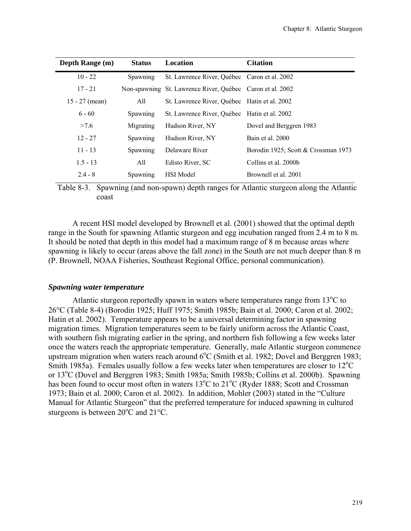| Depth Range (m)  | <b>Status</b> | Location                                                  | <b>Citation</b>                     |
|------------------|---------------|-----------------------------------------------------------|-------------------------------------|
| $10 - 22$        | Spawning      | St. Lawrence River, Québec Caron et al. 2002              |                                     |
| $17 - 21$        |               | Non-spawning St. Lawrence River, Québec Caron et al. 2002 |                                     |
| $15 - 27$ (mean) | All           | St. Lawrence River, Québec Hatin et al. 2002              |                                     |
| $6 - 60$         | Spawning      | St. Lawrence River, Québec Hatin et al. 2002              |                                     |
| >7.6             | Migrating     | Hudson River, NY                                          | Dovel and Berggren 1983             |
| $12 - 27$        | Spawning      | Hudson River, NY                                          | Bain et al. 2000                    |
| $11 - 13$        | Spawning      | Delaware River                                            | Borodin 1925; Scott & Crossman 1973 |
| $1.5 - 13$       | All           | Edisto River, SC                                          | Collins et al. 2000b                |
| $2.4 - 8$        | Spawning      | <b>HSI</b> Model                                          | Brownell et al. 2001                |

Table 8-3. Spawning (and non-spawn) depth ranges for Atlantic sturgeon along the Atlantic coast

A recent HSI model developed by Brownell et al. (2001) showed that the optimal depth range in the South for spawning Atlantic sturgeon and egg incubation ranged from 2.4 m to 8 m. It should be noted that depth in this model had a maximum range of 8 m because areas where spawning is likely to occur (areas above the fall zone) in the South are not much deeper than 8 m (P. Brownell, NOAA Fisheries, Southeast Regional Office, personal communication).

## *Spawning water temperature*

Atlantic sturgeon reportedly spawn in waters where temperatures range from  $13^{\circ}$ C to 26°C (Table 8-4) (Borodin 1925; Huff 1975; Smith 1985b; Bain et al. 2000; Caron et al. 2002; Hatin et al. 2002). Temperature appears to be a universal determining factor in spawning migration times. Migration temperatures seem to be fairly uniform across the Atlantic Coast, with southern fish migrating earlier in the spring, and northern fish following a few weeks later once the waters reach the appropriate temperature. Generally, male Atlantic sturgeon commence upstream migration when waters reach around  $6^{\circ}$ C (Smith et al. 1982; Dovel and Berggren 1983; Smith 1985a). Females usually follow a few weeks later when temperatures are closer to  $12^{\circ}$ C or 13°C (Dovel and Berggren 1983; Smith 1985a; Smith 1985b; Collins et al. 2000b). Spawning has been found to occur most often in waters 13<sup>o</sup>C to 21<sup>o</sup>C (Ryder 1888; Scott and Crossman 1973; Bain et al. 2000; Caron et al. 2002). In addition, Mohler (2003) stated in the "Culture Manual for Atlantic Sturgeon" that the preferred temperature for induced spawning in cultured sturgeons is between  $20^{\circ}$ C and  $21^{\circ}$ C.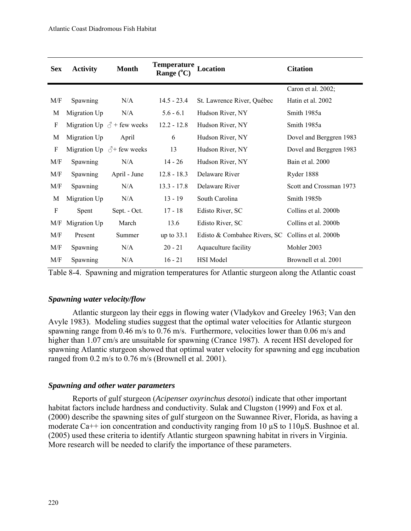| <b>Sex</b>                | <b>Activity</b> | <b>Month</b>                        | Temperature Location<br>Range $(^{\circ}C)$ |                              | <b>Citation</b>         |
|---------------------------|-----------------|-------------------------------------|---------------------------------------------|------------------------------|-------------------------|
|                           |                 |                                     |                                             |                              | Caron et al. 2002;      |
| M/F                       | Spawning        | N/A                                 | $14.5 - 23.4$                               | St. Lawrence River, Québec   | Hatin et al. 2002       |
| M                         | Migration Up    | N/A                                 | $5.6 - 6.1$                                 | Hudson River, NY             | Smith 1985a             |
| $\boldsymbol{\mathrm{F}}$ |                 | Migration Up $\beta$ + few weeks    | $12.2 - 12.8$                               | Hudson River, NY             | Smith 1985a             |
| M                         | Migration Up    | April                               | 6                                           | Hudson River, NY             | Dovel and Berggren 1983 |
| $\boldsymbol{\mathrm{F}}$ |                 | Migration Up $\Diamond^+$ few weeks | 13                                          | Hudson River, NY             | Dovel and Berggren 1983 |
| M/F                       | Spawning        | N/A                                 | $14 - 26$                                   | Hudson River, NY             | Bain et al. 2000        |
| M/F                       | Spawning        | April - June                        | $12.8 - 18.3$                               | Delaware River               | Ryder 1888              |
| M/F                       | Spawning        | N/A                                 | $13.3 - 17.8$                               | Delaware River               | Scott and Crossman 1973 |
| M                         | Migration Up    | N/A                                 | $13 - 19$                                   | South Carolina               | Smith 1985b             |
| $\rm F$                   | Spent           | Sept. - Oct.                        | $17 - 18$                                   | Edisto River, SC             | Collins et al. 2000b    |
| M/F                       | Migration Up    | March                               | 13.6                                        | Edisto River, SC             | Collins et al. 2000b    |
| M/F                       | Present         | Summer                              | up to $33.1$                                | Edisto & Combahee Rivers, SC | Collins et al. 2000b    |
| M/F                       | Spawning        | N/A                                 | $20 - 21$                                   | Aquaculture facility         | Mohler 2003             |
| M/F                       | Spawning        | N/A                                 | $16 - 21$                                   | HSI Model                    | Brownell et al. 2001    |

Table 8-4. Spawning and migration temperatures for Atlantic sturgeon along the Atlantic coast

# *Spawning water velocity/flow*

Atlantic sturgeon lay their eggs in flowing water (Vladykov and Greeley 1963; Van den Avyle 1983). Modeling studies suggest that the optimal water velocities for Atlantic sturgeon spawning range from 0.46 m/s to 0.76 m/s. Furthermore, velocities lower than 0.06 m/s and higher than 1.07 cm/s are unsuitable for spawning (Crance 1987). A recent HSI developed for spawning Atlantic sturgeon showed that optimal water velocity for spawning and egg incubation ranged from 0.2 m/s to 0.76 m/s (Brownell et al. 2001).

# *Spawning and other water parameters*

Reports of gulf sturgeon (*Acipenser oxyrinchus desotoi*) indicate that other important habitat factors include hardness and conductivity. Sulak and Clugston (1999) and Fox et al. (2000) describe the spawning sites of gulf sturgeon on the Suwannee River, Florida, as having a moderate Ca<sup>++</sup> ion concentration and conductivity ranging from 10  $\mu$ S to 110 $\mu$ S. Bushnoe et al. (2005) used these criteria to identify Atlantic sturgeon spawning habitat in rivers in Virginia. More research will be needed to clarify the importance of these parameters.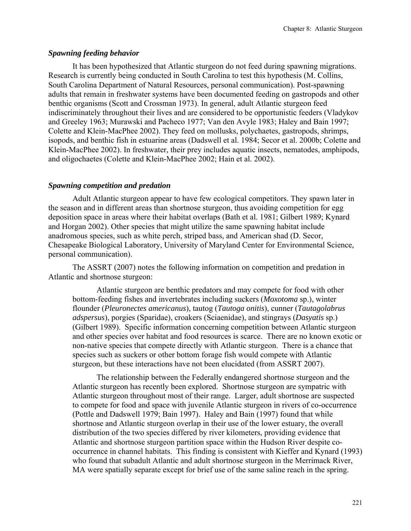## *Spawning feeding behavior*

It has been hypothesized that Atlantic sturgeon do not feed during spawning migrations. Research is currently being conducted in South Carolina to test this hypothesis (M. Collins, South Carolina Department of Natural Resources, personal communication). Post-spawning adults that remain in freshwater systems have been documented feeding on gastropods and other benthic organisms (Scott and Crossman 1973). In general, adult Atlantic sturgeon feed indiscriminately throughout their lives and are considered to be opportunistic feeders (Vladykov and Greeley 1963; Murawski and Pacheco 1977; Van den Avyle 1983; Haley and Bain 1997; Colette and Klein-MacPhee 2002). They feed on mollusks, polychaetes, gastropods, shrimps, isopods, and benthic fish in estuarine areas (Dadswell et al. 1984; Secor et al. 2000b; Colette and Klein-MacPhee 2002). In freshwater, their prey includes aquatic insects, nematodes, amphipods, and oligochaetes (Colette and Klein-MacPhee 2002; Hain et al. 2002).

### *Spawning competition and predation*

Adult Atlantic sturgeon appear to have few ecological competitors. They spawn later in the season and in different areas than shortnose sturgeon, thus avoiding competition for egg deposition space in areas where their habitat overlaps (Bath et al. 1981; Gilbert 1989; Kynard and Horgan 2002). Other species that might utilize the same spawning habitat include anadromous species, such as white perch, striped bass, and American shad (D. Secor, Chesapeake Biological Laboratory, University of Maryland Center for Environmental Science, personal communication).

The ASSRT (2007) notes the following information on competition and predation in Atlantic and shortnose sturgeon:

Atlantic sturgeon are benthic predators and may compete for food with other bottom-feeding fishes and invertebrates including suckers (*Moxotoma* sp.), winter flounder (*Pleuronectes americanus*), tautog (*Tautoga onitis*), cunner (*Tautagolabrus adspersus*), porgies (Sparidae), croakers (Sciaenidae), and stingrays (*Dasyatis* sp.) (Gilbert 1989). Specific information concerning competition between Atlantic sturgeon and other species over habitat and food resources is scarce. There are no known exotic or non-native species that compete directly with Atlantic sturgeon. There is a chance that species such as suckers or other bottom forage fish would compete with Atlantic sturgeon, but these interactions have not been elucidated (from ASSRT 2007).

The relationship between the Federally endangered shortnose sturgeon and the Atlantic sturgeon has recently been explored. Shortnose sturgeon are sympatric with Atlantic sturgeon throughout most of their range. Larger, adult shortnose are suspected to compete for food and space with juvenile Atlantic sturgeon in rivers of co-occurrence (Pottle and Dadswell 1979; Bain 1997). Haley and Bain (1997) found that while shortnose and Atlantic sturgeon overlap in their use of the lower estuary, the overall distribution of the two species differed by river kilometers, providing evidence that Atlantic and shortnose sturgeon partition space within the Hudson River despite cooccurrence in channel habitats. This finding is consistent with Kieffer and Kynard (1993) who found that subadult Atlantic and adult shortnose sturgeon in the Merrimack River, MA were spatially separate except for brief use of the same saline reach in the spring.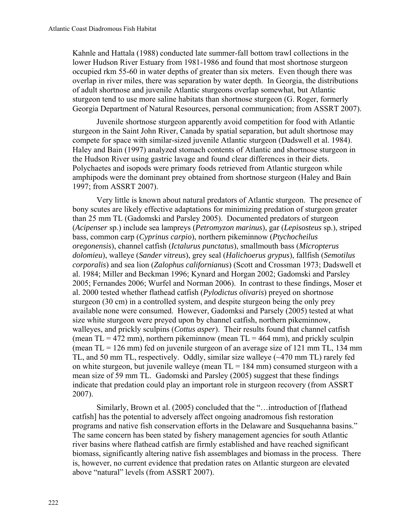Kahnle and Hattala (1988) conducted late summer-fall bottom trawl collections in the lower Hudson River Estuary from 1981-1986 and found that most shortnose sturgeon occupied rkm 55-60 in water depths of greater than six meters. Even though there was overlap in river miles, there was separation by water depth. In Georgia, the distributions of adult shortnose and juvenile Atlantic sturgeons overlap somewhat, but Atlantic sturgeon tend to use more saline habitats than shortnose sturgeon (G. Roger, formerly Georgia Department of Natural Resources, personal communication; from ASSRT 2007).

Juvenile shortnose sturgeon apparently avoid competition for food with Atlantic sturgeon in the Saint John River, Canada by spatial separation, but adult shortnose may compete for space with similar-sized juvenile Atlantic sturgeon (Dadswell et al. 1984). Haley and Bain (1997) analyzed stomach contents of Atlantic and shortnose sturgeon in the Hudson River using gastric lavage and found clear differences in their diets. Polychaetes and isopods were primary foods retrieved from Atlantic sturgeon while amphipods were the dominant prey obtained from shortnose sturgeon (Haley and Bain 1997; from ASSRT 2007).

Very little is known about natural predators of Atlantic sturgeon. The presence of bony scutes are likely effective adaptations for minimizing predation of sturgeon greater than 25 mm TL (Gadomski and Parsley 2005). Documented predators of sturgeon (*Acipenser* sp.) include sea lampreys (*Petromyzon marinus*), gar (*Lepisosteus* sp.), striped bass, common carp (*Cyprinus carpio*), northern pikeminnow (*Ptychocheilus oregonensis*), channel catfish (*Ictalurus punctatus*), smallmouth bass (*Micropterus dolomieu*), walleye (*Sander vitreus*), grey seal (*Halichoerus grypus*), fallfish (*Semotilus corporalis*) and sea lion (*Zalophus californianus*) (Scott and Crossman 1973; Dadswell et al. 1984; Miller and Beckman 1996; Kynard and Horgan 2002; Gadomski and Parsley 2005; Fernandes 2006; Wurfel and Norman 2006). In contrast to these findings, Moser et al. 2000 tested whether flathead catfish (*Pylodictus olivaris*) preyed on shortnose sturgeon (30 cm) in a controlled system, and despite sturgeon being the only prey available none were consumed. However, Gadomksi and Parsely (2005) tested at what size white sturgeon were preyed upon by channel catfish, northern pikeminnow, walleyes, and prickly sculpins (*Cottus asper*). Their results found that channel catfish (mean  $TL = 472$  mm), northern pikeminnow (mean  $TL = 464$  mm), and prickly sculpin (mean  $TL = 126$  mm) fed on juvenile sturgeon of an average size of 121 mm  $TL$ , 134 mm TL, and 50 mm TL, respectively. Oddly, similar size walleye (~470 mm TL) rarely fed on white sturgeon, but juvenile walleye (mean  $TL = 184$  mm) consumed sturgeon with a mean size of 59 mm TL. Gadomski and Parsley (2005) suggest that these findings indicate that predation could play an important role in sturgeon recovery (from ASSRT 2007).

Similarly, Brown et al. (2005) concluded that the "…introduction of [flathead catfish] has the potential to adversely affect ongoing anadromous fish restoration programs and native fish conservation efforts in the Delaware and Susquehanna basins." The same concern has been stated by fishery management agencies for south Atlantic river basins where flathead catfish are firmly established and have reached significant biomass, significantly altering native fish assemblages and biomass in the process. There is, however, no current evidence that predation rates on Atlantic sturgeon are elevated above "natural" levels (from ASSRT 2007).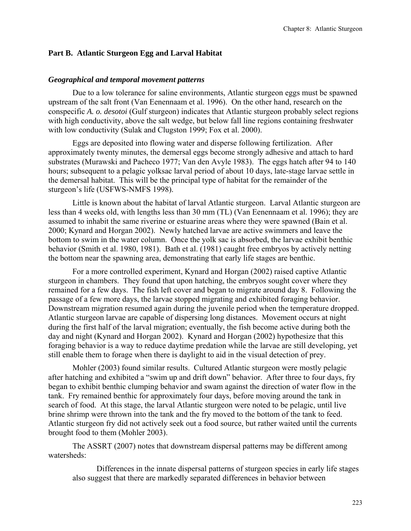# **Part B. Atlantic Sturgeon Egg and Larval Habitat**

### *Geographical and temporal movement patterns*

Due to a low tolerance for saline environments, Atlantic sturgeon eggs must be spawned upstream of the salt front (Van Eenennaam et al. 1996). On the other hand, research on the conspecific *A. o. desotoi* (Gulf sturgeon) indicates that Atlantic sturgeon probably select regions with high conductivity, above the salt wedge, but below fall line regions containing freshwater with low conductivity (Sulak and Clugston 1999; Fox et al. 2000).

Eggs are deposited into flowing water and disperse following fertilization. After approximately twenty minutes, the demersal eggs become strongly adhesive and attach to hard substrates (Murawski and Pacheco 1977; Van den Avyle 1983). The eggs hatch after 94 to 140 hours; subsequent to a pelagic yolksac larval period of about 10 days, late-stage larvae settle in the demersal habitat. This will be the principal type of habitat for the remainder of the sturgeon's life (USFWS-NMFS 1998).

 Little is known about the habitat of larval Atlantic sturgeon. Larval Atlantic sturgeon are less than 4 weeks old, with lengths less than 30 mm (TL) (Van Eenennaam et al. 1996); they are assumed to inhabit the same riverine or estuarine areas where they were spawned (Bain et al. 2000; Kynard and Horgan 2002). Newly hatched larvae are active swimmers and leave the bottom to swim in the water column. Once the yolk sac is absorbed, the larvae exhibit benthic behavior (Smith et al. 1980, 1981). Bath et al. (1981) caught free embryos by actively netting the bottom near the spawning area, demonstrating that early life stages are benthic.

For a more controlled experiment, Kynard and Horgan (2002) raised captive Atlantic sturgeon in chambers. They found that upon hatching, the embryos sought cover where they remained for a few days. The fish left cover and began to migrate around day 8. Following the passage of a few more days, the larvae stopped migrating and exhibited foraging behavior. Downstream migration resumed again during the juvenile period when the temperature dropped. Atlantic sturgeon larvae are capable of dispersing long distances. Movement occurs at night during the first half of the larval migration; eventually, the fish become active during both the day and night (Kynard and Horgan 2002). Kynard and Horgan (2002) hypothesize that this foraging behavior is a way to reduce daytime predation while the larvae are still developing, yet still enable them to forage when there is daylight to aid in the visual detection of prey.

 Mohler (2003) found similar results. Cultured Atlantic sturgeon were mostly pelagic after hatching and exhibited a "swim up and drift down" behavior. After three to four days, fry began to exhibit benthic clumping behavior and swam against the direction of water flow in the tank. Fry remained benthic for approximately four days, before moving around the tank in search of food. At this stage, the larval Atlantic sturgeon were noted to be pelagic, until live brine shrimp were thrown into the tank and the fry moved to the bottom of the tank to feed. Atlantic sturgeon fry did not actively seek out a food source, but rather waited until the currents brought food to them (Mohler 2003).

The ASSRT (2007) notes that downstream dispersal patterns may be different among watersheds:

Differences in the innate dispersal patterns of sturgeon species in early life stages also suggest that there are markedly separated differences in behavior between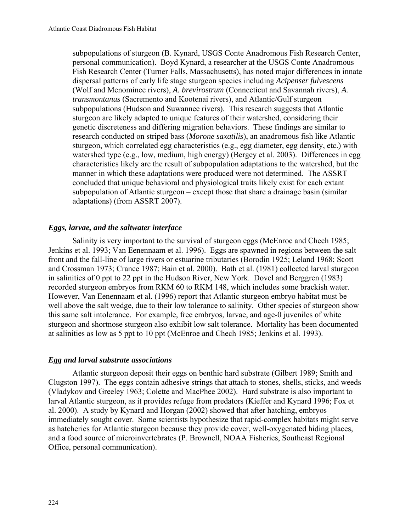subpopulations of sturgeon (B. Kynard, USGS Conte Anadromous Fish Research Center, personal communication). Boyd Kynard, a researcher at the USGS Conte Anadromous Fish Research Center (Turner Falls, Massachusetts), has noted major differences in innate dispersal patterns of early life stage sturgeon species including *Acipenser fulvescens*  (Wolf and Menominee rivers), *A. brevirostrum* (Connecticut and Savannah rivers), *A. transmontanus* (Sacremento and Kootenai rivers), and Atlantic/Gulf sturgeon subpopulations (Hudson and Suwannee rivers). This research suggests that Atlantic sturgeon are likely adapted to unique features of their watershed, considering their genetic discreteness and differing migration behaviors. These findings are similar to research conducted on striped bass (*Morone saxatilis*), an anadromous fish like Atlantic sturgeon, which correlated egg characteristics (e.g., egg diameter, egg density, etc.) with watershed type (e.g., low, medium, high energy) (Bergey et al. 2003). Differences in egg characteristics likely are the result of subpopulation adaptations to the watershed, but the manner in which these adaptations were produced were not determined. The ASSRT concluded that unique behavioral and physiological traits likely exist for each extant subpopulation of Atlantic sturgeon – except those that share a drainage basin (similar adaptations) (from ASSRT 2007).

# *Eggs, larvae, and the saltwater interface*

Salinity is very important to the survival of sturgeon eggs (McEnroe and Chech 1985; Jenkins et al. 1993; Van Eenennaam et al. 1996). Eggs are spawned in regions between the salt front and the fall-line of large rivers or estuarine tributaries (Borodin 1925; Leland 1968; Scott and Crossman 1973; Crance 1987; Bain et al. 2000). Bath et al. (1981) collected larval sturgeon in salinities of 0 ppt to 22 ppt in the Hudson River, New York. Dovel and Berggren (1983) recorded sturgeon embryos from RKM 60 to RKM 148, which includes some brackish water. However, Van Eenennaam et al. (1996) report that Atlantic sturgeon embryo habitat must be well above the salt wedge, due to their low tolerance to salinity. Other species of sturgeon show this same salt intolerance. For example, free embryos, larvae, and age-0 juveniles of white sturgeon and shortnose sturgeon also exhibit low salt tolerance. Mortality has been documented at salinities as low as 5 ppt to 10 ppt (McEnroe and Chech 1985; Jenkins et al. 1993).

# *Egg and larval substrate associations*

Atlantic sturgeon deposit their eggs on benthic hard substrate (Gilbert 1989; Smith and Clugston 1997). The eggs contain adhesive strings that attach to stones, shells, sticks, and weeds (Vladykov and Greeley 1963; Colette and MacPhee 2002). Hard substrate is also important to larval Atlantic sturgeon, as it provides refuge from predators (Kieffer and Kynard 1996; Fox et al. 2000). A study by Kynard and Horgan (2002) showed that after hatching, embryos immediately sought cover. Some scientists hypothesize that rapid-complex habitats might serve as hatcheries for Atlantic sturgeon because they provide cover, well-oxygenated hiding places, and a food source of microinvertebrates (P. Brownell, NOAA Fisheries, Southeast Regional Office, personal communication).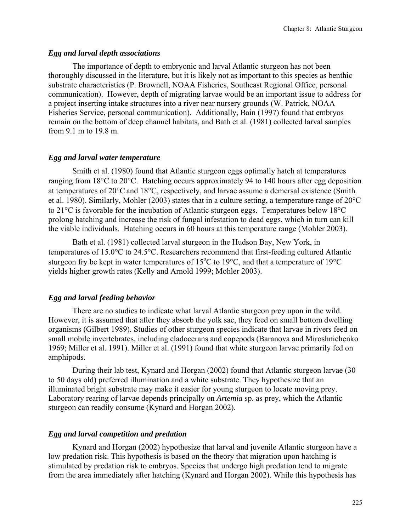## *Egg and larval depth associations*

The importance of depth to embryonic and larval Atlantic sturgeon has not been thoroughly discussed in the literature, but it is likely not as important to this species as benthic substrate characteristics (P. Brownell, NOAA Fisheries, Southeast Regional Office, personal communication). However, depth of migrating larvae would be an important issue to address for a project inserting intake structures into a river near nursery grounds (W. Patrick, NOAA Fisheries Service, personal communication). Additionally, Bain (1997) found that embryos remain on the bottom of deep channel habitats, and Bath et al. (1981) collected larval samples from 9.1 m to 19.8 m.

## *Egg and larval water temperature*

Smith et al. (1980) found that Atlantic sturgeon eggs optimally hatch at temperatures ranging from 18°C to 20°C. Hatching occurs approximately 94 to 140 hours after egg deposition at temperatures of  $20^{\circ}$ C and  $18^{\circ}$ C, respectively, and larvae assume a demersal existence (Smith et al. 1980). Similarly, Mohler (2003) states that in a culture setting, a temperature range of 20°C to 21°C is favorable for the incubation of Atlantic sturgeon eggs. Temperatures below 18°C prolong hatching and increase the risk of fungal infestation to dead eggs, which in turn can kill the viable individuals. Hatching occurs in 60 hours at this temperature range (Mohler 2003).

Bath et al. (1981) collected larval sturgeon in the Hudson Bay, New York, in temperatures of 15.0°C to 24.5°C. Researchers recommend that first-feeding cultured Atlantic sturgeon fry be kept in water temperatures of 15 $^{\circ}$ C to 19 $^{\circ}$ C, and that a temperature of 19 $^{\circ}$ C yields higher growth rates (Kelly and Arnold 1999; Mohler 2003).

# *Egg and larval feeding behavior*

There are no studies to indicate what larval Atlantic sturgeon prey upon in the wild. However, it is assumed that after they absorb the yolk sac, they feed on small bottom dwelling organisms (Gilbert 1989). Studies of other sturgeon species indicate that larvae in rivers feed on small mobile invertebrates, including cladocerans and copepods (Baranova and Miroshnichenko 1969; Miller et al. 1991). Miller et al. (1991) found that white sturgeon larvae primarily fed on amphipods.

During their lab test, Kynard and Horgan (2002) found that Atlantic sturgeon larvae (30 to 50 days old) preferred illumination and a white substrate. They hypothesize that an illuminated bright substrate may make it easier for young sturgeon to locate moving prey. Laboratory rearing of larvae depends principally on *Artemia* sp. as prey, which the Atlantic sturgeon can readily consume (Kynard and Horgan 2002).

# *Egg and larval competition and predation*

Kynard and Horgan (2002) hypothesize that larval and juvenile Atlantic sturgeon have a low predation risk. This hypothesis is based on the theory that migration upon hatching is stimulated by predation risk to embryos. Species that undergo high predation tend to migrate from the area immediately after hatching (Kynard and Horgan 2002). While this hypothesis has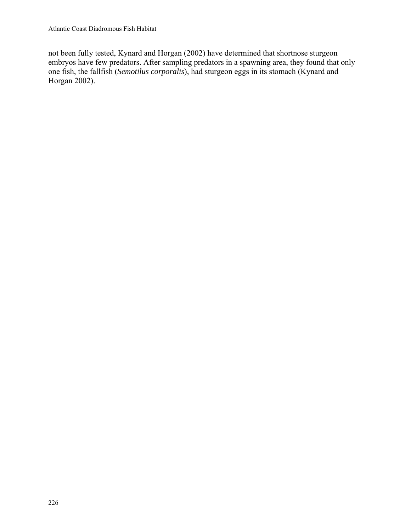not been fully tested, Kynard and Horgan (2002) have determined that shortnose sturgeon embryos have few predators. After sampling predators in a spawning area, they found that only one fish, the fallfish (*Semotilus corporalis*), had sturgeon eggs in its stomach (Kynard and Horgan 2002).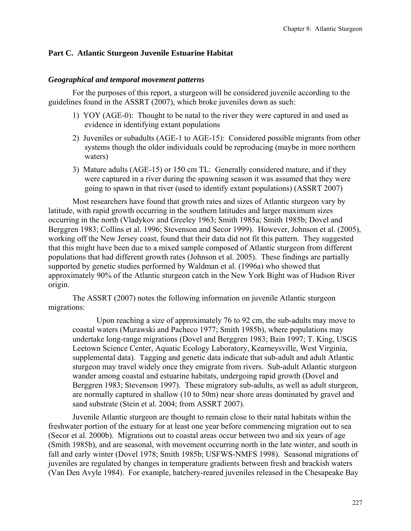## **Part C. Atlantic Sturgeon Juvenile Estuarine Habitat**

## *Geographical and temporal movement patterns*

For the purposes of this report, a sturgeon will be considered juvenile according to the guidelines found in the ASSRT (2007), which broke juveniles down as such:

- 1) YOY (AGE-0): Thought to be natal to the river they were captured in and used as evidence in identifying extant populations
- 2) Juveniles or subadults (AGE-1 to AGE-15): Considered possible migrants from other systems though the older individuals could be reproducing (maybe in more northern waters)
- 3) Mature adults (AGE-15) or 150 cm TL: Generally considered mature, and if they were captured in a river during the spawning season it was assumed that they were going to spawn in that river (used to identify extant populations) (ASSRT 2007)

Most researchers have found that growth rates and sizes of Atlantic sturgeon vary by latitude, with rapid growth occurring in the southern latitudes and larger maximum sizes occurring in the north (Vladykov and Greeley 1963; Smith 1985a; Smith 1985b; Dovel and Berggren 1983; Collins et al. 1996; Stevenson and Secor 1999). However, Johnson et al. (2005), working off the New Jersey coast, found that their data did not fit this pattern. They suggested that this might have been due to a mixed sample composed of Atlantic sturgeon from different populations that had different growth rates (Johnson et al. 2005). These findings are partially supported by genetic studies performed by Waldman et al. (1996a) who showed that approximately 90% of the Atlantic sturgeon catch in the New York Bight was of Hudson River origin.

The ASSRT (2007) notes the following information on juvenile Atlantic sturgeon migrations:

Upon reaching a size of approximately 76 to 92 cm, the sub-adults may move to coastal waters (Murawski and Pacheco 1977; Smith 1985b), where populations may undertake long-range migrations (Dovel and Berggren 1983; Bain 1997; T. King, USGS Leetown Science Center, Aquatic Ecology Laboratory, Kearneysville, West Virginia, supplemental data). Tagging and genetic data indicate that sub-adult and adult Atlantic sturgeon may travel widely once they emigrate from rivers. Sub-adult Atlantic sturgeon wander among coastal and estuarine habitats, undergoing rapid growth (Dovel and Berggren 1983; Stevenson 1997). These migratory sub-adults, as well as adult sturgeon, are normally captured in shallow (10 to 50m) near shore areas dominated by gravel and sand substrate (Stein et al. 2004; from ASSRT 2007).

Juvenile Atlantic sturgeon are thought to remain close to their natal habitats within the freshwater portion of the estuary for at least one year before commencing migration out to sea (Secor et al. 2000b). Migrations out to coastal areas occur between two and six years of age (Smith 1985b), and are seasonal, with movement occurring north in the late winter, and south in fall and early winter (Dovel 1978; Smith 1985b; USFWS-NMFS 1998). Seasonal migrations of juveniles are regulated by changes in temperature gradients between fresh and brackish waters (Van Den Avyle 1984). For example, hatchery-reared juveniles released in the Chesapeake Bay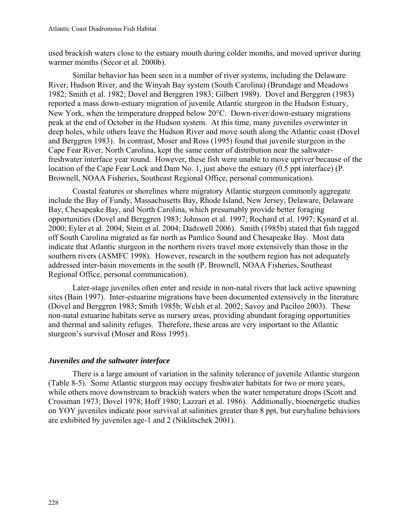used brackish waters close to the estuary mouth during colder months, and moved upriver during warmer months (Secor et al. 2000b).

Similar behavior has been seen in a number of river systems, including the Delaware River, Hudson River, and the Winyah Bay system (South Carolina) (Brundage and Meadows 1982; Smith et al. 1982; Dovel and Berggren 1983; Gilbert 1989). Dovel and Berggren (1983) reported a mass down-estuary migration of juvenile Atlantic sturgeon in the Hudson Estuary, New York, when the temperature dropped below 20°C. Down-river/down-estuary migrations peak at the end of October in the Hudson system. At this time, many juveniles overwinter in deep holes, while others leave the Hudson River and move south along the Atlantic coast (Dovel and Berggren 1983). In contrast, Moser and Ross (1995) found that juvenile sturgeon in the Cape Fear River, North Carolina, kept the same center of distribution near the saltwaterfreshwater interface year round. However, these fish were unable to move upriver because of the location of the Cape Fear Lock and Dam No. 1, just above the estuary (0.5 ppt interface) (P. Brownell, NOAA Fisheries, Southeast Regional Office, personal communication).

Coastal features or shorelines where migratory Atlantic sturgeon commonly aggregate include the Bay of Fundy, Massachusetts Bay, Rhode Island, New Jersey, Delaware, Delaware Bay, Chesapeake Bay, and North Carolina, which presumably provide better foraging opportunities (Dovel and Berggren 1983; Johnson et al. 1997; Rochard et al. 1997; Kynard et al. 2000; Eyler et al. 2004; Stein et al. 2004; Dadswell 2006). Smith (1985b) stated that fish tagged off South Carolina migrated as far north as Pamlico Sound and Chesapeake Bay. Most data indicate that Atlantic sturgeon in the northern rivers travel more extensively than those in the southern rivers (ASMFC 1998). However, research in the southern region has not adequately addressed inter-basin movements in the south (P. Brownell, NOAA Fisheries, Southeast Regional Office, personal communication).

Later-stage juveniles often enter and reside in non-natal rivers that lack active spawning sites (Bain 1997). Inter-estuarine migrations have been documented extensively in the literature (Dovel and Berggren 1983; Smith 1985b; Welsh et al. 2002; Savoy and Pacileo 2003). These non-natal estuarine habitats serve as nursery areas, providing abundant foraging opportunities and thermal and salinity refuges. Therefore, these areas are very important to the Atlantic sturgeon's survival (Moser and Ross 1995).

# *Juveniles and the saltwater interface*

There is a large amount of variation in the salinity tolerance of juvenile Atlantic sturgeon (Table 8-5). Some Atlantic sturgeon may occupy freshwater habitats for two or more years, while others move downstream to brackish waters when the water temperature drops (Scott and Crossman 1973; Dovel 1978; Hoff 1980; Lazzari et al. 1986). Additionally, bioenergetic studies on YOY juveniles indicate poor survival at salinities greater than 8 ppt, but euryhaline behaviors are exhibited by juveniles age-1 and 2 (Niklitschek 2001).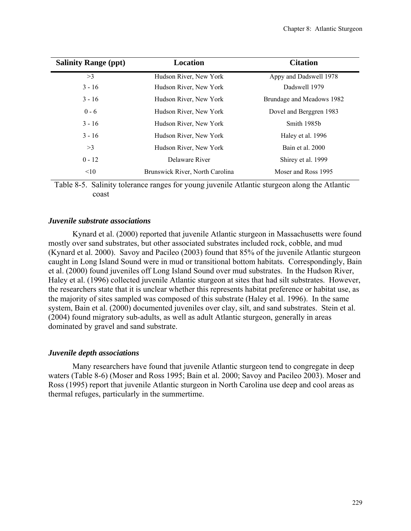| <b>Salinity Range (ppt)</b> | Location                        | <b>Citation</b>           |
|-----------------------------|---------------------------------|---------------------------|
| >3                          | Hudson River, New York          | Appy and Dadswell 1978    |
| $3 - 16$                    | Hudson River, New York          | Dadswell 1979             |
| $3 - 16$                    | Hudson River, New York          | Brundage and Meadows 1982 |
| $0 - 6$                     | Hudson River, New York          | Dovel and Berggren 1983   |
| $3 - 16$                    | Hudson River, New York          | Smith 1985b               |
| $3 - 16$                    | Hudson River, New York          | Haley et al. 1996         |
| >3                          | Hudson River, New York          | Bain et al. 2000          |
| $0 - 12$                    | Delaware River                  | Shirey et al. 1999        |
| <10                         | Brunswick River, North Carolina | Moser and Ross 1995       |

Table 8-5. Salinity tolerance ranges for young juvenile Atlantic sturgeon along the Atlantic coast

## *Juvenile substrate associations*

Kynard et al. (2000) reported that juvenile Atlantic sturgeon in Massachusetts were found mostly over sand substrates, but other associated substrates included rock, cobble, and mud (Kynard et al. 2000). Savoy and Pacileo (2003) found that 85% of the juvenile Atlantic sturgeon caught in Long Island Sound were in mud or transitional bottom habitats. Correspondingly, Bain et al. (2000) found juveniles off Long Island Sound over mud substrates. In the Hudson River, Haley et al. (1996) collected juvenile Atlantic sturgeon at sites that had silt substrates. However, the researchers state that it is unclear whether this represents habitat preference or habitat use, as the majority of sites sampled was composed of this substrate (Haley et al. 1996). In the same system, Bain et al. (2000) documented juveniles over clay, silt, and sand substrates. Stein et al. (2004) found migratory sub-adults, as well as adult Atlantic sturgeon, generally in areas dominated by gravel and sand substrate.

## *Juvenile depth associations*

Many researchers have found that juvenile Atlantic sturgeon tend to congregate in deep waters (Table 8-6) (Moser and Ross 1995; Bain et al. 2000; Savoy and Pacileo 2003). Moser and Ross (1995) report that juvenile Atlantic sturgeon in North Carolina use deep and cool areas as thermal refuges, particularly in the summertime.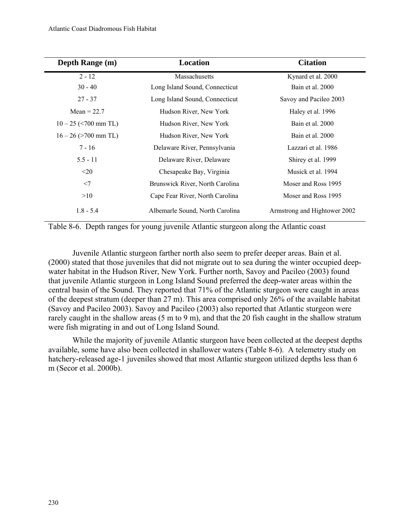| Depth Range (m)            | Location                        | <b>Citation</b>              |
|----------------------------|---------------------------------|------------------------------|
| $2 - 12$                   | Massachusetts                   | Kynard et al. 2000           |
| $30 - 40$                  | Long Island Sound, Connecticut  | Bain et al. 2000             |
| $27 - 37$                  | Long Island Sound, Connecticut  | Savoy and Pacileo 2003       |
| Mean = $22.7$              | Hudson River, New York          | Haley et al. 1996            |
| $10 - 25$ (<700 mm TL)     | Hudson River, New York          | Bain et al. 2000             |
| $16 - 26$ ( $> 700$ mm TL) | Hudson River, New York          | Bain et al. 2000             |
| $7 - 16$                   | Delaware River, Pennsylvania    | Lazzari et al. 1986          |
| $5.5 - 11$                 | Delaware River, Delaware        | Shirey et al. 1999           |
| $20$                       | Chesapeake Bay, Virginia        | Musick et al. 1994           |
| $<$ 7                      | Brunswick River, North Carolina | Moser and Ross 1995          |
| >10                        | Cape Fear River, North Carolina | Moser and Ross 1995          |
| $1.8 - 5.4$                | Albemarle Sound, North Carolina | Armstrong and Hightower 2002 |

Table 8-6. Depth ranges for young juvenile Atlantic sturgeon along the Atlantic coast

Juvenile Atlantic sturgeon farther north also seem to prefer deeper areas. Bain et al. (2000) stated that those juveniles that did not migrate out to sea during the winter occupied deepwater habitat in the Hudson River, New York. Further north, Savoy and Pacileo (2003) found that juvenile Atlantic sturgeon in Long Island Sound preferred the deep-water areas within the central basin of the Sound. They reported that 71% of the Atlantic sturgeon were caught in areas of the deepest stratum (deeper than 27 m). This area comprised only 26% of the available habitat (Savoy and Pacileo 2003). Savoy and Pacileo (2003) also reported that Atlantic sturgeon were rarely caught in the shallow areas (5 m to 9 m), and that the 20 fish caught in the shallow stratum were fish migrating in and out of Long Island Sound.

While the majority of juvenile Atlantic sturgeon have been collected at the deepest depths available, some have also been collected in shallower waters (Table 8-6). A telemetry study on hatchery-released age-1 juveniles showed that most Atlantic sturgeon utilized depths less than 6 m (Secor et al. 2000b).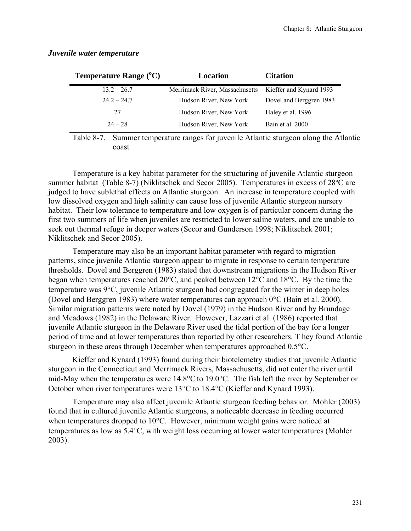| <b>Temperature Range</b> $(^{\circ}C)$ | Location                       | <b>Citation</b>         |
|----------------------------------------|--------------------------------|-------------------------|
| $13.2 - 26.7$                          | Merrimack River, Massachusetts | Kieffer and Kynard 1993 |
| $24.2 - 24.7$                          | Hudson River, New York         | Dovel and Berggren 1983 |
| 27                                     | Hudson River, New York         | Haley et al. 1996       |
| $24 - 28$                              | Hudson River, New York         | Bain et al. 2000        |

## *Juvenile water temperature*

Table 8-7. Summer temperature ranges for juvenile Atlantic sturgeon along the Atlantic coast

Temperature is a key habitat parameter for the structuring of juvenile Atlantic sturgeon summer habitat (Table 8-7) (Niklitschek and Secor 2005). Temperatures in excess of 28ºC are judged to have sublethal effects on Atlantic sturgeon. An increase in temperature coupled with low dissolved oxygen and high salinity can cause loss of juvenile Atlantic sturgeon nursery habitat. Their low tolerance to temperature and low oxygen is of particular concern during the first two summers of life when juveniles are restricted to lower saline waters, and are unable to seek out thermal refuge in deeper waters (Secor and Gunderson 1998; Niklitschek 2001; Niklitschek and Secor 2005).

Temperature may also be an important habitat parameter with regard to migration patterns, since juvenile Atlantic sturgeon appear to migrate in response to certain temperature thresholds. Dovel and Berggren (1983) stated that downstream migrations in the Hudson River began when temperatures reached 20°C, and peaked between 12°C and 18°C. By the time the temperature was 9°C, juvenile Atlantic sturgeon had congregated for the winter in deep holes (Dovel and Berggren 1983) where water temperatures can approach  $0^{\circ}$ C (Bain et al. 2000). Similar migration patterns were noted by Dovel (1979) in the Hudson River and by Brundage and Meadows (1982) in the Delaware River. However, Lazzari et al. (1986) reported that juvenile Atlantic sturgeon in the Delaware River used the tidal portion of the bay for a longer period of time and at lower temperatures than reported by other researchers. T hey found Atlantic sturgeon in these areas through December when temperatures approached 0.5°C.

Kieffer and Kynard (1993) found during their biotelemetry studies that juvenile Atlantic sturgeon in the Connecticut and Merrimack Rivers, Massachusetts, did not enter the river until mid-May when the temperatures were 14.8°C to 19.0°C. The fish left the river by September or October when river temperatures were 13°C to 18.4°C (Kieffer and Kynard 1993).

 Temperature may also affect juvenile Atlantic sturgeon feeding behavior. Mohler (2003) found that in cultured juvenile Atlantic sturgeons, a noticeable decrease in feeding occurred when temperatures dropped to 10°C. However, minimum weight gains were noticed at temperatures as low as 5.4°C, with weight loss occurring at lower water temperatures (Mohler 2003).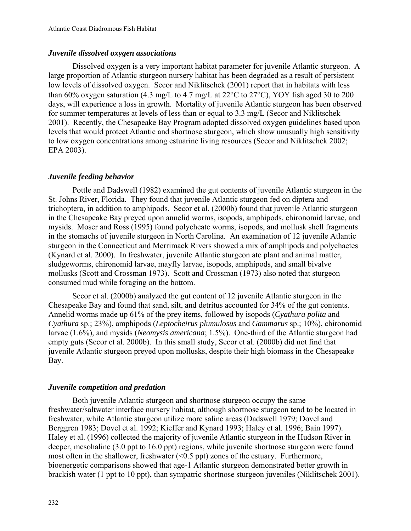# *Juvenile dissolved oxygen associations*

Dissolved oxygen is a very important habitat parameter for juvenile Atlantic sturgeon. A large proportion of Atlantic sturgeon nursery habitat has been degraded as a result of persistent low levels of dissolved oxygen. Secor and Niklitschek (2001) report that in habitats with less than 60% oxygen saturation (4.3 mg/L to 4.7 mg/L at  $22^{\circ}$ C to  $27^{\circ}$ C), YOY fish aged 30 to 200 days, will experience a loss in growth. Mortality of juvenile Atlantic sturgeon has been observed for summer temperatures at levels of less than or equal to 3.3 mg/L (Secor and Niklitschek 2001). Recently, the Chesapeake Bay Program adopted dissolved oxygen guidelines based upon levels that would protect Atlantic and shortnose sturgeon, which show unusually high sensitivity to low oxygen concentrations among estuarine living resources (Secor and Niklitschek 2002; EPA 2003).

# *Juvenile feeding behavior*

Pottle and Dadswell (1982) examined the gut contents of juvenile Atlantic sturgeon in the St. Johns River, Florida. They found that juvenile Atlantic sturgeon fed on diptera and trichoptera, in addition to amphipods. Secor et al. (2000b) found that juvenile Atlantic sturgeon in the Chesapeake Bay preyed upon annelid worms, isopods, amphipods, chironomid larvae, and mysids. Moser and Ross (1995) found polycheate worms, isopods, and mollusk shell fragments in the stomachs of juvenile sturgeon in North Carolina. An examination of 12 juvenile Atlantic sturgeon in the Connecticut and Merrimack Rivers showed a mix of amphipods and polychaetes (Kynard et al. 2000). In freshwater, juvenile Atlantic sturgeon ate plant and animal matter, sludgeworms, chironomid larvae, mayfly larvae, isopods, amphipods, and small bivalve mollusks (Scott and Crossman 1973). Scott and Crossman (1973) also noted that sturgeon consumed mud while foraging on the bottom.

Secor et al. (2000b) analyzed the gut content of 12 juvenile Atlantic sturgeon in the Chesapeake Bay and found that sand, silt, and detritus accounted for 34% of the gut contents. Annelid worms made up 61% of the prey items, followed by isopods (*Cyathura polita* and *Cyathura* sp.; 23%), amphipods (*Leptocheirus plumulosus* and *Gammarus* sp.; 10%), chironomid larvae (1.6%), and mysids (*Neomysis americana*; 1.5%). One-third of the Atlantic sturgeon had empty guts (Secor et al. 2000b). In this small study, Secor et al. (2000b) did not find that juvenile Atlantic sturgeon preyed upon mollusks, despite their high biomass in the Chesapeake Bay.

# *Juvenile competition and predation*

Both juvenile Atlantic sturgeon and shortnose sturgeon occupy the same freshwater/saltwater interface nursery habitat, although shortnose sturgeon tend to be located in freshwater, while Atlantic sturgeon utilize more saline areas (Dadswell 1979; Dovel and Berggren 1983; Dovel et al. 1992; Kieffer and Kynard 1993; Haley et al. 1996; Bain 1997). Haley et al. (1996) collected the majority of juvenile Atlantic sturgeon in the Hudson River in deeper, mesohaline (3.0 ppt to 16.0 ppt) regions, while juvenile shortnose sturgeon were found most often in the shallower, freshwater (<0.5 ppt) zones of the estuary. Furthermore, bioenergetic comparisons showed that age-1 Atlantic sturgeon demonstrated better growth in brackish water (1 ppt to 10 ppt), than sympatric shortnose sturgeon juveniles (Niklitschek 2001).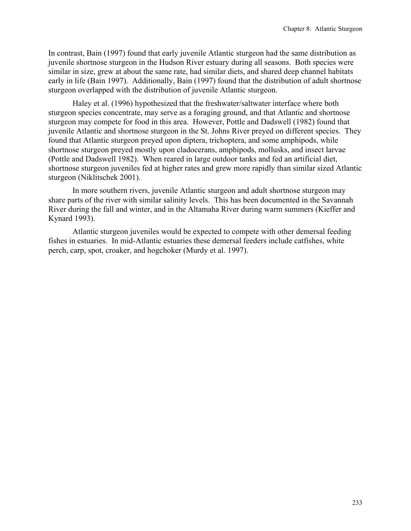In contrast, Bain (1997) found that early juvenile Atlantic sturgeon had the same distribution as juvenile shortnose sturgeon in the Hudson River estuary during all seasons. Both species were similar in size, grew at about the same rate, had similar diets, and shared deep channel habitats early in life (Bain 1997). Additionally, Bain (1997) found that the distribution of adult shortnose sturgeon overlapped with the distribution of juvenile Atlantic sturgeon.

Haley et al. (1996) hypothesized that the freshwater/saltwater interface where both sturgeon species concentrate, may serve as a foraging ground, and that Atlantic and shortnose sturgeon may compete for food in this area. However, Pottle and Dadswell (1982) found that juvenile Atlantic and shortnose sturgeon in the St. Johns River preyed on different species. They found that Atlantic sturgeon preyed upon diptera, trichoptera, and some amphipods, while shortnose sturgeon preyed mostly upon cladocerans, amphipods, mollusks, and insect larvae (Pottle and Dadswell 1982). When reared in large outdoor tanks and fed an artificial diet, shortnose sturgeon juveniles fed at higher rates and grew more rapidly than similar sized Atlantic sturgeon (Niklitschek 2001).

In more southern rivers, juvenile Atlantic sturgeon and adult shortnose sturgeon may share parts of the river with similar salinity levels. This has been documented in the Savannah River during the fall and winter, and in the Altamaha River during warm summers (Kieffer and Kynard 1993).

Atlantic sturgeon juveniles would be expected to compete with other demersal feeding fishes in estuaries. In mid-Atlantic estuaries these demersal feeders include catfishes, white perch, carp, spot, croaker, and hogchoker (Murdy et al. 1997).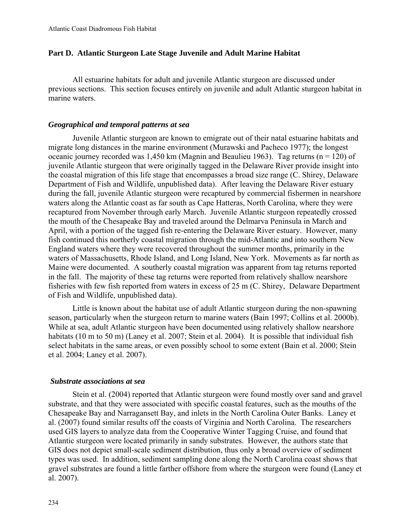## **Part D. Atlantic Sturgeon Late Stage Juvenile and Adult Marine Habitat**

All estuarine habitats for adult and juvenile Atlantic sturgeon are discussed under previous sections. This section focuses entirely on juvenile and adult Atlantic sturgeon habitat in marine waters.

## *Geographical and temporal patterns at sea*

Juvenile Atlantic sturgeon are known to emigrate out of their natal estuarine habitats and migrate long distances in the marine environment (Murawski and Pacheco 1977); the longest oceanic journey recorded was 1,450 km (Magnin and Beaulieu 1963). Tag returns ( $n = 120$ ) of juvenile Atlantic sturgeon that were originally tagged in the Delaware River provide insight into the coastal migration of this life stage that encompasses a broad size range (C. Shirey, Delaware Department of Fish and Wildlife, unpublished data). After leaving the Delaware River estuary during the fall, juvenile Atlantic sturgeon were recaptured by commercial fishermen in nearshore waters along the Atlantic coast as far south as Cape Hatteras, North Carolina, where they were recaptured from November through early March. Juvenile Atlantic sturgeon repeatedly crossed the mouth of the Chesapeake Bay and traveled around the Delmarva Peninsula in March and April, with a portion of the tagged fish re-entering the Delaware River estuary. However, many fish continued this northerly coastal migration through the mid-Atlantic and into southern New England waters where they were recovered throughout the summer months, primarily in the waters of Massachusetts, Rhode Island, and Long Island, New York. Movements as far north as Maine were documented. A southerly coastal migration was apparent from tag returns reported in the fall. The majority of these tag returns were reported from relatively shallow nearshore fisheries with few fish reported from waters in excess of 25 m (C. Shirey, Delaware Department of Fish and Wildlife, unpublished data).

Little is known about the habitat use of adult Atlantic sturgeon during the non-spawning season, particularly when the sturgeon return to marine waters (Bain 1997; Collins et al. 2000b). While at sea, adult Atlantic sturgeon have been documented using relatively shallow nearshore habitats (10 m to 50 m) (Laney et al. 2007; Stein et al. 2004). It is possible that individual fish select habitats in the same areas, or even possibly school to some extent (Bain et al. 2000; Stein et al. 2004; Laney et al. 2007).

#### *Substrate associations at sea*

Stein et al. (2004) reported that Atlantic sturgeon were found mostly over sand and gravel substrate, and that they were associated with specific coastal features, such as the mouths of the Chesapeake Bay and Narragansett Bay, and inlets in the North Carolina Outer Banks. Laney et al. (2007) found similar results off the coasts of Virginia and North Carolina. The researchers used GIS layers to analyze data from the Cooperative Winter Tagging Cruise, and found that Atlantic sturgeon were located primarily in sandy substrates. However, the authors state that GIS does not depict small-scale sediment distribution, thus only a broad overview of sediment types was used. In addition, sediment sampling done along the North Carolina coast shows that gravel substrates are found a little farther offshore from where the sturgeon were found (Laney et al. 2007).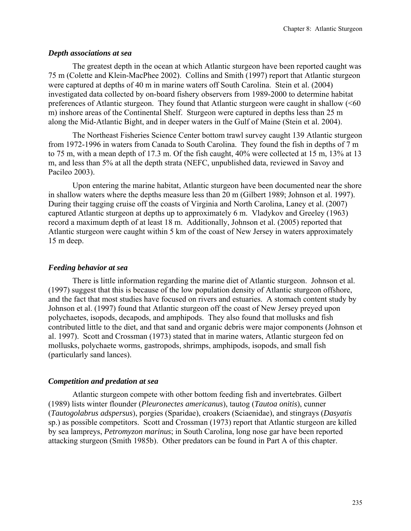## *Depth associations at sea*

The greatest depth in the ocean at which Atlantic sturgeon have been reported caught was 75 m (Colette and Klein-MacPhee 2002). Collins and Smith (1997) report that Atlantic sturgeon were captured at depths of 40 m in marine waters off South Carolina. Stein et al. (2004) investigated data collected by on-board fishery observers from 1989-2000 to determine habitat preferences of Atlantic sturgeon. They found that Atlantic sturgeon were caught in shallow (<60 m) inshore areas of the Continental Shelf. Sturgeon were captured in depths less than 25 m along the Mid-Atlantic Bight, and in deeper waters in the Gulf of Maine (Stein et al. 2004).

The Northeast Fisheries Science Center bottom trawl survey caught 139 Atlantic sturgeon from 1972-1996 in waters from Canada to South Carolina. They found the fish in depths of 7 m to 75 m, with a mean depth of 17.3 m. Of the fish caught, 40% were collected at 15 m, 13% at 13 m, and less than 5% at all the depth strata (NEFC, unpublished data, reviewed in Savoy and Pacileo 2003).

Upon entering the marine habitat, Atlantic sturgeon have been documented near the shore in shallow waters where the depths measure less than 20 m (Gilbert 1989; Johnson et al. 1997). During their tagging cruise off the coasts of Virginia and North Carolina, Laney et al. (2007) captured Atlantic sturgeon at depths up to approximately 6 m. Vladykov and Greeley (1963) record a maximum depth of at least 18 m. Additionally, Johnson et al. (2005) reported that Atlantic sturgeon were caught within 5 km of the coast of New Jersey in waters approximately 15 m deep.

# *Feeding behavior at sea*

There is little information regarding the marine diet of Atlantic sturgeon. Johnson et al. (1997) suggest that this is because of the low population density of Atlantic sturgeon offshore, and the fact that most studies have focused on rivers and estuaries. A stomach content study by Johnson et al. (1997) found that Atlantic sturgeon off the coast of New Jersey preyed upon polychaetes, isopods, decapods, and amphipods. They also found that mollusks and fish contributed little to the diet, and that sand and organic debris were major components (Johnson et al. 1997). Scott and Crossman (1973) stated that in marine waters, Atlantic sturgeon fed on mollusks, polychaete worms, gastropods, shrimps, amphipods, isopods, and small fish (particularly sand lances).

# *Competition and predation at sea*

Atlantic sturgeon compete with other bottom feeding fish and invertebrates. Gilbert (1989) lists winter flounder (*Pleuronectes americanus*), tautog (*Tautoa onitis*), cunner (*Tautogolabrus adspersus*), porgies (Sparidae), croakers (Sciaenidae), and stingrays (*Dasyatis* sp.) as possible competitors. Scott and Crossman (1973) report that Atlantic sturgeon are killed by sea lampreys, *Petromyzon marinus*; in South Carolina, long nose gar have been reported attacking sturgeon (Smith 1985b). Other predators can be found in Part A of this chapter.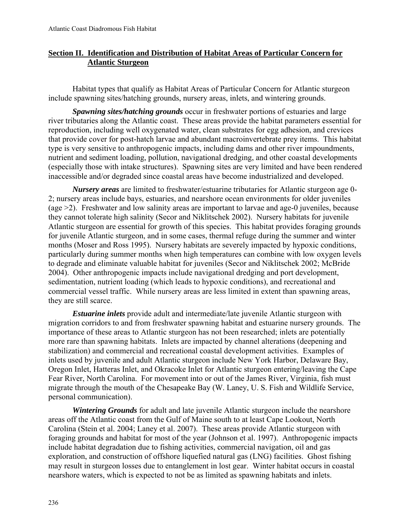# **Section II. Identification and Distribution of Habitat Areas of Particular Concern for Atlantic Sturgeon**

Habitat types that qualify as Habitat Areas of Particular Concern for Atlantic sturgeon include spawning sites/hatching grounds, nursery areas, inlets, and wintering grounds.

*Spawning sites/hatching grounds* occur in freshwater portions of estuaries and large river tributaries along the Atlantic coast. These areas provide the habitat parameters essential for reproduction, including well oxygenated water, clean substrates for egg adhesion, and crevices that provide cover for post-hatch larvae and abundant macroinvertebrate prey items. This habitat type is very sensitive to anthropogenic impacts, including dams and other river impoundments, nutrient and sediment loading, pollution, navigational dredging, and other coastal developments (especially those with intake structures). Spawning sites are very limited and have been rendered inaccessible and/or degraded since coastal areas have become industrialized and developed.

*Nursery areas* are limited to freshwater/estuarine tributaries for Atlantic sturgeon age 0- 2; nursery areas include bays, estuaries, and nearshore ocean environments for older juveniles (age >2). Freshwater and low salinity areas are important to larvae and age-0 juveniles, because they cannot tolerate high salinity (Secor and Niklitschek 2002). Nursery habitats for juvenile Atlantic sturgeon are essential for growth of this species. This habitat provides foraging grounds for juvenile Atlantic sturgeon, and in some cases, thermal refuge during the summer and winter months (Moser and Ross 1995). Nursery habitats are severely impacted by hypoxic conditions, particularly during summer months when high temperatures can combine with low oxygen levels to degrade and eliminate valuable habitat for juveniles (Secor and Niklitschek 2002; McBride 2004). Other anthropogenic impacts include navigational dredging and port development, sedimentation, nutrient loading (which leads to hypoxic conditions), and recreational and commercial vessel traffic. While nursery areas are less limited in extent than spawning areas, they are still scarce.

*Estuarine inlets* provide adult and intermediate/late juvenile Atlantic sturgeon with migration corridors to and from freshwater spawning habitat and estuarine nursery grounds. The importance of these areas to Atlantic sturgeon has not been researched; inlets are potentially more rare than spawning habitats. Inlets are impacted by channel alterations (deepening and stabilization) and commercial and recreational coastal development activities. Examples of inlets used by juvenile and adult Atlantic sturgeon include New York Harbor, Delaware Bay, Oregon Inlet, Hatteras Inlet, and Okracoke Inlet for Atlantic sturgeon entering/leaving the Cape Fear River, North Carolina. For movement into or out of the James River, Virginia, fish must migrate through the mouth of the Chesapeake Bay (W. Laney, U. S. Fish and Wildlife Service, personal communication).

*Wintering Grounds* for adult and late juvenile Atlantic sturgeon include the nearshore areas off the Atlantic coast from the Gulf of Maine south to at least Cape Lookout, North Carolina (Stein et al. 2004; Laney et al. 2007). These areas provide Atlantic sturgeon with foraging grounds and habitat for most of the year (Johnson et al. 1997). Anthropogenic impacts include habitat degradation due to fishing activities, commercial navigation, oil and gas exploration, and construction of offshore liquefied natural gas (LNG) facilities. Ghost fishing may result in sturgeon losses due to entanglement in lost gear. Winter habitat occurs in coastal nearshore waters, which is expected to not be as limited as spawning habitats and inlets.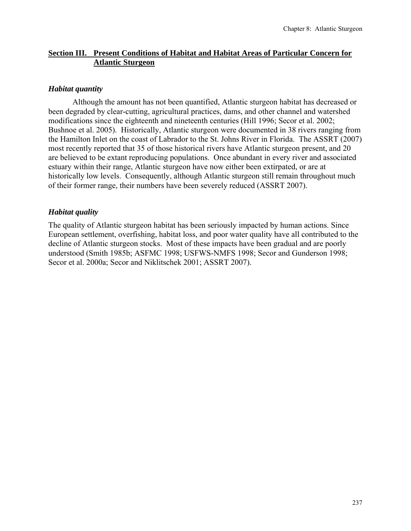# **Section III. Present Conditions of Habitat and Habitat Areas of Particular Concern for Atlantic Sturgeon**

# *Habitat quantity*

Although the amount has not been quantified, Atlantic sturgeon habitat has decreased or been degraded by clear-cutting, agricultural practices, dams, and other channel and watershed modifications since the eighteenth and nineteenth centuries (Hill 1996; Secor et al. 2002; Bushnoe et al. 2005). Historically, Atlantic sturgeon were documented in 38 rivers ranging from the Hamilton Inlet on the coast of Labrador to the St. Johns River in Florida. The ASSRT (2007) most recently reported that 35 of those historical rivers have Atlantic sturgeon present, and 20 are believed to be extant reproducing populations. Once abundant in every river and associated estuary within their range, Atlantic sturgeon have now either been extirpated, or are at historically low levels. Consequently, although Atlantic sturgeon still remain throughout much of their former range, their numbers have been severely reduced (ASSRT 2007).

# *Habitat quality*

The quality of Atlantic sturgeon habitat has been seriously impacted by human actions. Since European settlement, overfishing, habitat loss, and poor water quality have all contributed to the decline of Atlantic sturgeon stocks. Most of these impacts have been gradual and are poorly understood (Smith 1985b; ASFMC 1998; USFWS-NMFS 1998; Secor and Gunderson 1998; Secor et al. 2000a; Secor and Niklitschek 2001; ASSRT 2007).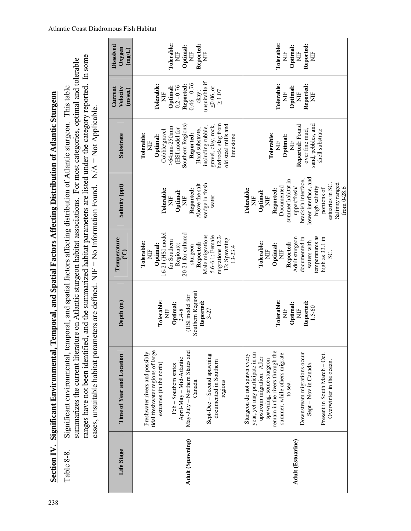|                          | cases, unsuitable habitat parameters are defined. NIF = No Information Found. $N/A = Not$ Applicable.<br>ranges have not been identified,                                                                                                                                                                                |                                                                                                            |                                                                                                                                                                                                                      | and the summarized habitat parameters are listed under the category reported. In some                                                                                                                                                              |                                                                                                                                                                                                                                          |                                                                                                                                        |                                                                |
|--------------------------|--------------------------------------------------------------------------------------------------------------------------------------------------------------------------------------------------------------------------------------------------------------------------------------------------------------------------|------------------------------------------------------------------------------------------------------------|----------------------------------------------------------------------------------------------------------------------------------------------------------------------------------------------------------------------|----------------------------------------------------------------------------------------------------------------------------------------------------------------------------------------------------------------------------------------------------|------------------------------------------------------------------------------------------------------------------------------------------------------------------------------------------------------------------------------------------|----------------------------------------------------------------------------------------------------------------------------------------|----------------------------------------------------------------|
| Life Stage               | Time of Year and Location                                                                                                                                                                                                                                                                                                | Depth (m)                                                                                                  | Temperature<br><u>(၁</u>                                                                                                                                                                                             | Salinity (ppt)                                                                                                                                                                                                                                     | Substrate                                                                                                                                                                                                                                | Current<br>Velocity<br>(m/sec)                                                                                                         | <b>Dissolved</b><br>Oxygen<br>$(\text{mg/L})$                  |
| Adult (Spawning)         | tidal freshwater regions of large<br>May-July - Northern States and<br>Freshwater rivers and possibly<br>Sept-Dec - Second spawning<br>April-May - Mid-Atlantic<br>documented in Southern<br>estuaries (in the north)<br>Feb - Southern states<br>Canada<br>regions                                                      | Southern Regions)<br>(HSI model for<br>Tolerable:<br>Reported:<br>Optimal:<br>$2.4 - 8 +$<br>È<br>$3 - 27$ | 20-21 for cultured<br>16-21 (HSI model<br>Male migrations<br>migrations 12.2-<br>5.6-6.1; Female<br>13; Spawning<br>for Southern<br>Tolerable:<br>Reported:<br>Regions);<br>Optimal:<br>sturgeon<br>$13 - 23.4$<br>Ë | wedge in fresh<br>Above the salt<br>Tolerable:<br>Reported:<br>Optimal:<br>water.<br>ÌN<br>ÌN                                                                                                                                                      | bedrock, slag from<br>old steel mills and<br>Southern Regions)<br>gravel, clay, rock,<br>including rubble,<br>>64mm-250mm<br>(HSI model for<br>Hard substrate,<br>Cobble/gravel<br>Tolerable:<br>Reported:<br>Optimal:<br>limestone<br>Ë | unsuitable if<br>$0.46 - 0.76$<br>Tolerable:<br>Reported:<br>Optimal:<br>$0.2 - 0.76$<br>$\leq 0.06$ , or<br>$\geq 1.07$<br>okay;<br>È | Tolerable:<br>Reported:<br>Optimal:<br>$\frac{1}{2}$<br>Ë<br>Ë |
| <b>Adult (Estuarine)</b> | remain in the rivers through the<br>summer, while others migrate<br>Downstream migrations occur<br>Present in South March - Oct.<br>year, yet may participate in an<br>Sturgeon do not spawn every<br>upstream migration. After<br>spawning, some sturgeon<br>Overwinter in the ocean.<br>Sept-Nov in Canada.<br>to sea. | Tolerable:<br>Reported:<br>Optimal:<br>$1.5 - 60$<br>ž<br>Ë                                                | temperatures as<br>Adult sturgeon<br>documented in<br>high as 33.1 in<br>waters with<br>Tolerable:<br>Reported:<br>Optimal:<br>Ë<br>Ë<br>SC.                                                                         | lower interface, and<br>summer habitat in<br>brackish interface,<br>Salinity ranged<br>estuaries in SC.<br>from 0-28.6<br>Documented<br>upper/fresh/<br>high salinity<br>portions of<br>Tolerable:<br>Reported:<br>Optimal:<br>$\overline{H}$<br>Ë | sand, pebbles, and<br>Reported: Found<br>shell substrate<br>over fine mud,<br>Tolerable:<br>Optimal:<br>Ë<br>H                                                                                                                           | Tolerable:<br>Reported:<br>Optimal:<br>$\overline{H}$<br><b>HE</b><br>Ë                                                                | Tolerable:<br>Reported:<br>Optimal:<br>È<br>Ë<br>Ë             |

Section IV. Significant Environmental, Temporal, and Spatial Factors Affecting Distribution of Atlantic Sturgeon **Section IV. Significant Environmental, Temporal, and Spatial Factors Affecting Distribution of Atlantic Sturgeon**

Table 8-8. Significant environmental, temporal, and spatial factors affecting distribution of Atlantic sturgeon. This table

Significant environmental, temporal, and spatial factors affecting distribution of Atlantic sturgeon. This table

summarizes the current literature on Atlantic sturgeon habitat associations. For most categories, optimal and tolerable

summarizes the current literature on Atlantic sturgeon habitat associations. For most categories, optimal and tolerable

Table 8-8.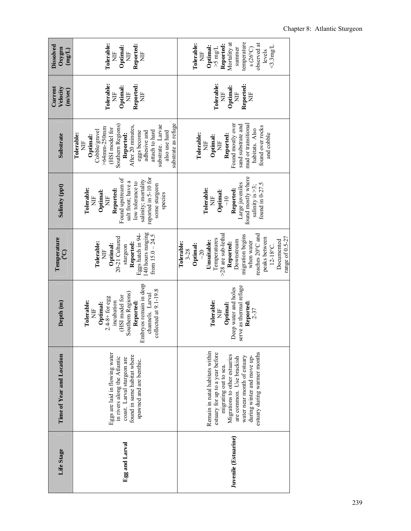| Dissolved<br>Oxygen<br>$(\text{mg/L})$ | Tolerable:<br>Reported:<br>Optimal:<br>$\overline{E}$<br>Ë<br>Ë                                                                                                                                                                                          | temperature<br>Mortality at<br>Reported:<br>bserved at<br>Tolerable:<br>$\triangle$ 3mg/L<br>Optimal:<br>$>5$ mg/L<br>summer<br>$s(26^{\circ}C)$<br>levels<br>Ë                                                                                                 |
|----------------------------------------|----------------------------------------------------------------------------------------------------------------------------------------------------------------------------------------------------------------------------------------------------------|-----------------------------------------------------------------------------------------------------------------------------------------------------------------------------------------------------------------------------------------------------------------|
| Current<br>Velocity<br>(m/sec)         | Tolerable:<br>Reported:<br>Optimal:<br>$\overline{H}$<br>ž<br>È                                                                                                                                                                                          | Tolerable:<br>Reported:<br>Optimal:<br>Ë<br>$\overline{\mathbf{H}}$<br>È                                                                                                                                                                                        |
| Substrate                              | substrate as refuge<br>Southern Regions)<br>substrate. Larvae<br>After 20 minutes,<br>$>64$ mm-250 $mm$<br>(HSI model for<br>Cobble/gravel<br>attach to hard<br>also use hard<br>eggs become<br>adhesive and<br>Reported:<br>Tolerable:<br>Optimal:<br>Ë | Found mostly over<br>sand substrate and<br>mud or transitional<br>found over rocks<br>habitats. Also<br>and cobble<br><b>Tolerable:</b><br>Reported:<br>Optimal:<br>È<br>Ì                                                                                      |
| Salinity (ppt)                         | reported in 5-10 for<br>Found upstream of<br>salinity; mortality<br>salt front; have a<br>low tolerance to<br>some sturgeon<br>Tolerable:<br>Reported:<br>Optimal:<br>species<br>È<br>Ë                                                                  | found mostly where<br>Large juveniles<br>found in 0-27.5<br>salinity is $>3$ ;<br>Tolerable:<br>Reported:<br>Optimal:<br>$\frac{1}{\sqrt{2}}$<br>È                                                                                                              |
| Temperature<br><u>୍</u>                | 140 hours ranging<br>Eggs hatch in 94-<br>from $15.0 - 24.5$<br>20-21 Cultured<br>Tolerable:<br>Reported:<br>Optimal:<br>sturgeon<br>Ë                                                                                                                   | >28 are sub-lethal<br>reaches 20°C and<br>migration begins<br>range of 0.5-27<br>peaks between<br>Temperatures<br>Unsuitable:<br>Downstream<br>Documented<br>when water<br>Reported:<br>Tolerable:<br>Optimal:<br>$12 - 18^{\circ}$ C.<br>$3 - 28$<br>$\sim 20$ |
| Depth <sub>(m)</sub>                   | Embryos remain in deep<br>collected at 9.1-19.8<br>Southern Regions)<br>channels. Larval<br>(HSI model for<br>$2.4-8+$ for egg<br>Tolerable:<br>incubation<br>Reported:<br>Optimal:<br>Ë                                                                 | serve as thermal refuge<br>Deep water and holes<br>Tolerable:<br>Reported:<br>Optimal:<br>$2 - 37$<br>Ë                                                                                                                                                         |
| Time of Year and Location              | Eggs are laid in flowing water<br>found in same habitat where<br>in rivers along the Atlantic<br>coast. Larval sturgeon are<br>spawned and are benthic.                                                                                                  | Remain in natal habitats within<br>estuary for up to a year before<br>estuary during warmer months<br>Migrations to other estuaries<br>during winter and move up-<br>water near month of estuary<br>are common. Use brackish<br>migrating out to sea.           |
| Life Stage                             | Egg and Larval                                                                                                                                                                                                                                           | Juvenile (Estuarine)                                                                                                                                                                                                                                            |

# Chapter 8: Atlantic Sturgeon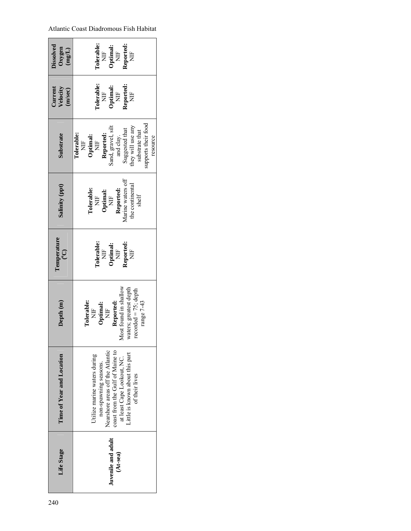| <b>Dissolved</b><br>Oxygen<br>$(mg/L)$ | <b>Tolerable:</b><br>Reported:<br>Optimal:<br>$NIF$<br>$\overline{H}$<br>Ë                                                                                                                                      |  |  |
|----------------------------------------|-----------------------------------------------------------------------------------------------------------------------------------------------------------------------------------------------------------------|--|--|
| Velocity<br>Curren<br>(m/sec)          | <b>Tolerable:</b><br><b>Reported:</b><br>$\begin{array}{ll} \textbf{Optimal:} \\ \textbf{NIF} \end{array}$<br>$\overline{H}$<br>Ë                                                                               |  |  |
| Substrate                              | upports their food<br>hey will use any<br><b>Reported:</b><br>Sand, gravel, silt<br>Suggested that<br>substrate that<br>and clay.<br><b>Tolerable:</b><br>$\frac{\rm NIF}{\rm NIF}$<br>resource                 |  |  |
| Salinity (ppt)                         | Reported:<br>Marine waters off<br>the continental<br><b>Tolerable:</b><br>$\frac{\rm{NIF}}{\rm{NIF}}$<br>shelf                                                                                                  |  |  |
| <b>l'emperature</b><br>$\overline{C}$  | Tolerable:<br>Reported:<br>$\frac{\rm NIF}{\rm NIF}$<br>$\Xi$                                                                                                                                                   |  |  |
| Depth <sub>(m)</sub>                   | lost found in shallow<br>aters; greatest depth<br>$ecored = 75$ ; depth<br>Reported:<br>range 7-43<br>volerable:<br>Optimal: $\frac{}{\mathrm{NIF}}$<br>$\overline{H}$                                          |  |  |
| Time of Year and Location              | Nearshore areas off the Atlantic<br>coast from the Gulf of Maine to<br>Little is known about this part<br>Jtilize marine waters during<br>at least Cape Lookout, NC.<br>non-spawning seasons.<br>of their lives |  |  |
| Life Stage                             | Juvenile and adult<br>$(At-sea)$                                                                                                                                                                                |  |  |

# Atlantic Coast Diadromous Fish Habitat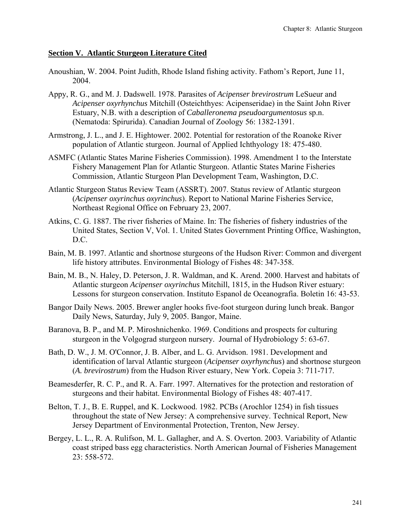## **Section V. Atlantic Sturgeon Literature Cited**

- Anoushian, W. 2004. Point Judith, Rhode Island fishing activity. Fathom's Report, June 11, 2004.
- Appy, R. G., and M. J. Dadswell. 1978. Parasites of *Acipenser brevirostrum* LeSueur and *Acipenser oxyrhynchus* Mitchill (Osteichthyes: Acipenseridae) in the Saint John River Estuary, N.B. with a description of *Caballeronema pseudoargumentosus* sp.n. (Nematoda: Spirurida). Canadian Journal of Zoology 56: 1382-1391.
- Armstrong, J. L., and J. E. Hightower. 2002. Potential for restoration of the Roanoke River population of Atlantic sturgeon. Journal of Applied Ichthyology 18: 475-480.
- ASMFC (Atlantic States Marine Fisheries Commission). 1998. Amendment 1 to the Interstate Fishery Management Plan for Atlantic Sturgeon. Atlantic States Marine Fisheries Commission, Atlantic Sturgeon Plan Development Team, Washington, D.C.
- Atlantic Sturgeon Status Review Team (ASSRT). 2007. Status review of Atlantic sturgeon (*Acipenser oxyrinchus oxyrinchus*). Report to National Marine Fisheries Service, Northeast Regional Office on February 23, 2007.
- Atkins, C. G. 1887. The river fisheries of Maine. In: The fisheries of fishery industries of the United States, Section V, Vol. 1. United States Government Printing Office, Washington, D.C.
- Bain, M. B. 1997. Atlantic and shortnose sturgeons of the Hudson River: Common and divergent life history attributes. Environmental Biology of Fishes 48: 347-358.
- Bain, M. B., N. Haley, D. Peterson, J. R. Waldman, and K. Arend. 2000. Harvest and habitats of Atlantic sturgeon *Acipenser oxyrinchus* Mitchill, 1815, in the Hudson River estuary: Lessons for sturgeon conservation. Instituto Espanol de Oceanografia. Boletin 16: 43-53.
- Bangor Daily News. 2005. Brewer angler hooks five-foot sturgeon during lunch break. Bangor Daily News, Saturday, July 9, 2005. Bangor, Maine.
- Baranova, B. P., and M. P. Miroshnichenko. 1969. Conditions and prospects for culturing sturgeon in the Volgograd sturgeon nursery. Journal of Hydrobiology 5: 63-67.
- Bath, D. W., J. M. O'Connor, J. B. Alber, and L. G. Arvidson. 1981. Development and identification of larval Atlantic sturgeon (*Acipenser oxyrhynchus*) and shortnose sturgeon (*A. brevirostrum*) from the Hudson River estuary, New York. Copeia 3: 711-717.
- Beamesderfer, R. C. P., and R. A. Farr. 1997. Alternatives for the protection and restoration of sturgeons and their habitat. Environmental Biology of Fishes 48: 407-417.
- Belton, T. J., B. E. Ruppel, and K. Lockwood. 1982. PCBs (Arochlor 1254) in fish tissues throughout the state of New Jersey: A comprehensive survey. Technical Report, New Jersey Department of Environmental Protection, Trenton, New Jersey.
- Bergey, L. L., R. A. Rulifson, M. L. Gallagher, and A. S. Overton. 2003. Variability of Atlantic coast striped bass egg characteristics. North American Journal of Fisheries Management 23: 558-572.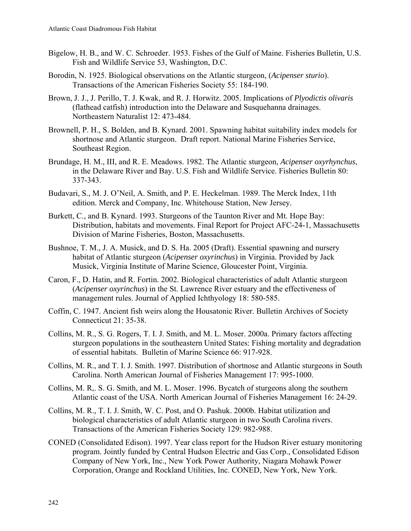- Bigelow, H. B., and W. C. Schroeder. 1953. Fishes of the Gulf of Maine. Fisheries Bulletin, U.S. Fish and Wildlife Service 53, Washington, D.C.
- Borodin, N. 1925. Biological observations on the Atlantic sturgeon, (*Acipenser sturio*). Transactions of the American Fisheries Society 55: 184-190.
- Brown, J. J., J. Perillo, T. J. Kwak, and R. J. Horwitz. 2005. Implications of *Plyodictis olivaris* (flathead catfish) introduction into the Delaware and Susquehanna drainages. Northeastern Naturalist 12: 473-484.
- Brownell, P. H., S. Bolden, and B. Kynard. 2001. Spawning habitat suitability index models for shortnose and Atlantic sturgeon. Draft report. National Marine Fisheries Service, Southeast Region.
- Brundage, H. M., III, and R. E. Meadows. 1982. The Atlantic sturgeon, *Acipenser oxyrhynchus*, in the Delaware River and Bay. U.S. Fish and Wildlife Service. Fisheries Bulletin 80: 337-343.
- Budavari, S., M. J. O'Neil, A. Smith, and P. E. Heckelman. 1989. The Merck Index, 11th edition. Merck and Company, Inc. Whitehouse Station, New Jersey.
- Burkett, C., and B. Kynard. 1993. Sturgeons of the Taunton River and Mt. Hope Bay: Distribution, habitats and movements. Final Report for Project AFC-24-1, Massachusetts Division of Marine Fisheries, Boston, Massachusetts.
- Bushnoe, T. M., J. A. Musick, and D. S. Ha. 2005 (Draft). Essential spawning and nursery habitat of Atlantic sturgeon (*Acipenser oxyrinchus*) in Virginia. Provided by Jack Musick, Virginia Institute of Marine Science, Gloucester Point, Virginia.
- Caron, F., D. Hatin, and R. Fortin. 2002. Biological characteristics of adult Atlantic sturgeon (*Acipenser oxyrinchus*) in the St. Lawrence River estuary and the effectiveness of management rules. Journal of Applied Ichthyology 18: 580-585.
- Coffin, C. 1947. Ancient fish weirs along the Housatonic River. Bulletin Archives of Society Connecticut 21: 35-38.
- Collins, M. R., S. G. Rogers, T. I. J. Smith, and M. L. Moser. 2000a. Primary factors affecting sturgeon populations in the southeastern United States: Fishing mortality and degradation of essential habitats. Bulletin of Marine Science 66: 917-928.
- Collins, M. R., and T. I. J. Smith. 1997. Distribution of shortnose and Atlantic sturgeons in South Carolina. North American Journal of Fisheries Management 17: 995-1000.
- Collins, M. R,. S. G. Smith, and M. L. Moser. 1996. Bycatch of sturgeons along the southern Atlantic coast of the USA. North American Journal of Fisheries Management 16: 24-29.
- Collins, M. R., T. I. J. Smith, W. C. Post, and O. Pashuk. 2000b. Habitat utilization and biological characteristics of adult Atlantic sturgeon in two South Carolina rivers. Transactions of the American Fisheries Society 129: 982-988.
- CONED (Consolidated Edison). 1997. Year class report for the Hudson River estuary monitoring program. Jointly funded by Central Hudson Electric and Gas Corp., Consolidated Edison Company of New York, Inc., New York Power Authority, Niagara Mohawk Power Corporation, Orange and Rockland Utilities, Inc. CONED, New York, New York.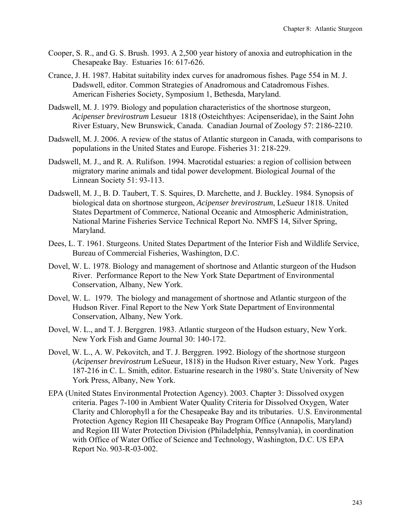- Cooper, S. R., and G. S. Brush. 1993. A 2,500 year history of anoxia and eutrophication in the Chesapeake Bay. Estuaries 16: 617-626.
- Crance, J. H. 1987. Habitat suitability index curves for anadromous fishes. Page 554 in M. J. Dadswell, editor. Common Strategies of Anadromous and Catadromous Fishes. American Fisheries Society, Symposium 1, Bethesda, Maryland.
- Dadswell, M. J. 1979. Biology and population characteristics of the shortnose sturgeon, *Acipenser brevirostrum* Lesueur 1818 (Osteichthyes: Acipenseridae), in the Saint John River Estuary, New Brunswick, Canada. Canadian Journal of Zoology 57: 2186-2210.
- Dadswell, M. J. 2006. A review of the status of Atlantic sturgeon in Canada, with comparisons to populations in the United States and Europe. Fisheries 31: 218-229.
- Dadswell, M. J., and R. A. Rulifson. 1994. Macrotidal estuaries: a region of collision between migratory marine animals and tidal power development. Biological Journal of the Linnean Society 51: 93-113.
- Dadswell, M. J., B. D. Taubert, T. S. Squires, D. Marchette, and J. Buckley. 1984. Synopsis of biological data on shortnose sturgeon, *Acipenser brevirostrum*, LeSueur 1818. United States Department of Commerce, National Oceanic and Atmospheric Administration, National Marine Fisheries Service Technical Report No. NMFS 14, Silver Spring, Maryland.
- Dees, L. T. 1961. Sturgeons. United States Department of the Interior Fish and Wildlife Service, Bureau of Commercial Fisheries, Washington, D.C.
- Dovel, W. L. 1978. Biology and management of shortnose and Atlantic sturgeon of the Hudson River. Performance Report to the New York State Department of Environmental Conservation, Albany, New York.
- Dovel, W. L. 1979. The biology and management of shortnose and Atlantic sturgeon of the Hudson River. Final Report to the New York State Department of Environmental Conservation, Albany, New York.
- Dovel, W. L., and T. J. Berggren. 1983. Atlantic sturgeon of the Hudson estuary, New York. New York Fish and Game Journal 30: 140-172.
- Dovel, W. L., A. W. Pekovitch, and T. J. Berggren. 1992. Biology of the shortnose sturgeon (*Acipenser brevirostrum* LeSueur, 1818) in the Hudson River estuary, New York. Pages 187-216 in C. L. Smith, editor. Estuarine research in the 1980's. State University of New York Press, Albany, New York.
- EPA (United States Environmental Protection Agency). 2003. Chapter 3: Dissolved oxygen criteria. Pages 7-100 in Ambient Water Quality Criteria for Dissolved Oxygen, Water Clarity and Chlorophyll a for the Chesapeake Bay and its tributaries. U.S. Environmental Protection Agency Region III Chesapeake Bay Program Office (Annapolis, Maryland) and Region III Water Protection Division (Philadelphia, Pennsylvania), in coordination with Office of Water Office of Science and Technology, Washington, D.C. US EPA Report No. 903-R-03-002.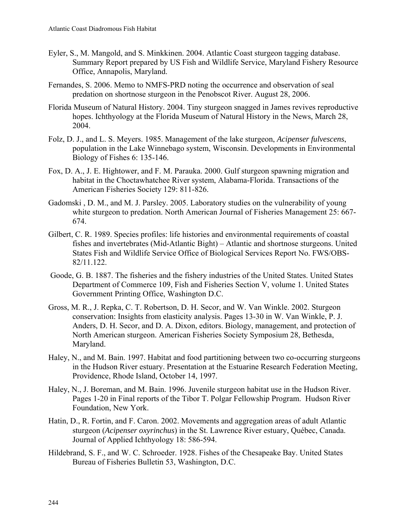- Eyler, S., M. Mangold, and S. Minkkinen. 2004. Atlantic Coast sturgeon tagging database. Summary Report prepared by US Fish and Wildlife Service, Maryland Fishery Resource Office, Annapolis, Maryland.
- Fernandes, S. 2006. Memo to NMFS-PRD noting the occurrence and observation of seal predation on shortnose sturgeon in the Penobscot River. August 28, 2006.
- Florida Museum of Natural History. 2004. Tiny sturgeon snagged in James revives reproductive hopes. Ichthyology at the Florida Museum of Natural History in the News, March 28, 2004.
- Folz, D. J., and L. S. Meyers. 1985. Management of the lake sturgeon, *Acipenser fulvescens*, population in the Lake Winnebago system, Wisconsin. Developments in Environmental Biology of Fishes 6: 135-146.
- Fox, D. A., J. E. Hightower, and F. M. Parauka. 2000. Gulf sturgeon spawning migration and habitat in the Choctawhatchee River system, Alabama-Florida. Transactions of the American Fisheries Society 129: 811-826.
- Gadomski , D. M., and M. J. Parsley. 2005. Laboratory studies on the vulnerability of young white sturgeon to predation. North American Journal of Fisheries Management 25: 667- 674.
- Gilbert, C. R. 1989. Species profiles: life histories and environmental requirements of coastal fishes and invertebrates (Mid-Atlantic Bight) – Atlantic and shortnose sturgeons. United States Fish and Wildlife Service Office of Biological Services Report No. FWS/OBS-82/11.122.
- Goode, G. B. 1887. The fisheries and the fishery industries of the United States. United States Department of Commerce 109, Fish and Fisheries Section V, volume 1. United States Government Printing Office, Washington D.C.
- Gross, M. R., J. Repka, C. T. Robertson, D. H. Secor, and W. Van Winkle. 2002. Sturgeon conservation: Insights from elasticity analysis. Pages 13-30 in W. Van Winkle, P. J. Anders, D. H. Secor, and D. A. Dixon, editors. Biology, management, and protection of North American sturgeon. American Fisheries Society Symposium 28, Bethesda, Maryland.
- Haley, N., and M. Bain. 1997. Habitat and food partitioning between two co-occurring sturgeons in the Hudson River estuary. Presentation at the Estuarine Research Federation Meeting, Providence, Rhode Island, October 14, 1997.
- Haley, N., J. Boreman, and M. Bain. 1996. Juvenile sturgeon habitat use in the Hudson River. Pages 1-20 in Final reports of the Tibor T. Polgar Fellowship Program. Hudson River Foundation, New York.
- Hatin, D., R. Fortin, and F. Caron. 2002. Movements and aggregation areas of adult Atlantic sturgeon (*Acipenser oxyrinchus*) in the St. Lawrence River estuary, Québec, Canada. Journal of Applied Ichthyology 18: 586-594.
- Hildebrand, S. F., and W. C. Schroeder. 1928. Fishes of the Chesapeake Bay. United States Bureau of Fisheries Bulletin 53, Washington, D.C.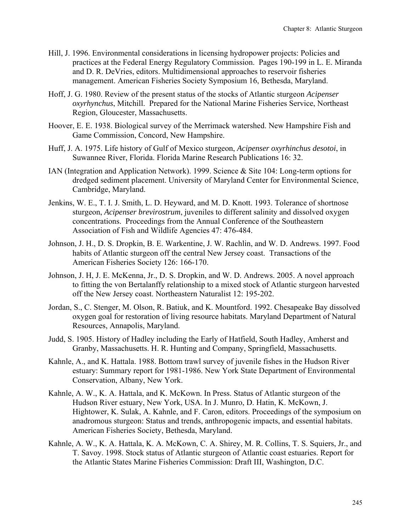- Hill, J. 1996. Environmental considerations in licensing hydropower projects: Policies and practices at the Federal Energy Regulatory Commission. Pages 190-199 in L. E. Miranda and D. R. DeVries, editors. Multidimensional approaches to reservoir fisheries management. American Fisheries Society Symposium 16, Bethesda, Maryland.
- Hoff, J. G. 1980. Review of the present status of the stocks of Atlantic sturgeon *Acipenser oxyrhynchus*, Mitchill. Prepared for the National Marine Fisheries Service, Northeast Region, Gloucester, Massachusetts.
- Hoover, E. E. 1938. Biological survey of the Merrimack watershed. New Hampshire Fish and Game Commission, Concord, New Hampshire.
- Huff, J. A. 1975. Life history of Gulf of Mexico sturgeon, *Acipenser oxyrhinchus desotoi*, in Suwannee River, Florida. Florida Marine Research Publications 16: 32.
- IAN (Integration and Application Network). 1999. Science & Site 104: Long-term options for dredged sediment placement. University of Maryland Center for Environmental Science, Cambridge, Maryland.
- Jenkins, W. E., T. I. J. Smith, L. D. Heyward, and M. D. Knott. 1993. Tolerance of shortnose sturgeon, *Acipenser brevirostrum*, juveniles to different salinity and dissolved oxygen concentrations. Proceedings from the Annual Conference of the Southeastern Association of Fish and Wildlife Agencies 47: 476-484.
- Johnson, J. H., D. S. Dropkin, B. E. Warkentine, J. W. Rachlin, and W. D. Andrews. 1997. Food habits of Atlantic sturgeon off the central New Jersey coast. Transactions of the American Fisheries Society 126: 166-170.
- Johnson, J. H, J. E. McKenna, Jr., D. S. Dropkin, and W. D. Andrews. 2005. A novel approach to fitting the von Bertalanffy relationship to a mixed stock of Atlantic sturgeon harvested off the New Jersey coast. Northeastern Naturalist 12: 195-202.
- Jordan, S., C. Stenger, M. Olson, R. Batiuk, and K. Mountford. 1992. Chesapeake Bay dissolved oxygen goal for restoration of living resource habitats. Maryland Department of Natural Resources, Annapolis, Maryland.
- Judd, S. 1905. History of Hadley including the Early of Hatfield, South Hadley, Amherst and Granby, Massachusetts. H. R. Hunting and Company, Springfield, Massachusetts.
- Kahnle, A., and K. Hattala. 1988. Bottom trawl survey of juvenile fishes in the Hudson River estuary: Summary report for 1981-1986. New York State Department of Environmental Conservation, Albany, New York.
- Kahnle, A. W., K. A. Hattala, and K. McKown. In Press. Status of Atlantic sturgeon of the Hudson River estuary, New York, USA. In J. Munro, D. Hatin, K. McKown, J. Hightower, K. Sulak, A. Kahnle, and F. Caron, editors. Proceedings of the symposium on anadromous sturgeon: Status and trends, anthropogenic impacts, and essential habitats. American Fisheries Society, Bethesda, Maryland.
- Kahnle, A. W., K. A. Hattala, K. A. McKown, C. A. Shirey, M. R. Collins, T. S. Squiers, Jr., and T. Savoy. 1998. Stock status of Atlantic sturgeon of Atlantic coast estuaries. Report for the Atlantic States Marine Fisheries Commission: Draft III, Washington, D.C.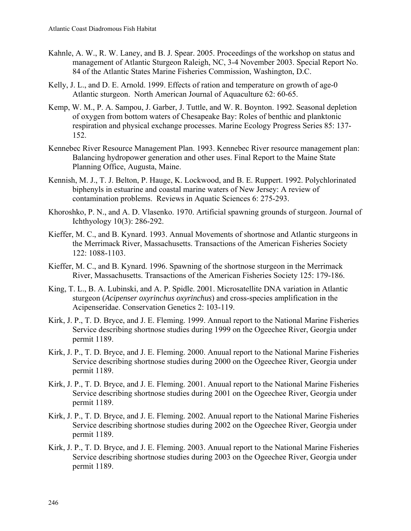- Kahnle, A. W., R. W. Laney, and B. J. Spear. 2005. Proceedings of the workshop on status and management of Atlantic Sturgeon Raleigh, NC, 3-4 November 2003. Special Report No. 84 of the Atlantic States Marine Fisheries Commission, Washington, D.C.
- Kelly, J. L., and D. E. Arnold. 1999. Effects of ration and temperature on growth of age-0 Atlantic sturgeon. North American Journal of Aquaculture 62: 60-65.
- Kemp, W. M., P. A. Sampou, J. Garber, J. Tuttle, and W. R. Boynton. 1992. Seasonal depletion of oxygen from bottom waters of Chesapeake Bay: Roles of benthic and planktonic respiration and physical exchange processes. Marine Ecology Progress Series 85: 137- 152.
- Kennebec River Resource Management Plan. 1993. Kennebec River resource management plan: Balancing hydropower generation and other uses. Final Report to the Maine State Planning Office, Augusta, Maine.
- Kennish, M. J., T. J. Belton, P. Hauge, K. Lockwood, and B. E. Ruppert. 1992. Polychlorinated biphenyls in estuarine and coastal marine waters of New Jersey: A review of contamination problems. Reviews in Aquatic Sciences 6: 275-293.
- Khoroshko, P. N., and A. D. Vlasenko. 1970. Artificial spawning grounds of sturgeon. Journal of Ichthyology 10(3): 286-292.
- Kieffer, M. C., and B. Kynard. 1993. Annual Movements of shortnose and Atlantic sturgeons in the Merrimack River, Massachusetts. Transactions of the American Fisheries Society 122: 1088-1103.
- Kieffer, M. C., and B. Kynard. 1996. Spawning of the shortnose sturgeon in the Merrimack River, Massachusetts. Transactions of the American Fisheries Society 125: 179-186.
- King, T. L., B. A. Lubinski, and A. P. Spidle. 2001. Microsatellite DNA variation in Atlantic sturgeon (*Acipenser oxyrinchus oxyrinchus*) and cross-species amplification in the Acipenseridae. Conservation Genetics 2: 103-119.
- Kirk, J. P., T. D. Bryce, and J. E. Fleming. 1999. Annual report to the National Marine Fisheries Service describing shortnose studies during 1999 on the Ogeechee River, Georgia under permit 1189.
- Kirk, J. P., T. D. Bryce, and J. E. Fleming. 2000. Anuual report to the National Marine Fisheries Service describing shortnose studies during 2000 on the Ogeechee River, Georgia under permit 1189.
- Kirk, J. P., T. D. Bryce, and J. E. Fleming. 2001. Anuual report to the National Marine Fisheries Service describing shortnose studies during 2001 on the Ogeechee River, Georgia under permit 1189.
- Kirk, J. P., T. D. Bryce, and J. E. Fleming. 2002. Anuual report to the National Marine Fisheries Service describing shortnose studies during 2002 on the Ogeechee River, Georgia under permit 1189.
- Kirk, J. P., T. D. Bryce, and J. E. Fleming. 2003. Anuual report to the National Marine Fisheries Service describing shortnose studies during 2003 on the Ogeechee River, Georgia under permit 1189.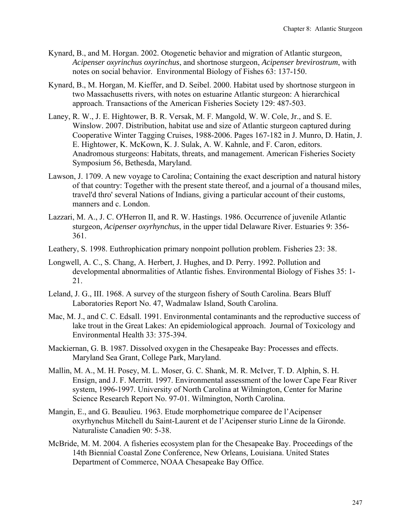- Kynard, B., and M. Horgan. 2002. Otogenetic behavior and migration of Atlantic sturgeon, *Acipenser oxyrinchus oxyrinchus*, and shortnose sturgeon, *Acipenser brevirostrum*, with notes on social behavior. Environmental Biology of Fishes 63: 137-150.
- Kynard, B., M. Horgan, M. Kieffer, and D. Seibel. 2000. Habitat used by shortnose sturgeon in two Massachusetts rivers, with notes on estuarine Atlantic sturgeon: A hierarchical approach. Transactions of the American Fisheries Society 129: 487-503.
- Laney, R. W., J. E. Hightower, B. R. Versak, M. F. Mangold, W. W. Cole, Jr., and S. E. Winslow. 2007. Distribution, habitat use and size of Atlantic sturgeon captured during Cooperative Winter Tagging Cruises, 1988-2006. Pages 167-182 in J. Munro, D. Hatin, J. E. Hightower, K. McKown, K. J. Sulak, A. W. Kahnle, and F. Caron, editors. Anadromous sturgeons: Habitats, threats, and management. American Fisheries Society Symposium 56, Bethesda, Maryland.
- Lawson, J. 1709. A new voyage to Carolina; Containing the exact description and natural history of that country: Together with the present state thereof, and a journal of a thousand miles, travel'd thro' several Nations of Indians, giving a particular account of their customs, manners and c. London.
- Lazzari, M. A., J. C. O'Herron II, and R. W. Hastings. 1986. Occurrence of juvenile Atlantic sturgeon, *Acipenser oxyrhynchus*, in the upper tidal Delaware River. Estuaries 9: 356- 361.
- Leathery, S. 1998. Euthrophication primary nonpoint pollution problem. Fisheries 23: 38.
- Longwell, A. C., S. Chang, A. Herbert, J. Hughes, and D. Perry. 1992. Pollution and developmental abnormalities of Atlantic fishes. Environmental Biology of Fishes 35: 1- 21.
- Leland, J. G., III. 1968. A survey of the sturgeon fishery of South Carolina. Bears Bluff Laboratories Report No. 47, Wadmalaw Island, South Carolina.
- Mac, M. J., and C. C. Edsall. 1991. Environmental contaminants and the reproductive success of lake trout in the Great Lakes: An epidemiological approach. Journal of Toxicology and Environmental Health 33: 375-394.
- Mackiernan, G. B. 1987. Dissolved oxygen in the Chesapeake Bay: Processes and effects. Maryland Sea Grant, College Park, Maryland.
- Mallin, M. A., M. H. Posey, M. L. Moser, G. C. Shank, M. R. McIver, T. D. Alphin, S. H. Ensign, and J. F. Merritt. 1997. Environmental assessment of the lower Cape Fear River system, 1996-1997. University of North Carolina at Wilmington, Center for Marine Science Research Report No. 97-01. Wilmington, North Carolina.
- Mangin, E., and G. Beaulieu. 1963. Etude morphometrique comparee de l'Acipenser oxyrhynchus Mitchell du Saint-Laurent et de l'Acipenser sturio Linne de la Gironde. Naturaliste Canadien 90: 5-38.
- McBride, M. M. 2004. A fisheries ecosystem plan for the Chesapeake Bay. Proceedings of the 14th Biennial Coastal Zone Conference, New Orleans, Louisiana. United States Department of Commerce, NOAA Chesapeake Bay Office.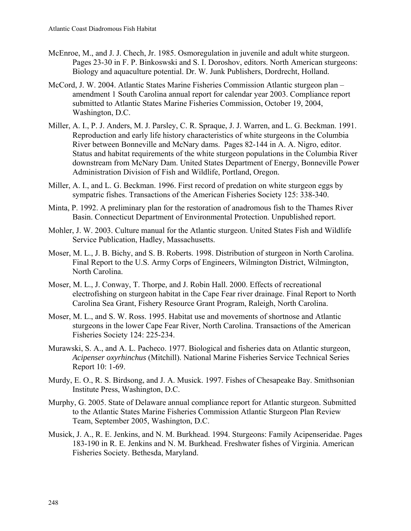- McEnroe, M., and J. J. Chech, Jr. 1985. Osmoregulation in juvenile and adult white sturgeon. Pages 23-30 in F. P. Binkoswski and S. I. Doroshov, editors. North American sturgeons: Biology and aquaculture potential. Dr. W. Junk Publishers, Dordrecht, Holland.
- McCord, J. W. 2004. Atlantic States Marine Fisheries Commission Atlantic sturgeon plan amendment 1 South Carolina annual report for calendar year 2003. Compliance report submitted to Atlantic States Marine Fisheries Commission, October 19, 2004, Washington, D.C.
- Miller, A. I., P. J. Anders, M. J. Parsley, C. R. Spraque, J. J. Warren, and L. G. Beckman. 1991. Reproduction and early life history characteristics of white sturgeons in the Columbia River between Bonneville and McNary dams. Pages 82-144 in A. A. Nigro, editor. Status and habitat requirements of the white sturgeon populations in the Columbia River downstream from McNary Dam. United States Department of Energy, Bonneville Power Administration Division of Fish and Wildlife, Portland, Oregon.
- Miller, A. I., and L. G. Beckman. 1996. First record of predation on white sturgeon eggs by sympatric fishes. Transactions of the American Fisheries Society 125: 338-340.
- Minta, P. 1992. A preliminary plan for the restoration of anadromous fish to the Thames River Basin. Connecticut Department of Environmental Protection. Unpublished report.
- Mohler, J. W. 2003. Culture manual for the Atlantic sturgeon. United States Fish and Wildlife Service Publication, Hadley, Massachusetts.
- Moser, M. L., J. B. Bichy, and S. B. Roberts. 1998. Distribution of sturgeon in North Carolina. Final Report to the U.S. Army Corps of Engineers, Wilmington District, Wilmington, North Carolina.
- Moser, M. L., J. Conway, T. Thorpe, and J. Robin Hall. 2000. Effects of recreational electrofishing on sturgeon habitat in the Cape Fear river drainage. Final Report to North Carolina Sea Grant, Fishery Resource Grant Program, Raleigh, North Carolina.
- Moser, M. L., and S. W. Ross. 1995. Habitat use and movements of shortnose and Atlantic sturgeons in the lower Cape Fear River, North Carolina. Transactions of the American Fisheries Society 124: 225-234.
- Murawski, S. A., and A. L. Pacheco. 1977. Biological and fisheries data on Atlantic sturgeon, *Acipenser oxyrhinchus* (Mitchill). National Marine Fisheries Service Technical Series Report 10: 1-69.
- Murdy, E. O., R. S. Birdsong, and J. A. Musick. 1997. Fishes of Chesapeake Bay. Smithsonian Institute Press, Washington, D.C.
- Murphy, G. 2005. State of Delaware annual compliance report for Atlantic sturgeon. Submitted to the Atlantic States Marine Fisheries Commission Atlantic Sturgeon Plan Review Team, September 2005, Washington, D.C.
- Musick, J. A., R. E. Jenkins, and N. M. Burkhead. 1994. Sturgeons: Family Acipenseridae. Pages 183-190 in R. E. Jenkins and N. M. Burkhead. Freshwater fishes of Virginia. American Fisheries Society. Bethesda, Maryland.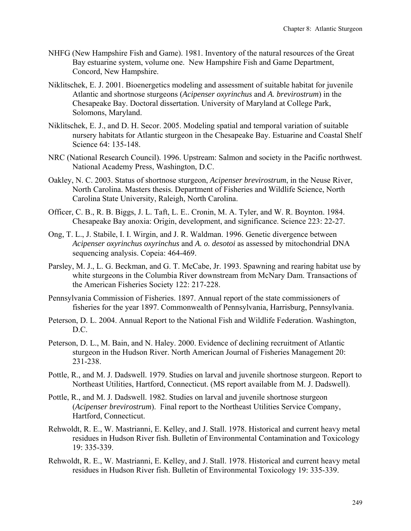- NHFG (New Hampshire Fish and Game). 1981. Inventory of the natural resources of the Great Bay estuarine system, volume one. New Hampshire Fish and Game Department, Concord, New Hampshire.
- Niklitschek, E. J. 2001. Bioenergetics modeling and assessment of suitable habitat for juvenile Atlantic and shortnose sturgeons (*Acipenser oxyrinchus* and *A. brevirostrum*) in the Chesapeake Bay. Doctoral dissertation. University of Maryland at College Park, Solomons, Maryland.
- Niklitschek, E. J., and D. H. Secor. 2005. Modeling spatial and temporal variation of suitable nursery habitats for Atlantic sturgeon in the Chesapeake Bay. Estuarine and Coastal Shelf Science 64: 135-148.
- NRC (National Research Council). 1996. Upstream: Salmon and society in the Pacific northwest. National Academy Press, Washington, D.C.
- Oakley, N. C. 2003. Status of shortnose sturgeon, *Acipenser brevirostrum*, in the Neuse River, North Carolina. Masters thesis. Department of Fisheries and Wildlife Science, North Carolina State University, Raleigh, North Carolina.
- Officer, C. B., R. B. Biggs, J. L. Taft, L. E.. Cronin, M. A. Tyler, and W. R. Boynton. 1984. Chesapeake Bay anoxia: Origin, development, and significance. Science 223: 22-27.
- Ong, T. L., J. Stabile, I. I. Wirgin, and J. R. Waldman. 1996. Genetic divergence between *Acipenser oxyrinchus oxyrinchus* and *A. o. desotoi* as assessed by mitochondrial DNA sequencing analysis. Copeia: 464-469.
- Parsley, M. J., L. G. Beckman, and G. T. McCabe, Jr. 1993. Spawning and rearing habitat use by white sturgeons in the Columbia River downstream from McNary Dam. Transactions of the American Fisheries Society 122: 217-228.
- Pennsylvania Commission of Fisheries. 1897. Annual report of the state commissioners of fisheries for the year 1897. Commonwealth of Pennsylvania, Harrisburg, Pennsylvania.
- Peterson, D. L. 2004. Annual Report to the National Fish and Wildlife Federation. Washington, D.C.
- Peterson, D. L., M. Bain, and N. Haley. 2000. Evidence of declining recruitment of Atlantic sturgeon in the Hudson River. North American Journal of Fisheries Management 20: 231-238.
- Pottle, R., and M. J. Dadswell. 1979. Studies on larval and juvenile shortnose sturgeon. Report to Northeast Utilities, Hartford, Connecticut. (MS report available from M. J. Dadswell).
- Pottle, R., and M. J. Dadswell. 1982. Studies on larval and juvenile shortnose sturgeon (*Acipenser brevirostrum*). Final report to the Northeast Utilities Service Company, Hartford, Connecticut.
- Rehwoldt, R. E., W. Mastrianni, E. Kelley, and J. Stall. 1978. Historical and current heavy metal residues in Hudson River fish. Bulletin of Environmental Contamination and Toxicology 19: 335-339.
- Rehwoldt, R. E., W. Mastrianni, E. Kelley, and J. Stall. 1978. Historical and current heavy metal residues in Hudson River fish. Bulletin of Environmental Toxicology 19: 335-339.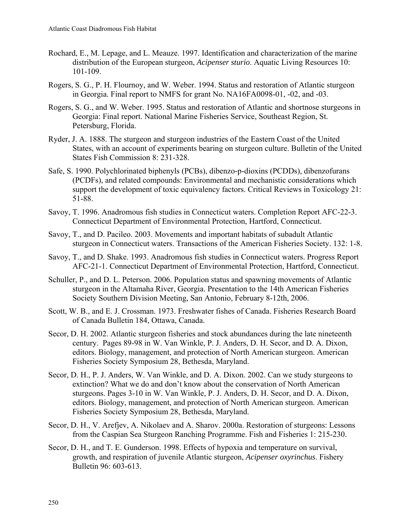- Rochard, E., M. Lepage, and L. Meauze. 1997. Identification and characterization of the marine distribution of the European sturgeon, *Acipenser sturio*. Aquatic Living Resources 10: 101-109.
- Rogers, S. G., P. H. Flournoy, and W. Weber. 1994. Status and restoration of Atlantic sturgeon in Georgia. Final report to NMFS for grant No. NA16FA0098-01, -02, and -03.
- Rogers, S. G., and W. Weber. 1995. Status and restoration of Atlantic and shortnose sturgeons in Georgia: Final report. National Marine Fisheries Service, Southeast Region, St. Petersburg, Florida.
- Ryder, J. A. 1888. The sturgeon and sturgeon industries of the Eastern Coast of the United States, with an account of experiments bearing on sturgeon culture. Bulletin of the United States Fish Commission 8: 231-328.
- Safe, S. 1990. Polychlorinated biphenyls (PCBs), dibenzo-p-dioxins (PCDDs), dibenzofurans (PCDFs), and related compounds: Environmental and mechanistic considerations which support the development of toxic equivalency factors. Critical Reviews in Toxicology 21: 51-88.
- Savoy, T. 1996. Anadromous fish studies in Connecticut waters. Completion Report AFC-22-3. Connecticut Department of Environmental Protection, Hartford, Connecticut.
- Savoy, T., and D. Pacileo. 2003. Movements and important habitats of subadult Atlantic sturgeon in Connecticut waters. Transactions of the American Fisheries Society. 132: 1-8.
- Savoy, T., and D. Shake. 1993. Anadromous fish studies in Connecticut waters. Progress Report AFC-21-1. Connecticut Department of Environmental Protection, Hartford, Connecticut.
- Schuller, P., and D. L. Peterson. 2006. Population status and spawning movements of Atlantic sturgeon in the Altamaha River, Georgia. Presentation to the 14th American Fisheries Society Southern Division Meeting, San Antonio, February 8-12th, 2006.
- Scott, W. B., and E. J. Crossman. 1973. Freshwater fishes of Canada. Fisheries Research Board of Canada Bulletin 184, Ottawa, Canada.
- Secor, D. H. 2002. Atlantic sturgeon fisheries and stock abundances during the late nineteenth century. Pages 89-98 in W. Van Winkle, P. J. Anders, D. H. Secor, and D. A. Dixon, editors. Biology, management, and protection of North American sturgeon. American Fisheries Society Symposium 28, Bethesda, Maryland.
- Secor, D. H., P. J. Anders, W. Van Winkle, and D. A. Dixon. 2002. Can we study sturgeons to extinction? What we do and don't know about the conservation of North American sturgeons. Pages 3-10 in W. Van Winkle, P. J. Anders, D. H. Secor, and D. A. Dixon, editors. Biology, management, and protection of North American sturgeon. American Fisheries Society Symposium 28, Bethesda, Maryland.
- Secor, D. H., V. Arefjev, A. Nikolaev and A. Sharov. 2000a. Restoration of sturgeons: Lessons from the Caspian Sea Sturgeon Ranching Programme. Fish and Fisheries 1: 215-230.
- Secor, D. H., and T. E. Gunderson. 1998. Effects of hypoxia and temperature on survival, growth, and respiration of juvenile Atlantic sturgeon, *Acipenser oxyrinchus*. Fishery Bulletin 96: 603-613.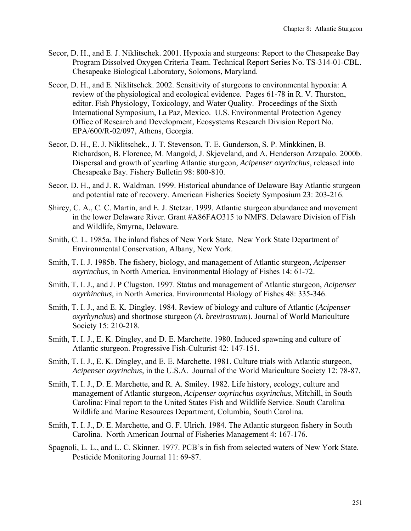- Secor, D. H., and E. J. Niklitschek. 2001. Hypoxia and sturgeons: Report to the Chesapeake Bay Program Dissolved Oxygen Criteria Team. Technical Report Series No. TS-314-01-CBL. Chesapeake Biological Laboratory, Solomons, Maryland.
- Secor, D. H., and E. Niklitschek. 2002. Sensitivity of sturgeons to environmental hypoxia: A review of the physiological and ecological evidence. Pages 61-78 in R. V. Thurston, editor. Fish Physiology, Toxicology, and Water Quality. Proceedings of the Sixth International Symposium, La Paz, Mexico. U.S. Environmental Protection Agency Office of Research and Development, Ecosystems Research Division Report No. EPA/600/R-02/097, Athens, Georgia.
- Secor, D. H., E. J. Niklitschek., J. T. Stevenson, T. E. Gunderson, S. P. Minkkinen, B. Richardson, B. Florence, M. Mangold, J. Skjeveland, and A. Henderson Arzapalo. 2000b. Dispersal and growth of yearling Atlantic sturgeon, *Acipenser oxyrinchus*, released into Chesapeake Bay. Fishery Bulletin 98: 800-810.
- Secor, D. H., and J. R. Waldman. 1999. Historical abundance of Delaware Bay Atlantic sturgeon and potential rate of recovery. American Fisheries Society Symposium 23: 203-216.
- Shirey, C. A., C. C. Martin, and E. J. Stetzar. 1999. Atlantic sturgeon abundance and movement in the lower Delaware River. Grant #A86FAO315 to NMFS. Delaware Division of Fish and Wildlife, Smyrna, Delaware.
- Smith, C. L. 1985a. The inland fishes of New York State. New York State Department of Environmental Conservation, Albany, New York.
- Smith, T. I. J. 1985b. The fishery, biology, and management of Atlantic sturgeon, *Acipenser oxyrinchus*, in North America. Environmental Biology of Fishes 14: 61-72.
- Smith, T. I. J., and J. P Clugston. 1997. Status and management of Atlantic sturgeon, *Acipenser oxyrhinchus*, in North America. Environmental Biology of Fishes 48: 335-346.
- Smith, T. I. J., and E. K. Dingley. 1984. Review of biology and culture of Atlantic (*Acipenser oxyrhynchus*) and shortnose sturgeon (*A. brevirostrum*). Journal of World Mariculture Society 15: 210-218.
- Smith, T. I. J., E. K. Dingley, and D. E. Marchette. 1980. Induced spawning and culture of Atlantic sturgeon. Progressive Fish-Culturist 42: 147-151.
- Smith, T. I. J., E. K. Dingley, and E. E. Marchette. 1981. Culture trials with Atlantic sturgeon, *Acipenser oxyrinchus*, in the U.S.A. Journal of the World Mariculture Society 12: 78-87.
- Smith, T. I. J., D. E. Marchette, and R. A. Smiley. 1982. Life history, ecology, culture and management of Atlantic sturgeon, *Acipenser oxyrinchus oxyrinchus*, Mitchill, in South Carolina: Final report to the United States Fish and Wildlife Service. South Carolina Wildlife and Marine Resources Department, Columbia, South Carolina.
- Smith, T. I. J., D. E. Marchette, and G. F. Ulrich. 1984. The Atlantic sturgeon fishery in South Carolina. North American Journal of Fisheries Management 4: 167-176.
- Spagnoli, L. L., and L. C. Skinner. 1977. PCB's in fish from selected waters of New York State. Pesticide Monitoring Journal 11: 69-87.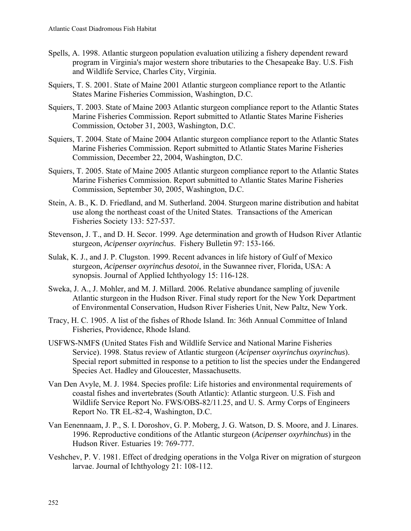- Spells, A. 1998. Atlantic sturgeon population evaluation utilizing a fishery dependent reward program in Virginia's major western shore tributaries to the Chesapeake Bay. U.S. Fish and Wildlife Service, Charles City, Virginia.
- Squiers, T. S. 2001. State of Maine 2001 Atlantic sturgeon compliance report to the Atlantic States Marine Fisheries Commission, Washington, D.C.
- Squiers, T. 2003. State of Maine 2003 Atlantic sturgeon compliance report to the Atlantic States Marine Fisheries Commission. Report submitted to Atlantic States Marine Fisheries Commission, October 31, 2003, Washington, D.C.
- Squiers, T. 2004. State of Maine 2004 Atlantic sturgeon compliance report to the Atlantic States Marine Fisheries Commission. Report submitted to Atlantic States Marine Fisheries Commission, December 22, 2004, Washington, D.C.
- Squiers, T. 2005. State of Maine 2005 Atlantic sturgeon compliance report to the Atlantic States Marine Fisheries Commission. Report submitted to Atlantic States Marine Fisheries Commission, September 30, 2005, Washington, D.C.
- Stein, A. B., K. D. Friedland, and M. Sutherland. 2004. Sturgeon marine distribution and habitat use along the northeast coast of the United States. Transactions of the American Fisheries Society 133: 527-537.
- Stevenson, J. T., and D. H. Secor. 1999. Age determination and growth of Hudson River Atlantic sturgeon, *Acipenser oxyrinchus*. Fishery Bulletin 97: 153-166.
- Sulak, K. J., and J. P. Clugston. 1999. Recent advances in life history of Gulf of Mexico sturgeon, *Acipenser oxyrinchus desotoi*, in the Suwannee river, Florida, USA: A synopsis. Journal of Applied Ichthyology 15: 116-128.
- Sweka, J. A., J. Mohler, and M. J. Millard. 2006. Relative abundance sampling of juvenile Atlantic sturgeon in the Hudson River. Final study report for the New York Department of Environmental Conservation, Hudson River Fisheries Unit, New Paltz, New York.
- Tracy, H. C. 1905. A list of the fishes of Rhode Island. In: 36th Annual Committee of Inland Fisheries, Providence, Rhode Island.
- USFWS-NMFS (United States Fish and Wildlife Service and National Marine Fisheries Service). 1998. Status review of Atlantic sturgeon (*Acipenser oxyrinchus oxyrinchus*). Special report submitted in response to a petition to list the species under the Endangered Species Act. Hadley and Gloucester, Massachusetts.
- Van Den Avyle, M. J. 1984. Species profile: Life histories and environmental requirements of coastal fishes and invertebrates (South Atlantic): Atlantic sturgeon. U.S. Fish and Wildlife Service Report No. FWS/OBS-82/11.25, and U. S. Army Corps of Engineers Report No. TR EL-82-4, Washington, D.C.
- Van Eenennaam, J. P., S. I. Doroshov, G. P. Moberg, J. G. Watson, D. S. Moore, and J. Linares. 1996. Reproductive conditions of the Atlantic sturgeon (*Acipenser oxyrhinchus*) in the Hudson River. Estuaries 19: 769-777.
- Veshchev, P. V. 1981. Effect of dredging operations in the Volga River on migration of sturgeon larvae. Journal of Ichthyology 21: 108-112.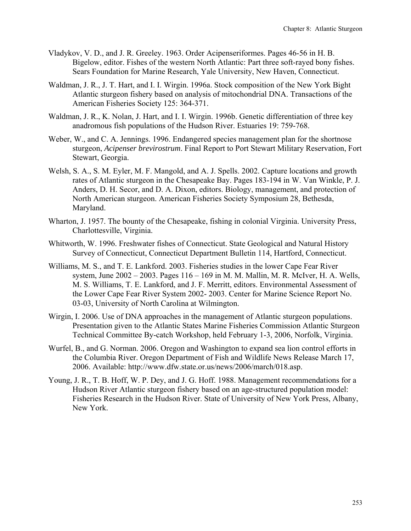- Vladykov, V. D., and J. R. Greeley. 1963. Order Acipenseriformes. Pages 46-56 in H. B. Bigelow, editor. Fishes of the western North Atlantic: Part three soft-rayed bony fishes. Sears Foundation for Marine Research, Yale University, New Haven, Connecticut.
- Waldman, J. R., J. T. Hart, and I. I. Wirgin. 1996a. Stock composition of the New York Bight Atlantic sturgeon fishery based on analysis of mitochondrial DNA. Transactions of the American Fisheries Society 125: 364-371.
- Waldman, J. R., K. Nolan, J. Hart, and I. I. Wirgin. 1996b. Genetic differentiation of three key anadromous fish populations of the Hudson River. Estuaries 19: 759-768.
- Weber, W., and C. A. Jennings. 1996. Endangered species management plan for the shortnose sturgeon, *Acipenser brevirostrum*. Final Report to Port Stewart Military Reservation, Fort Stewart, Georgia.
- Welsh, S. A., S. M. Eyler, M. F. Mangold, and A. J. Spells. 2002. Capture locations and growth rates of Atlantic sturgeon in the Chesapeake Bay. Pages 183-194 in W. Van Winkle, P. J. Anders, D. H. Secor, and D. A. Dixon, editors. Biology, management, and protection of North American sturgeon. American Fisheries Society Symposium 28, Bethesda, Maryland.
- Wharton, J. 1957. The bounty of the Chesapeake, fishing in colonial Virginia. University Press, Charlottesville, Virginia.
- Whitworth, W. 1996. Freshwater fishes of Connecticut. State Geological and Natural History Survey of Connecticut, Connecticut Department Bulletin 114, Hartford, Connecticut.
- Williams, M. S., and T. E. Lankford. 2003. Fisheries studies in the lower Cape Fear River system, June 2002 – 2003. Pages 116 – 169 in M. M. Mallin, M. R. McIver, H. A. Wells, M. S. Williams, T. E. Lankford, and J. F. Merritt, editors. Environmental Assessment of the Lower Cape Fear River System 2002- 2003. Center for Marine Science Report No. 03-03, University of North Carolina at Wilmington.
- Wirgin, I. 2006. Use of DNA approaches in the management of Atlantic sturgeon populations. Presentation given to the Atlantic States Marine Fisheries Commission Atlantic Sturgeon Technical Committee By-catch Workshop, held February 1-3, 2006, Norfolk, Virginia.
- Wurfel, B., and G. Norman. 2006. Oregon and Washington to expand sea lion control efforts in the Columbia River. Oregon Department of Fish and Wildlife News Release March 17, 2006. Available: http://www.dfw.state.or.us/news/2006/march/018.asp.
- Young, J. R., T. B. Hoff, W. P. Dey, and J. G. Hoff. 1988. Management recommendations for a Hudson River Atlantic sturgeon fishery based on an age-structured population model: Fisheries Research in the Hudson River. State of University of New York Press, Albany, New York.